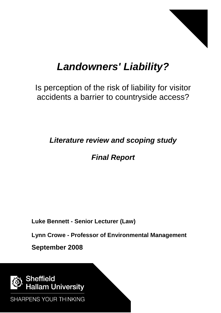

# *Landowners' Liability?*

Is perception of the risk of liability for visitor accidents a barrier to countryside access?

*Literature review and scoping study*

*Final Report*

**Luke Bennett - Senior Lecturer (Law)**

**Lynn Crowe - Professor of Environmental Management**

**September 2008**



**SHARPENS YOUR THINKING**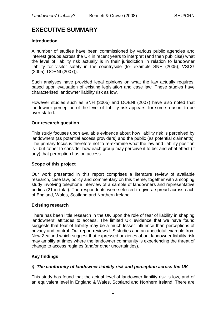## **EXECUTIVE SUMMARY**

## **Introduction**

A number of studies have been commissioned by various public agencies and interest groups across the UK in recent years to interpret (and then publicise) what the level of liability risk actually is in their jurisdiction in relation to landowner liability for visitor safety in the countryside (for example SNH (2005); VSCG (2005); DOENI (2007)).

Such analyses have provided legal opinions on what the law actually requires, based upon evaluation of existing legislation and case law. These studies have characterised landowner liability risk as low.

However studies such as SNH (2005) and DOENI (2007) have also noted that landowner perception of the level of liability risk appears, for some reason, to be over-stated.

## **Our research question**

This study focuses upon available evidence about how liability risk is perceived by landowners (as potential access providers) and the public (as potential claimants). The primary focus is therefore not to re-examine what the law and liability position is - but rather to consider how each group may perceive it to be: and what effect (if any) that perception has on access.

## **Scope of this project**

Our work presented in this report comprises a literature review of available research, case law, policy and commentary on this theme, together with a scoping study involving telephone interview of a sample of landowners and representative bodies (21 in total). The respondents were selected to give a spread across each of England, Wales, Scotland and Northern Ireland.

## **Existing research**

There has been little research in the UK upon the role of fear of liability in shaping landowners' attitudes to access. The limited UK evidence that we have found suggests that fear of liability may be a much lesser influence than perceptions of privacy and control. Our report reviews US studies and an anecdotal example from New Zealand which suggest that expressed anxieties about landowner liability risk may amplify at times where the landowner community is experiencing the threat of change to access regimes (and/or other uncertainties).

## **Key findings**

## *i) The conformity of landowner liability risk and perception across the UK*

This study has found that the actual level of landowner liability risk is low, and of an equivalent level in England & Wales, Scotland and Northern Ireland. There are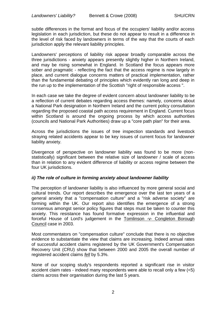subtle differences in the format and focus of the occupiers' liability and/or access legislation in each jurisdiction, but these do not appear to result in a difference in the level of risk faced by landowners in terms of the way that the courts of each jurisdiction apply the relevant liability principles.

Landowners' perceptions of liability risk appear broadly comparable across the three jurisdictions - anxiety appears presently slightly higher in Northern Ireland, and may be rising somewhat in England. In Scotland the focus appears more sober and pragmatic - reflecting the fact that the access regime is now largely in place, and current dialogue concerns matters of practical implementation, rather than the fundamental debating of principles which evidently ran long and deep in the run up to the implementation of the Scottish "right of responsible access ".

In each case we take the degree of evident concern about landowner liability to be a reflection of current debates regarding access themes: namely, concerns about a National Park designation in Northern Ireland and the current policy consultation regarding the proposed coastal path access requirement in England. Current focus within Scotland is around the ongoing process by which access authorities (councils and National Park Authorities) draw up a "core path plan" for their area.

Across the jurisdictions the issues of tree inspection standards and livestock straying related accidents appear to be key issues of current focus for landowner liability anxiety.

Divergence of perspective on landowner liability was found to be more (nonstatistically) significant between the relative size of landowner / scale of access than in relation to any evident difference of liability or access regime between the four UK jurisdictions.

## *ii) The role of culture in forming anxiety about landowner liability*

The perception of landowner liability is also influenced by more general social and cultural trends. Our report describes the emergence over the last ten years of a general anxiety that a "compensation culture" and a "risk adverse society" are forming within the UK. Our report also identifies the emergence of a strong consensus amongst senior policy figures that steps must be taken to counter this anxiety. This resistance has found formative expression in the influential and forceful House of Lord's judgement in the Tomlinson -v- Congleton Borough Council case in 2003.

Most commentators on "compensation culture" conclude that there is no objective evidence to substantiate the view that claims are increasing. Indeed annual rates of successful accident claims registered by the UK Government's Compensation Recovery Unit (CRU) show that between 2000 and 2005 the overall number of registered accident claims *fell* by 5.3%.

None of our scoping study's respondents reported a significant rise in visitor accident claim rates - indeed many respondents were able to recall only a few (<5) claims across their organisation during the last 5 years.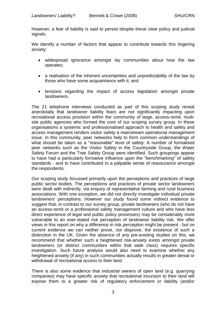However, a fear of liability is said to persist despite these clear policy and judicial signals.

We identify a number of factors that appear to contribute towards this lingering anxiety:

- widespread ignorance amongst lay communities about how the law operates;
- a realisation of the inherent uncertainties and unpredictability of the law by those who have some acquaintance with it; and
- tensions regarding the impact of access legislation amongst private landowners.

The 21 telephone interviews conducted as part of this scoping study reveal anecdotally that landowner liability fears are not significantly impacting upon recreational access provision within the community of large, access-remit, multisite public agencies who formed the core of our scoping survey group. In these organisations a systemic and professionalised approach to health and safety and access management renders visitor safety a mainstream operational management issue. In this community, peer networks help to form common understandings of what should be taken as a "reasonable" level of safety. A number of formalised peer networks such as the Visitor Safety in the Countryside Group, the Water Safety Forum and the Tree Safety Group were identified. Such groupings appear to have had a particularly formative influence upon the "benchmarking" of safety standards - and to have contributed to a palpable sense of reassurance amongst the respondents.

Our scoping study focussed primarily upon the perceptions and practices of large public sector bodies. The perceptions and practices of private sector landowners were dealt with indirectly, via enquiry of representative farming and rural business associations. With one exception, we did not directly investigate individual private landowners' perceptions. However our study found some indirect evidence to suggest that, in contrast to our survey group, private landowners (who do not have an access-remit or a professional safety management culture and who have less direct experience of legal and public policy processes) may be considerably more vulnerable to an over-stated risk perception of landowner liability risk. We offer views in this report on why a difference in risk perception might be present - but on current evidence we can neither prove, nor disprove, the existence of such a distinction in the UK. Given the absence of any pre-existing studies on this, we recommend that whether such a heightened risk-anxiety exists amongst private landowners (or distinct communities within that wide class) requires specific investigation. Such future analysis would also need to examine whether any heightened anxiety (if any) in such communities actually results in greater denial or withdrawal of recreational access to their land.

There is also some evidence that industrial owners of open land (e.g. quarrying companies) may have specific anxiety that recreational incursion to their land will expose them to a greater risk of regulatory enforcement or liability (and/or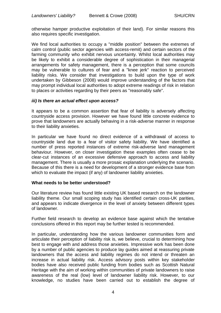otherwise hamper productive exploitation of their land). For similar reasons this also requires specific investigation.

We find local authorities to occupy a "middle position" between the extremes of calm control (public sector agencies with access-remit) and certain sectors of the farming community who exhibit nervous uncertainty. Whilst local authorities may be likely to exhibit a considerable degree of sophistication in their managerial arrangements for safety management, there is a perception that some councils may be vulnerable to cultures of fear and a "knee jerk" reaction to perceived liability risks. We consider that investigations to build upon the type of work undertaken by Gibbeson (2008) would improve understanding of the factors that may prompt individual local authorities to adopt extreme readings of risk in relation to places or activities regarding by their peers as "reasonably safe".

#### *iii) Is there an actual effect upon access?*

It appears to be a common assertion that fear of liability is adversely affecting countryside access provision. However we have found little concrete evidence to prove that landowners are actually behaving in a risk-adverse manner in response to their liability anxieties.

In particular we have found no direct evidence of a withdrawal of access to countryside land due to a fear of visitor safety liability. We have identified a number of press reported instances of extreme risk-adverse land management behaviour. However, on closer investigation these examples often cease to be clear-cut instances of an excessive defensive approach to access and liability management. There is usually a more prosaic explanation underlying the scenario. Because of this there is a need for development of a stronger evidence base from which to evaluate the impact (if any) of landowner liability anxieties.

#### **What needs to be better understood?**

Our literature review has found little existing UK based research on the landowner liability theme. Our small scoping study has identified certain cross-UK parities, and appears to indicate divergence in the level of anxiety between different types of landowner.

Further field research to develop an evidence base against which the tentative conclusions offered in this report may be further tested is recommended.

In particular, understanding how the various landowner communities form and articulate their perception of liability risk is, we believe, crucial to determining how best to engage with and address those anxieties. Impressive work has been done by a number of public agencies to produce lay guides aimed at reassuring private landowners that the access and liability regimes do not intend or threaten an increase in actual liability risk. Access advisory posts within key stakeholder bodies have also received public funding from bodies such as Scottish Natural Heritage with the aim of working within communities of private landowners to raise awareness of the real (low) level of landowner liability risk. However, to our knowledge, no studies have been carried out to establish the degree of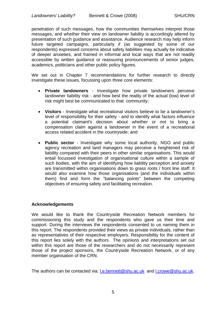penetration of such messages, how the communities themselves interpret those messages, and whether their view on landowner liability is accordingly altered by presentation of such guidance and assistance. Audience research may help inform future targeted campaigns, particularly if (as suggested by some of our respondents) expressed concerns about safety liabilities may actually be indicative of deeper anxieties, and framed in informal and local ways that are not readily accessible by written guidance or reassuring pronouncements of senior judges, academics, politicians and other public policy figures.

We set out in Chapter 7 recommendations for further research to directly investigate these issues, focussing upon three core elements:

- **Private landowners** Investigate how private landowners perceive landowner liability risk - and how best the reality of the actual (low) level of risk might best be communicated to that community;
- **Visitors** Investigate what recreational visitors believe to be a landowner's level of responsibility for their safety - and to identify what factors influence a potential claimant's decision about whether or not to bring a compensation claim against a landowner in the event of a recreational access related accident in the countryside; and
- **Public sector** Investigate why some local authority, NGO and public agency recreation and land managers may perceive a heightened risk of liability compared with their peers in other similar organisations. This would entail focussed investigation of organisational culture within a sample of such bodies, with the aim of identifying how liability perception and anxiety are transmitted within organisations down to grass roots / front line staff. It would also examine how those organisations (and the individuals within them) find and form the "balancing points" between the competing objectives of ensuring safety and facilitating recreation.

## **Acknowledgements**

We would like to thank the Countryside Recreation Network members for commissioning this study and the respondents who gave us their time and support. During the interviews the respondents consented to us naming them in this report. The respondents provided their views as private individuals, rather than as representatives of their respective employers. Responsibility for the content of this report lies solely with the authors. The opinions and interpretations set out within this report are those of the researchers and do not necessarily represent those of the project sponsors, the Countryside Recreation Network, or of any member organisation of the CRN.

The authors can be contacted via: I.e.bennett@shu.ac.uk and I.crowe@shu.ac.uk.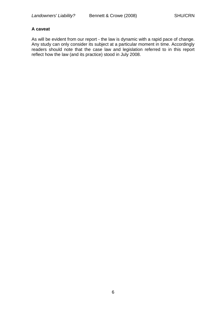## **A caveat**

As will be evident from our report - the law is dynamic with a rapid pace of change. Any study can only consider its subject at a particular moment in time. Accordingly readers should note that the case law and legislation referred to in this report reflect how the law (and its practice) stood in July 2008.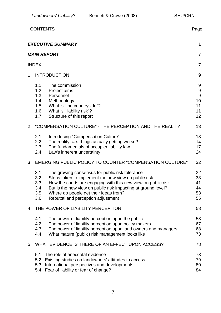|                |                                                                 | <b>CONTENTS</b>                                                                                                                                                                                                                                                                                                          | Page                                                            |
|----------------|-----------------------------------------------------------------|--------------------------------------------------------------------------------------------------------------------------------------------------------------------------------------------------------------------------------------------------------------------------------------------------------------------------|-----------------------------------------------------------------|
|                |                                                                 | <b>EXECUTIVE SUMMARY</b>                                                                                                                                                                                                                                                                                                 | 1                                                               |
|                |                                                                 | <b>MAIN REPORT</b>                                                                                                                                                                                                                                                                                                       | $\overline{7}$                                                  |
|                | <b>INDEX</b>                                                    |                                                                                                                                                                                                                                                                                                                          | $\overline{7}$                                                  |
| 1              |                                                                 | <b>INTRODUCTION</b>                                                                                                                                                                                                                                                                                                      | 9                                                               |
|                | 1.1<br>1.2<br>1.3<br>1.4<br>1.5<br>1.6<br>1.7                   | The commission<br>Project aims<br>Personnel<br>Methodology<br>What is "the countryside"?<br>What is "liability risk"?<br>Structure of this report                                                                                                                                                                        | 9<br>$\boldsymbol{9}$<br>$\overline{9}$<br>10<br>11<br>11<br>12 |
| $\overline{2}$ |                                                                 | "COMPENSATION CULTURE" - THE PERCEPTION AND THE REALITY                                                                                                                                                                                                                                                                  | 13                                                              |
|                | 2.1<br>2.2<br>2.3<br>2.4                                        | Introducing "Compensation Culture"<br>The reality: are things actually getting worse?<br>The fundamentals of occupier liability law<br>Law's inherent uncertainty                                                                                                                                                        | 13<br>14<br>17<br>24                                            |
| 3              | <b>EMERGING PUBLIC POLICY TO COUNTER "COMPENSATION CULTURE"</b> |                                                                                                                                                                                                                                                                                                                          | 32                                                              |
|                | 3.1<br>3.2<br>3.3<br>3.4<br>3.5<br>3.6                          | The growing consensus for public risk tolerance<br>Steps taken to implement the new view on public risk<br>How the courts are engaging with this new view on public risk<br>But is the new view on public risk impacting at ground level?<br>Where do people get their ideas from?<br>Rebuttal and perception adjustment | 32<br>38<br>41<br>44<br>53<br>55                                |
| 4              | THE POWER OF LIABILITY PERCEPTION                               |                                                                                                                                                                                                                                                                                                                          |                                                                 |
|                | 4.1<br>4.2<br>4.3<br>4.4                                        | The power of liability perception upon the public<br>The power of liability perception upon policy makers<br>The power of liability perception upon land owners and managers<br>What mature (public) risk management looks like                                                                                          | 58<br>67<br>68<br>73                                            |
| 5              | WHAT EVIDENCE IS THERE OF AN EFFECT UPON ACCESS?                |                                                                                                                                                                                                                                                                                                                          |                                                                 |
|                | 5.1<br>5.2<br>5.4                                               | The role of anecdotal evidence<br>Existing studies on landowners' attitudes to access<br>5.3 International perspectives and developments<br>Fear of liability or fear of change?                                                                                                                                         | 78<br>79<br>80<br>84                                            |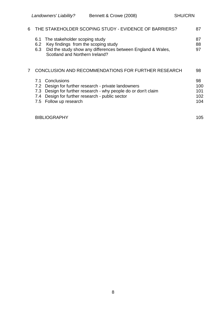| 6 | THE STAKEHOLDER SCOPING STUDY - EVIDENCE OF BARRIERS?                                                                                                                                                                              |                                |  |
|---|------------------------------------------------------------------------------------------------------------------------------------------------------------------------------------------------------------------------------------|--------------------------------|--|
|   | The stakeholder scoping study<br>6.1<br>Key findings from the scoping study<br>6.2<br>Did the study show any differences between England & Wales,<br>6.3<br>Scotland and Northern Ireland?                                         | 87<br>88<br>97                 |  |
| 7 | CONCLUSION AND RECOMMENDATIONS FOR FURTHER RESEARCH                                                                                                                                                                                |                                |  |
|   | Conclusions<br>7.1<br>Design for further research - private landowners<br>7.2<br>Design for further research - why people do or don't claim<br>7.3<br>Design for further research - public sector<br>7.4<br>7.5 Follow up research | 98<br>100<br>101<br>102<br>104 |  |
|   | <b>BIBLIOGRAPHY</b>                                                                                                                                                                                                                | 105                            |  |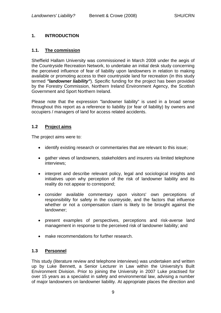## **1. INTRODUCTION**

## **1.1. The commission**

Sheffield Hallam University was commissioned in March 2008 under the aegis of the Countryside Recreation Network, to undertake an initial desk study concerning the perceived influence of fear of liability upon landowners in relation to making available or promoting access to their countryside land for recreation (in this study termed *"landowner liability"*). Specific funding for the project has been provided by the Forestry Commission, Northern Ireland Environment Agency, the Scottish Government and Sport Northern Ireland.

Please note that the expression "landowner liability" is used in a broad sense throughout this report as a reference to liability (or fear of liability) by owners and occupiers / managers of land for access related accidents.

## **1.2 Project aims**

The project aims were to:

- identify existing research or commentaries that are relevant to this issue;
- gather views of landowners, stakeholders and insurers via limited telephone interviews;
- interpret and describe relevant policy, legal and sociological insights and initiatives upon why perception of the risk of landowner liability and its reality do not appear to correspond;
- consider available commentary upon visitors' own perceptions of responsibility for safety in the countryside, and the factors that influence whether or not a compensation claim is likely to be brought against the landowner;
- present examples of perspectives, perceptions and risk-averse land management in response to the perceived risk of landowner liability; and
- make recommendations for further research.

## **1.3 Personnel**

This study (literature review and telephone interviews) was undertaken and written up by Luke Bennett, a Senior Lecturer in Law within the University's Built Environment Division. Prior to joining the University in 2007 Luke practised for over 15 years as a specialist in safety and environmental law, advising a number of major landowners on landowner liability. At appropriate places the direction and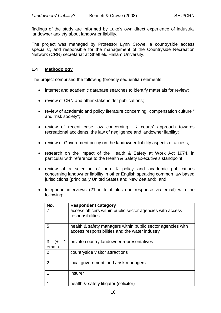findings of the study are informed by Luke's own direct experience of industrial landowner anxiety about landowner liability.

The project was managed by Professor Lynn Crowe, a countryside access specialist, and responsible for the management of the Countryside Recreation Network (CRN) secretariat at Sheffield Hallam University.

## **1.4 Methodology**

The project comprised the following (broadly sequential) elements:

- internet and academic database searches to identify materials for review;
- review of CRN and other stakeholder publications;
- review of academic and policy literature concerning "compensation culture " and "risk society";
- review of recent case law concerning UK courts' approach towards recreational accidents, the law of negligence and landowner liability;
- review of Government policy on the landowner liability aspects of access;
- research on the impact of the Health & Safety at Work Act 1974, in particular with reference to the Health & Safety Executive's standpoint;
- review of a selection of non-UK policy and academic publications concerning landowner liability in other English speaking common law based jurisdictions (principally United States and New Zealand); and
- telephone interviews (21 in total plus one response via email) with the following:

| No.                      | <b>Respondent category</b>                                                                                    |
|--------------------------|---------------------------------------------------------------------------------------------------------------|
|                          | access officers within public sector agencies with access<br>responsibilities                                 |
| 5                        | health & safety managers within public sector agencies with<br>access responsibilities and the water industry |
| 3<br>1<br>$(+$<br>email) | private country landowner representatives                                                                     |
| 2                        | countryside visitor attractions                                                                               |
| 2                        | local government land / risk managers                                                                         |
|                          | insurer                                                                                                       |
|                          | health & safety litigator (solicitor)                                                                         |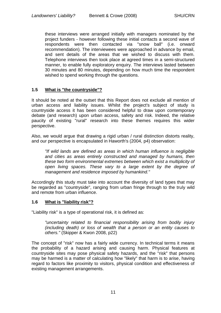these interviews were arranged initially with managers nominated by the project funders - however following these initial contacts a second wave of respondents were then contacted via "snow ball" (i.e. onward recommendation). The interviewees were approached in advance by email, and sent details of the areas that we wished to discuss with them. Telephone interviews then took place at agreed times in a semi-structured manner, to enable fully exploratory enquiry. The interviews lasted between 30 minutes and 80 minutes, depending on how much time the respondent wished to spend working through the questions.

## **1.5 What is "the countryside"?**

It should be noted at the outset that this Report does not exclude all mention of urban access and liability issues. Whilst the project's subject of study is countryside access it has been considered helpful to draw upon contemporary debate (and research) upon urban access, safety and risk. Indeed, the relative paucity of existing "rural" research into these themes requires this wider perspective.

Also, we would argue that drawing a rigid urban / rural distinction distorts reality, and our perspective is encapsulated in Haworth's (2004, p4) observation:

*"If wild lands are defined as areas in which human influence is negligible and cities as areas entirely constructed and managed by humans, then these two form environmental extremes between which exist a multiplicity of open living spaces. These vary to a large extent by the degree of management and residence imposed by humankind."* 

Accordingly this study must take into account the diversity of land types that may be regarded as "countryside", ranging from urban fringe through to the truly wild and remote from urban influence.

## **1.6 What is "liability risk"?**

"Liability risk" is a type of operational risk, it is defined as:

*"uncertainty related to financial responsibility arising from bodily injury (including death) or loss of wealth that a person or an entity causes to others."* (Skipper & Kwon 2008, p22)

The concept of "risk" now has a fairly wide currency. In technical terms it means the probability of a hazard arising and causing harm. Physical features at countryside sites may pose physical safety hazards, and the "risk" that persons may be harmed is a matter of calculating how "likely" that harm is to arise, having regard to factors like proximity to visitors, physical condition and effectiveness of existing management arrangements.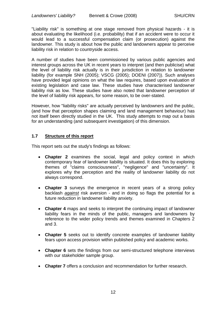"Liability risk" is something at one stage removed from physical hazards - it is about evaluating the likelihood (i.e. probability) that if an accident were to occur it would lead to a successful compensation claim (or prosecution) against the landowner. This study is about how the public and landowners appear to perceive liability risk in relation to countryside access.

A number of studies have been commissioned by various public agencies and interest groups across the UK in recent years to interpret (and then publicise) what the level of liability risk actually is in their jurisdiction in relation to landowner liability (for example SNH (2005); VSCG (2005); DOENI (2007)). Such analyses have provided legal opinions on what the law requires, based upon evaluation of existing legislation and case law. These studies have characterised landowner liability risk as low. These studies have also noted that landowner perception of the level of liability risk appears, for some reason, to be over-stated.

However, how "liability risks" are actually perceived by landowners and the public, (and how that perception shapes claiming and land management behaviour) has not itself been directly studied in the UK. This study attempts to map out a basis for an understanding (and subsequent investigation) of this dimension.

## **1.7 Structure of this report**

This report sets out the study's findings as follows:

- **Chapter 2** examines the social, legal and policy context in which contemporary fear of landowner liability is situated. It does this by exploring themes of "claims consciousness", "negligence" and "uncertainty". It explores why the perception and the reality of landowner liability do not always correspond.
- **Chapter 3** surveys the emergence in recent years of a strong policy backlash *against* risk aversion - and in doing so flags the potential for a future reduction in landowner liability anxiety.
- **Chapter 4** maps and seeks to interpret the continuing impact of landowner liability fears in the minds of the public, managers and landowners by reference to the wider policy trends and themes examined in Chapters 2 and 3.
- **Chapter 5** seeks out to identify concrete examples of landowner liability fears upon access provision within published policy and academic works.
- **Chapter 6** sets the findings from our semi-structured telephone interviews with our stakeholder sample group.
- **Chapter 7** offers a conclusion and recommendation for further research.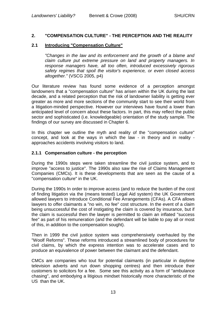## **2. "COMPENSATION CULTURE" - THE PERCEPTION AND THE REALITY**

## **2.1 Introducing "Compensation Culture"**

*"Changes in the law and its enforcement and the growth of a blame and claim culture put extreme pressure on land and property managers. In response managers have, all too often, introduced excessively rigorous safety regimes that spoil the visitor's experience, or even closed access altogether."* (VSCG 2005, p4)

Our literature review has found some evidence of a perception amongst landowners that a "compensation culture" has arisen within the UK during the last decade, and a related perception that the risk of landowner liability is getting ever greater as more and more sections of the community start to see their world from a litigation-minded perspective. However our interviews have found a lower than anticipated level of concern about these factors. In part, this may reflect the public sector and sophisticated (i.e. knowledgeable) orientation of the study sample. The findings of our survey are discussed in Chapter 6.

In this chapter we outline the myth and reality of the "compensation culture" concept, and look at the ways in which the law - in theory and in reality approaches accidents involving visitors to land.

## **2.1.1 Compensation culture - the perception**

During the 1990s steps were taken streamline the civil justice system, and to improve "access to justice". The 1990s also saw the rise of Claims Management Companies (CMCs). It is these developments that are seen as the cause of a "compensation culture" in the UK.

During the 1990s In order to improve access (and to reduce the burden of the cost of finding litigation via the (means tested) Legal Aid system) the UK Government allowed lawyers to introduce Conditional Fee Arrangements (CFAs). A CFA allows lawyers to offer claimants a "no win, no fee" cost structure. In the event of a claim being unsuccessful the cost of instigating the claim is covered by insurance, but if the claim is successful then the lawyer is permitted to claim an inflated "success fee" as part of his remuneration (and the defendant will be liable to pay all or most of this, in addition to the compensation sought).

Then in 1999 the civil justice system was comprehensively overhauled by the "Woolf Reforms". These reforms introduced a streamlined body of procedures for civil claims, by which the express intention was to accelerate cases and to produce an equivalence of power between the claimant and the defendant.

CMCs are companies who tout for potential claimants (in particular in daytime television adverts and run down shopping centres) and then introduce their customers to solicitors for a fee. Some see this activity as a form of "ambulance chasing", and embodying a litigious mindset historically more characteristic of the US than the UK.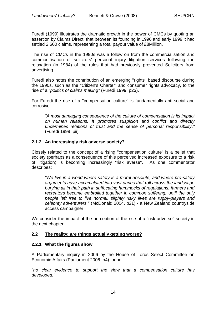Furedi (1999) illustrates the dramatic growth in the power of CMCs by quoting an assertion by Claims Direct, that between its founding in 1996 and early 1999 it had settled 2,600 claims, representing a total payout value of £8Million.

The rise of CMCs in the 1990s was a follow on from the commercialisation and commoditisation of solicitors' personal injury litigation services following the relaxation (in 1984) of the rules that had previously prevented Solicitors from advertising.

Furedi also notes the contribution of an emerging "rights" based discourse during the 1990s, such as the "Citizen's Charter" and consumer rights advocacy, to the rise of a *"politics of claims making"* (Furedi 1999, p23).

For Furedi the rise of a "compensation culture" is fundamentally anti-social and corrosive:

*"A most damaging consequence of the culture of compensation is its impact on human relations. It promotes suspicion and conflict and directly undermines relations of trust and the sense of personal responsibility."* (Furedi 1999, pii)

## **2.1.2 An increasingly risk adverse society?**

Closely related to the concept of a rising "compensation culture" is a belief that society (perhaps as a consequence of this perceived increased exposure to a risk of litigation) is becoming increasingly "risk averse". As one commentator describes:

*"We live in a world where safety is a moral absolute, and where pro-safety arguments have accumulated into vast dunes that roll across the landscape burying all in their path in suffocating hummocks of regulations: farmers and recreators become embroiled together in common suffering, until the only people left free to live normal, slightly risky lives are rugby-players and celebrity adventurers."* (McDonald 2004, p21) - a New Zealand countryside access campaigner

We consider the impact of the perception of the rise of a "risk adverse" society in the next chapter.

## **2.2 The reality:** *are* **things actually getting worse?**

## **2.2.1 What the figures show**

A Parliamentary inquiry in 2006 by the House of Lords Select Committee on Economic Affairs (Parliament 2006, p4) found:

*"no clear evidence to support the view that a compensation culture has developed."*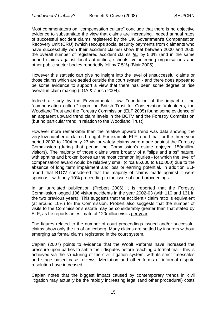Most commentators on "compensation culture" conclude that there is no objective evidence to substantiate the view that claims are increasing. Indeed annual rates of successful accident claims registered by the UK Government's Compensation Recovery Unit (CRU) (which recoups social security payments from claimants who have successfully won their accident claims) show that between 2000 and 2005 the overall number of registered accident claims *fell* by 5.3% (and in the same period claims against local authorities, schools, volunteering organisations and other public sector bodies reportedly fell by 7.5%) (Blair 2005).

However this statistic can give no insight into the level of unsuccessful claims or those claims which are settled outside the court system - and there does appear to be some evidence to support a view that there has been some degree of rise overall in claim making (LGA & Zurich 2004).

Indeed a study by the Environmental Law Foundation of the impact of the "compensation culture" upon the British Trust for Conservation Volunteers, the Woodland Trust and the Forestry Commission (ELF 2005) found some evidence of an apparent upward trend claim levels in the BCTV and the Forestry Commission (but no particular trend in relation to the Woodland Trust).

However more remarkable than the relative upward trend was data showing the very low number of claims brought. For example ELF report that for the three year period 2002 to 2004 only 23 visitor safety claims were made against the Forestry Commission (during that period the Commission's estate enjoyed 150million visitors). The majority of those claims were broadly of a "slips and trips" nature, with sprains and broken bones as the most common injuries - for which the level of compensation award would be relatively small (circa £5,000 to £10,000) due to the absence of long term impairment and loss or earning potential. In addition ELF report that BTCV considered that the majority of claims made against it were spurious - with only 10% proceeding to the issue of court proceedings.

In an unrelated publication (Probert 2006) it is reported that the Forestry Commission logged 106 visitor accidents in the year 2002-03 (with 110 and 131 in the two previous years). This suggests that the accident / claim ratio is equivalent (at around 10%) for the Commission. Probert also suggests that the number of visits to the Commission's estate may be considerably greater than that stated by ELF, as he reports an estimate of 120million visits per year.

The figures related to the number of court proceedings issued and/or successful claims show only the tip of an iceberg. Many claims are settled by insurers without emerging as formal claims registered in the court system.

Caplan (2007) points to evidence that the Woolf Reforms have increased the pressure upon parties to settle their disputes before reaching a formal trial - this is achieved via the structuring of the civil litigation system, with its strict timescales and stage based case reviews. Mediation and other forms of informal dispute resolution have increased.

Caplan notes that the biggest impact caused by contemporary trends in civil litigation may actually be the rapidly increasing legal (and other procedural) costs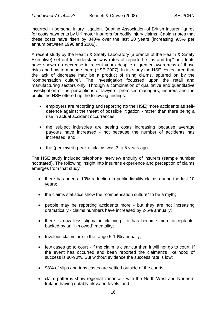incurred in personal injury litigation. Quoting Association of British Insurer figures for costs payments by UK motor insurers for bodily injury claims, Caplan notes that these costs have risen by 840% over the last 20 years (increasing 9.5% per annum between 1996 and 2006).

A recent study by the Health & Safety Laboratory (a branch of the Health & Safety Executive) set out to understand why rates of reported "slips and trip" accidents have shown no decrease in recent years despite a greater awareness of those risks and how to manage them (HSE 2007). In its study the HSE conjectured that the lack of decrease may be a product of rising claims, spurred on by the "compensation culture". The investigation focussed upon the retail and manufacturing sectors only. Through a combination of qualitative and quantitative investigation of the perceptions of lawyers, premises managers, insurers and the public the HSE offered up the following findings:

- employers are recording and reporting (to the HSE) more accidents as selfdefence against the threat of possible litigation - rather than there being a rise in actual accident occurrences;
- the subject industries are seeing costs increasing because average payouts have increased - not because the number of accidents has increased; and
- $\bullet$  the (perceived) peak of claims was 3 to 5 years ago.

The HSE study included telephone interview enquiry of insurers (sample number not stated). The following insight into insurer's experience and perception of claims emerges from that study:

- there has been a 10% reduction in public liability claims during the last 10 years;
- the claims statistics show the "compensation culture" to be a myth;
- people may be reporting accidents more but they are not increasing dramatically - claims numbers have increased by 2-5% annually;
- there is now less stigma in claiming it has become more acceptable, backed by an "I'm owed" mentality;
- frivolous claims are in the range 5-10% annually;
- few cases go to court if the claim is clear cut then it will not go to court. If the event has occurred and been reported the claimant's likelihood of success is 80-90%. But without evidence the success rate is low;
- 98% of slips and trips cases are settled outside of the courts;
- claim patterns show regional variance with the North West and Northern Ireland having notably elevated levels; and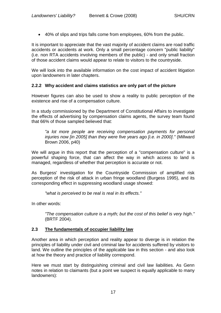40% of slips and trips falls come from employees, 60% from the public.

It is important to appreciate that the vast majority of accident claims are road traffic accidents or accidents at work. Only a small percentage concern "public liability" (i.e. non RTA accidents involving members of the public) - and only small fraction of those accident claims would appear to relate to visitors to the countryside.

We will look into the available information on the cost impact of accident litigation upon landowners in later chapters.

## **2.2.2 Why accident and claims statistics are only part of the picture**

However figures can also be used to show a reality to public perception of the existence and rise of a compensation culture.

In a study commissioned by the Department of Constitutional Affairs to investigate the effects of advertising by compensation claims agents, the survey team found that 66% of those sampled believed that:

*"a lot more people are receiving compensation payments for personal injuries now [in 2005] than they were five years ago [i.e. in 2000]."* (Millward Brown 2006, p40)

We will argue in this report that the perception of a "compensation culture" is a powerful shaping force, that can affect the way in which access to land is managed, regardless of whether that perception is accurate or not.

As Burgess' investigation for the Countryside Commission of amplified risk perception of the risk of attack in urban fringe woodland (Burgess 1995), and its corresponding effect in suppressing woodland usage showed:

*"what is perceived to be real is real in its effects."*

In other words:

*"The compensation culture is a myth; but the cost of this belief is very high."* (BRTF 2004).

## **2.3 The fundamentals of occupier liability law**

Another area in which perception and reality appear to diverge is in relation the principles of liability under civil and criminal law for accidents suffered by visitors to land. We outline the principles of the applicable law in this section - and also look at how the theory and practice of liability correspond.

Here we must start by distinguishing criminal and civil law liabilities. As Genn notes in relation to claimants (but a point we suspect is equally applicable to many landowners):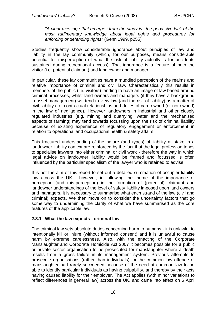*"A clear message that emerges from the study is...the pervasive lack of the most rudimentary knowledge about legal rights and procedures for enforcing or defending rights"* (Genn 1999, p255)

Studies frequently show considerable ignorance about principles of law and liability in the lay community (which, for our purposes, means considerable potential for misperception of what the risk of liability actually is for accidents sustained during recreational access). That ignorance is a feature of both the visitor (i.e. potential claimant) and land owner and manager.

In particular, these lay communities have a muddled perception of the realms and relative importance of criminal and civil law. Characteristically this results in members of the public (i.e. visitors) tending to have an image of law based around criminal processes, whilst land owners and managers (if they have a background in asset management) will tend to view law (and the risk of liability) as a matter of civil liability (i.e. contractual relationships and duties of care owned (or not owned) in the law of negligence). However landowners in industrial and other closely regulated industries (e.g. mining and quarrying, water and the mechanised aspects of farming) may tend towards focussing upon the risk of criminal liability because of existing experience of regulatory engagement or enforcement in relation to operational and occupational health & safety affairs.

This fractured understanding of the nature (and types) of liability at stake in a landowner liability context are reinforced by the fact that the legal profession tends to specialise lawyers into either criminal or civil work - therefore the way in which legal advice on landowner liability would be framed and focussed is often influenced by the particular specialism of the lawyer who is retained to advise.

It is not the aim of this report to set out a detailed summation of occupier liability law across the UK - however, in following the theme of the importance of perception (and mis-perception) in the formation of (potential) claimant and landowner understandings of the level of safety liability imposed upon land owners and managers, it is necessary to summarise what each strand of the law (civil and criminal) expects. We then move on to consider the uncertainty factors that go some way to undermining the clarity of what we have summarised as the core features of the applicable law.

## **2.3.1 What the law expects - criminal law**

The criminal law sets absolute duties concerning harm to humans - it is unlawful to intentionally kill or injure (without informed consent) and it is unlawful to cause harm by extreme carelessness. Also, with the enacting of the Corporate Manslaughter and Corporate Homicide Act 2007 it becomes possible for a public or private sector organisation to be prosecuted for manslaughter where a death results from a gross failure in its management system. Previous attempts to prosecute organisations (rather than individuals) for the common law offence of manslaughter had rarely succeeded because of the need at common law to be able to identify particular individuals as having culpability, and thereby by their acts having caused liability for their employer. The Act applies (with minor variations to reflect differences in general law) across the UK, and came into effect on 6 April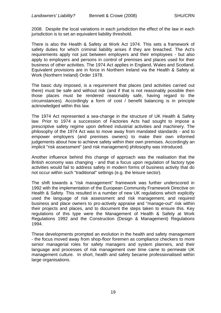2008. Despite the local variations in each jurisdiction the effect of the law in each jurisdiction is to set an equivalent liability threshold.

There is also the Health & Safety at Work Act 1974. This sets a framework of safety duties for which criminal liability arises if they are breached. The Act's requirements apply not just between employers and their employees - but also apply to employers and persons in control of premises and places used for their business of other activities. The 1974 Act applies in England, Wales and Scotland. Equivalent provisions are in force in Northern Ireland via the Health & Safety at Work (Northern Ireland) Order 1978.

The basic duty imposed, is a requirement that places (and activities carried out there) must be safe and without risk (and if that is not reasonably possible then those places must be rendered reasonably safe, having regard to the circumstances). Accordingly a form of cost / benefit balancing is in principle acknowledged within this law.

The 1974 Act represented a sea-change in the structure of UK Health & Safety law. Prior to 1974 a succession of Factories Acts had sought to impose a prescriptive safety regime upon defined industrial activities and machinery. The philosophy of the 1974 Act was to move away from mandated standards - and to empower employers (and premises owners) to make their own informed judgements about how to achieve safety within their own premises. Accordingly an implicit "risk assessment" (and risk management) philosophy was introduced.

Another influence behind this change of approach was the realisation that the British economy was changing - and that a focus upon regulation of factory type activities would fail to address safety in modern forms of business activity that do not occur within such "traditional" settings (e.g. the leisure sector).

The shift towards a "risk management" framework was further underscored in 1992 with the implementation of the European Community Framework Directive on Health & Safety. This resulted in a number of new UK regulations which explicitly used the language of risk assessment and risk management, and required business and place owners to pro-actively appraise and "manage-out" risk within their projects and places, and to document the steps taken to ensure this. Key regulations of this type were the Management of Health & Safety at Work Regulations 1992 and the Construction (Design & Management) Regulations 1994.

These developments prompted an evolution in the health and safety management - the focus moved away from shop-floor foremen as compliance checkers to more senior managerial roles for safety managers and system planners, and their language and processes of risk management over time came to permeate UK management culture. In short, health and safety became professionalised within large organisations.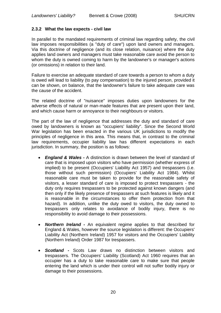## **2.3.2 What the law expects - civil law**

In parallel to the mandated requirements of criminal law regarding safety, the civil law imposes responsibilities (a "duty of care") upon land owners and managers. Via this doctrine of negligence (and its close relation, nuisance) where the duty applies land owners and managers must take reasonable care avoid the person to whom the duty is owned coming to harm by the landowner's or manager's actions (or omissions) in relation to their land.

Failure to exercise an adequate standard of care towards a person to whom a duty is owed will lead to liability (to pay compensation) to the injured person, provided it can be shown, on balance, that the landowner's failure to take adequate care was the cause of the accident.

The related doctrine of "nuisance" imposes duties upon landowners for the adverse effects of natural or man-made features that are present upon their land, and which cause harm or annoyance to their neighbours or visitors.

The part of the law of negligence that addresses the duty and standard of care owed by landowners is known as "occupiers' liability". Since the Second World War legislation has been enacted in the various UK jurisdictions to modify the principles of negligence in this area. This means that, in contrast to the criminal law requirements, occupier liability law has different expectations in each jurisdiction. In summary, the position is as follows:

- *England & Wales -* A distinction is drawn between the level of standard of care that is imposed upon visitors who have permission (whether express of implied) to be present (Occupiers' Liability Act 1957) and trespassers (i.e. those without such permission) (Occupiers' Liability Act 1984). Whilst reasonable care must be taken to provide for the reasonable safety of visitors, a lesser standard of care is imposed to protect trespassers - the duty only requires trespassers to be protected against known dangers (and then only if the likely presence of trespassers at such features is likely and it is reasonable in the circumstances to offer them protection from that hazard). In addition, unlike the duty owed to visitors, the duty owned to trespassers only relates to avoidance of bodily injury, there is no responsibility to avoid damage to their possessions.
- *Northern Ireland -* An equivalent regime applies to that described for England & Wales, however the source legislation is different: the Occupiers' Liability Act (Northern Ireland) 1957 for visitors and the Occupiers' Liability (Northern Ireland) Order 1987 for trespassers.
- *Scotland -* Scots Law draws no distinction between visitors and trespassers. The Occupiers' Liability (Scotland) Act 1960 requires that an occupier has a duty to take reasonable care to make sure that people entering the land which is under their control will not suffer bodily injury or damage to their possessions.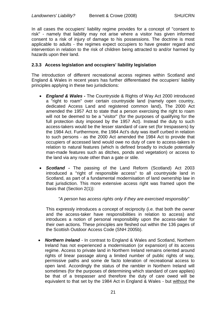In all cases the occupiers' liability regime provides for a concept of "consent to risk" - namely that liability may not arise where a visitor has given informed consent to a risk of injury of damage to his possessions. The doctrine is most applicable to adults - the regimes expect occupiers to have greater regard and intervention in relation to the risk of children being attracted to and/or harmed by hazards upon their land.

## **2.3.3 Access legislation and occupiers' liability legislation**

The introduction of different recreational access regimes within Scotland and England & Wales in recent years has further differentiated the occupiers' liability principles applying in these two jurisdictions:

- *England & Wales -* The Countryside & Rights of Way Act 2000 introduced a "right to roam" over certain countryside land (namely open country, dedicated Access Land and registered common land)**.** The 2000 Act amended the 1957 Act to state that a person exercising the right to roam will not be deemed to be a "visitor" (for the purposes of qualifying for the full protection duty imposed by the 1957 Act). Instead the duty to such access-takers would be the lesser standard of care set (for trespassers) by the 1984 Act. Furthermore, the 1984 Act's duty was itself curbed in relation to such persons - as the 2000 Act amended the 1984 Act to provide that occupiers of accessed land would owe no duty of care to access-takers in relation to natural features (which is defined broadly to include potentially man-made features such as ditches, ponds and vegetation) or access to the land via any route other than a gate or stile.
- *Scotland -* The passing of the Land Reform (Scotland) Act 2003 introduced a "right of responsible access" to all countryside land in Scotland, as part of a fundamental modernisation of land ownership law in that jurisdiction. This more extensive access right was framed upon the basis that (Section 2(1)):

#### *"A person has access rights only if they are exercised responsibly"*

This expressly introduces a concept of reciprocity (i.e. that both the owner and the access-taker have responsibilities in relation to access) and introduces a notion of personal responsibility upon the access-taker for their own actions. These principles are fleshed out within the 136 pages of the Scottish Outdoor Access Code (SNH 2005b).

 *Northern Ireland* - In contrast to England & Wales and Scotland, Northern Ireland has not experienced a modernisation (or expansion) of its access regime. Access to private land in Northern Ireland remains oriented around rights of linear passage along a limited number of public rights of way, permissive paths and some de facto toleration of recreational access to open land. Accordingly the status of the rambler in Northern Ireland will sometimes (for the purposes of determining which standard of care applies) be that of a trespasser and therefore the duty of care owed will be equivalent to that set by the 1984 Act in England & Wales - but without the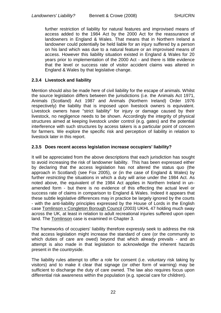further restriction of liability for natural features and improvised means of access added to the 1984 Act by the 2000 Act for the reassurance of landowners in England & Wales. That means that in Northern Ireland a landowner could potentially be held liable for an injury suffered by a person on his land which was due to a natural feature or an improvised means of access. However this liability situation existed in England & Wales for 20 years prior to implementation of the 2000 Act - and there is little evidence that the level or success rate of visitor accident claims was altered in England & Wales by that legislative change.

## **2.3.4 Livestock and liability**

Mention should also be made here of civil liability for the escape of animals. Whilst the source legislation differs between the jurisdictions (i.e. the Animals Act 1971, Animals (Scotland) Act 1987 and Animals (Northern Ireland) Order 1976 respectively) the liability that is imposed upon livestock owners is equivalent. Livestock owners have "strict liability" for injury or damage caused by their livestock, no negligence needs to be shown. Accordingly the integrity of physical structures aimed at keeping livestock under control (e.g. gates) and the potential interference with such structures by access takers is a particular point of concern for farmers. We explore the specific risk and perception of liability in relation to livestock later in this report.

## **2.3.5 Does recent access legislation increase occupiers' liability?**

It will be appreciated from the above descriptions that each jurisdiction has sought to avoid increasing the risk of landowner liability. This has been expressed either by declaring that the access legislation has not altered the status quo (the approach in Scotland) (see Fox 2005), or (in the case of England & Wales) by further *restricting* the situations in which a duty will arise under the 1984 Act. As noted above, the equivalent of the 1984 Act applies in Northern Ireland in unamended form - but there is no evidence of this effecting the actual level or success rate of claims in comparison to England & Wales. Indeed it appears that these subtle legislative differences may in practice be largely ignored by the courts - with the anti-liability principles expressed by the House of Lords in the English case Tomlinson v Congleton Borough Council (2003) UKHL 47 holding much sway across the UK, at least in relation to adult recreational injuries suffered upon open land. The Tomlinson case is examined in Chapter 3.

The frameworks of occupiers' liability therefore expressly seek to address the risk that access legislation might increase the standard of care (or the community to which duties of care are owed) beyond that which already prevails - and an attempt is also made in that legislation to acknowledge the inherent hazards present in the countryside.

The liability rules attempt to offer a role for consent (i.e. voluntary risk taking by visitors) and to make it clear that signage (or other form of warning) may be sufficient to discharge the duty of care owned. The law also requires focus upon differential risk awareness within the population (e.g. special care for children).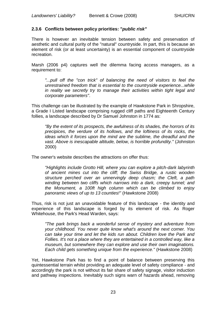## **2.3.6 Conflicts between policy priorities: "***public risk"*

There is however an inevitable tension between safety and preservation of aesthetic and cultural purity of the "natural" countryside. In part, this is because an element of risk (or at least uncertainty) is an essential component of countryside recreation.

Marsh (2006 p4) captures well the dilemma facing access managers, as a requirement to:

"...pull off the "con trick" of balancing the need of visitors to feel the *unrestrained freedom that is essential to the countryside experience...while in reality we secretly try to manage their activities within tight legal and corporate parameters"*.

This challenge can be illustrated by the example of Hawkstone Park in Shropshire, a Grade I Listed landscape comprising rugged cliff paths and Eighteenth Century follies, a landscape described by Dr Samuel Johnston in 1774 as:

*"By the extent of its prospects, the awfulness of its shades, the horrors of its precipices, the verdure of its hollows, and the loftiness of its rocks, the ideas which it forces upon the mind are the sublime, the dreadful and the vast. Above is inescapable altitude, below, is horrible profundity."* (Johnston 2000)

The owner's website describes the attractions on offer thus:

*"Highlights include Grotto Hill, where you can explore a pitch-dark labyrinth of ancient mines cut into the cliff; the Swiss Bridge, a rustic wooden structure perched over an unnervingly deep chasm; the Cleft, a path winding between two cliffs which narrows into a dark, creepy tunnel; and the Monument, a 100ft high column which can be climbed to enjoy panoramic views of up to 13 counties!"* (Hawkstone 2008)

Thus, risk is not just an unavoidable feature of this landscape - the identity and experience of this landscape is forged by its element of risk. As Roger Whitehouse, the Park's Head Warden, says:

*"The park brings back a wonderful sense of mystery and adventure from your childhood. You never quite know what's around the next corner. You can take your time and let the kids run about. Children love the Park and Follies. It's not a place where they are entertained in a controlled way, like a museum, but somewhere they can explore and use their own imaginations. Each child gets something unique from the experience."* (Hawkstone 2008)

Yet, Hawkstone Park has to find a point of balance between preserving this quintessential terrain whilst providing an adequate level of safety compliance - and accordingly the park is not without its fair share of safety signage, visitor induction and pathway inspections. Inevitably such signs warn of hazards ahead, removing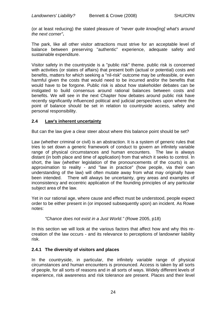(or at least reducing) the stated pleasure of *"never quite know[ing] what's around the next corner"***.**

The park, like all other visitor attractions must strive for an acceptable level of balance between preserving "authentic" experience, adequate safety and sustainable expenditure.

Visitor safety in the countryside is a "public risk" theme. public risk is concerned with activities (or states of affairs) that present both (actual or potential) costs and benefits, matters for which seeking a "nil-risk" outcome may be unfeasible, or even harmful given the costs that would need to be incurred and/or the benefits that would have to be forgone. Public risk is about how stakeholder debates can be instigated to build consensus around rational balances between costs and benefits. We will see in the next Chapter how debates around public risk have recently significantly influenced political and judicial perspectives upon where the point of balance should be set in relation to countryside access, safety and personal responsibility.

## **2.4 Law's inherent uncertainty**

But can the law give a clear steer about where this balance point should be set?

Law (whether criminal or civil) is an abstraction. It is a system of generic rules that tries to set down a generic framework of conduct to govern an infinitely variable range of physical circumstances and human encounters. The law is always distant (in both place and time of application) from that which it seeks to control. In short, the law (whether legislation of the pronouncements of the courts) is an approximation to reality - and "law in practice" (how people, via their own understanding of the law) will often mutate away from what may originally have been intended. There will always be uncertainty, grey areas and examples of inconsistency and eccentric application of the founding principles of any particular subject area of the law.

Yet in our rational age, where cause and effect must be understood, people expect order to be either present in (or imposed subsequently upon) an incident. As Rowe notes:

*"Chance does not exist in a Just World."* (Rowe 2005, p18)

In this section we will look at the various factors that affect how and why this recreation of the law occurs - and its relevance to perceptions of landowner liability risk.

## **2.4.1 The diversity of visitors and places**

In the countryside, in particular, the infinitely variable range of physical circumstances and human encounters is pronounced. Access is taken by all sorts of people, for all sorts of reasons and in all sorts of ways. Widely different levels of experience, risk awareness and risk tolerance are present. Places and their level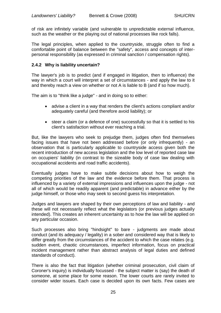of risk are infinitely variable (and vulnerable to unpredictable external influence, such as the weather or the playing out of national processes like rock falls).

The legal principles, when applied to the countryside, struggle often to find a comfortable point of balance between the "safety", access and concepts of interpersonal responsibility (as expressed in criminal sanction / compensation rights).

## **2.4.2 Why is liability uncertain?**

The lawyer's job is to predict (and if engaged in litigation, then to influence) the way in which a court will interpret a set of circumstances - and apply the law to it and thereby reach a view on whether or not A is liable to B (and if so how much).

The aim is to "think like a judge" - and in doing so to either:

- advise a client in a way that renders the client's actions compliant and/or adequately careful (and therefore avoid liability); or
- steer a claim (or a defence of one) successfully so that it is settled to his client's satisfaction without ever reaching a trial.

But, like the lawyers who seek to prejudge them, judges often find themselves facing issues that have not been addressed before (or only infrequently) - an observation that is particularly applicable to countryside access given both the recent introduction of new access legislation and the low level of reported case law on occupiers' liability (in contrast to the sizeable body of case law dealing with occupational accidents and road traffic accidents).

Eventually judges have to make subtle decisions about how to weigh the competing priorities of the law and the evidence before them. That process is influenced by a variety of external impressions and influences upon the judge - not all of which would be readily apparent (and predictable) in advance either by the judge himself, or those who may seek to second guess his interpretation.

Judges and lawyers are shaped by their own perceptions of law and liability - and these will not necessarily reflect what the legislators (or previous judges actually intended). This creates an inherent uncertainty as to how the law will be applied on any particular occasion.

Such processes also bring "hindsight" to bare - judgments are made about conduct (and its adequacy / legality) in a sober and considered way that is likely to differ greatly from the circumstances of the accident to which the case relates (e.g. sudden event, chaotic circumstances, imperfect information, focus on practical incident management rather than abstract analysis of legal duties and defined standards of conduct).

There is also the fact that litigation (whether criminal prosecution, civil claim of Coroner's inquiry) is individually focussed - the subject matter is (say) the death of someone, at some place for some reason. The lower courts are rarely invited to consider wider issues. Each case is decided upon its own facts. Few cases are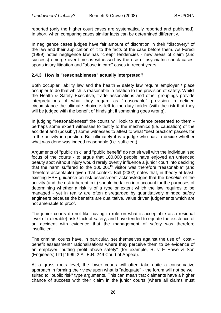reported (only the higher court cases are systematically reported and published). In short, when comparing cases similar facts can be determined differently.

In negligence cases judges have fair amount of discretion in their "discovery" of the law and their application of it to the facts of the case before them. As Furedi (1999) notes negligence law has "creep" tendencies - new areas of claim (and success) emerge over time as witnessed by the rise of psychiatric shock cases, sports injury litigation and "abuse in care" cases in recent years.

## **2.4.3 How is "reasonableness" actually interpreted?**

Both occupier liability law and the health & safety law require employer / place occupier to do that which is reasonable in relation to the provision of safety. Whilst the Health & Safety Executive, trade associations and other groupings provide interpretations of what they regard as "reasonable" provision in defined circumstance the ultimate choice is left to the duty holder (with the risk that they will be judged with the benefit of hindsight if something goes wrong).

In judging "reasonableness" the courts will look to evidence presented to them perhaps some expert witnesses to testify to the mechanics (i.e. causation) of the accident and (possibly) some witnesses to attest to what "best practice" passes for in the activity in question. But ultimately it is a judge who has to decide whether what was done was indeed reasonable (i.e. sufficient).

Arguments of "public risk" and "public benefit" do not sit well with the individualised focus of the courts - to argue that 100,000 people have enjoyed an unfenced beauty spot without injury would rarely overtly influence a junior court into deciding that the harm suffered to the  $100,001<sup>th</sup>$  visitor was therefore "reasonable" (and therefore acceptable) given that context. Ball (2002) notes that, in theory at least, existing HSE guidance on risk assessment acknowledges that the *benefits* of the activity (and the risk inherent in it) should be taken into account for the purposes of determining whether a risk is of a type or extent which the law requires to be managed - yet in reality are often disregarded by quantitatively minded safety engineers because the benefits are qualitative, value driven judgements which are not amenable to proof.

The junior courts do not like having to rule on what is acceptable as a residual level of (tolerable) risk / lack of safety, and have tended to equate the existence of an accident with evidence that the management of safety was therefore insufficient.

The criminal courts have, in particular, set themselves against the use of "cost benefit assessment" rationalisations where they perceive them to be evidence of an employer "putting profit above safety" (for example, R. v F Howe & Son (Engineers) Ltd [1999] 2 All E.R. 249 Court of Appeal).

At a grass roots level, the lower courts will often take quite a conservative approach in forming their view upon what is "adequate" - the forum will not be well suited to "public risk" type arguments. This can mean that claimants have a higher chance of success with their claim in the junior courts (where all claims must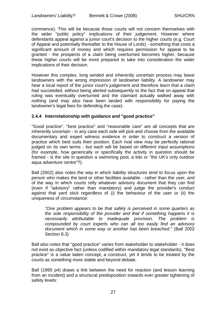commence). This will be because those courts will not concern themselves with the wider "public policy" implications of their judgement. However where defendants appeal against a junior court's decision to the higher courts (e.g. Court of Appeal and potentially thereafter to the House of Lords) - something that costs a significant amount of money and which requires permission for appeal to be granted - the prospects of a claim being overturned becomes higher, because these higher courts will be more prepared to take into consideration the wider implications of their decision.

However this complex, long winded and inherently uncertain process may leave landowners with the wrong impression of landowner liability. A landowner may hear a local report of the junior court's judgement and therefore learn that a claim had succeeded, without being alerted subsequently to the fact that on appeal that ruling was eventually overturned and the claimant actually walked away with nothing (and may also have been landed with responsibility for paying the landowner's legal fees for defending the case).

## **2.4.4 Interrelationship with guidance and "good practice"**

"Good practice", "best practice" and "reasonable care" are all concepts that are inherently uncertain - in any case each side will pick and choose from the available documentary and expert witness evidence in order to construct a version of practice which best suits their position. Each rival view may be perfectly rational judged on its own terms - but each will be based on different input assumptions (for example, how generically or specifically the activity in question should be framed - is the site in question a swimming pool, a lido or "the UK's only outdoor aqua adventure centre"?).

Ball (2002) also notes the way in which liability structures tend to focus upon the person who makes the land or other facilities available - rather than the user, and of the way in which courts reify whatever advisory document that they can find (even if "advisory" rather than mandatory) and judge the provider's conduct against that yard stick regardless of (i) the behaviour of the user or (ii) the uniqueness of circumstance:

*"One problem appears to be that safety is perceived in some quarters as the sole responsibility of the provider and that if something happens it is necessarily attributable to inadequate provision. The problem is compounded by court experts who can all too easily find an advisory document which in some way or another has been breached."* (Ball 2002 Section 8.3)

Ball also notes that "good practice" varies from stakeholder to stakeholder - it does not exist as objective fact (unless codified within mandatory legal standards). "Best practice" is a value laden concept, a construct, yet it tends to be treated by the courts as something more stable and beyond debate.

Ball (1995 p4) draws a link between the need for reaction (and lesson learning from an incident) and a structural predisposition towards ever greater tightening of safety levels: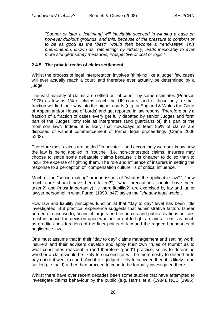*"Sooner or later a [claimant] will inevitably succeed in winning a case on however dubious grounds, and this, because of the pressure to conform or to be as good as the "best", would then become a trend-setter. This phenomenon, known as "ratcheting" by industry, leads inexorably to ever more stringent safety measures, irrespective of cost or logic."* 

## **2.4.5 The private realm of claim settlement**

Whilst the process of legal interpretation involves "thinking like a judge" few cases will ever actually reach a court, and therefore ever actually be determined by a judge.

The vast majority of claims are settled out of court - by some estimates (Pearson 1978) as few as 1% of claims reach the UK courts, and of those only a small fraction will find their way into the higher courts (e.g. in England & Wales the Court of Appeal and/or House of Lords) and get reported in law reports. Therefore only a fraction of a fraction of cases every get fully debated by senior Judges and form part of the Judges' lofty role as interpreters (and guardians of) this part of the "common law". Indeed it is likely that nowadays at least 85% of claims are disposed of without commencement of formal legal proceedings (Crane 2006 p208).

Therefore most claims are settled "in private" - and accordingly we don't know how the law is being applied in "routine" (i.e. non-contested) claims. Insurers may choose to settle some debatable claims because it is cheaper to do so than to incur the expense of fighting them. The role and influence of insurers in setting the response to a perception of "compensation culture" is of critical influence.

Much of the "sense making" around issues of "what is the applicable law?", "how much care should have been taken?", "what precautions should have been taken?" and (most importantly) "is there liability?" are exercised by lay and junior lawyer personnel in what Furedi (1999, p47) styles the *"shadow legal world"*.

How law and liability principles function at that "day to day" level has been little investigated. But practical experience suggests that administrative factors (sheer burden of case work), financial targets and resources and public relations policies must influence the decision upon whether or not to fight a claim at least as much as erudite considerations of the finer points of law and the ragged boundaries of negligence law.

One must assume that in their "day to day" claims management and settling work, insurers and their advisers develop and apply their own "rules of thumb" as to what constitutes reasonable (and therefore "good") practice, so as to determine whether a claim would be likely to succeed (or will be more costly to defend or to pay out) if it went to court. And if it is judged likely to succeed then it is likely to be settled (i.e. paid) rather than proceed to court to be formally investigated there.

Whilst there have over recent decades been some studies that have attempted to investigate claims behaviour by the public (e.g. Harris et al (1984), NCC (1995),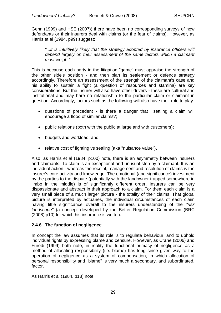Genn (1999) and HSE (2007)) there have been no corresponding surveys of how defendants or their insurers deal with claims (or the fear of claims). However, as Harris et al (1984, p99) suggest:

"...it is intuitively likely that the strategy adopted by insurance officers will *depend largely on their assessment of the same factors which a claimant must weigh."*

This is because each party in the litigation "game" must appraise the strength of the other side's position - and then plan its settlement or defence strategy accordingly. Therefore an assessment of the strength of the claimant's case and his ability to sustain a fight (a question of resources and stamina) are key considerations. But the insurer will also have other drivers - these are cultural and institutional and may bare no relationship to the particular claim or claimant in question. Accordingly, factors such as the following will also have their role to play:

- questions of precedent is there a danger that settling a claim will encourage a flood of similar claims?;
- public relations (both with the public at large and with customers);
- budgets and workload; and
- relative cost of fighting vs settling (aka "nuisance value").

Also, as Harris et al (1984, p100) note, there is an asymmetry between insurers and claimants. To claim is an exceptional and unusual step by a claimant. It is an individual action - whereas the receipt, management and resolution of claims is the insurer's core activity and knowledge. The emotional (and significance) investment by the parties to the dispute (potentially with the landowner trapped somewhere in limbo in the middle) is of significantly different order. Insurers can be very dispassionate and abstract in their approach to a claim. For them each claim is a very small piece of a much larger picture - the totality of their claims. That global picture is interpreted by actuaries, the individual circumstances of each claim having little significance overall to the insurers understanding of the *"risk landscape"* (a concept developed by the Better Regulation Commission (BRC (2008) p10) for which his insurance is written.

## **2.4.6 The function of negligence**

In concept the law assumes that its role is to regulate behaviour, and to uphold individual rights by expressing blame and censure. However, as Crane (2006) and Furedi (1999) both note, in reality the functional primacy of negligence as a method of allocating responsibility (i.e. blame) has long since given way to the operation of negligence as a system of compensation, in which allocation of personal responsibility and "blame" is very much a secondary, and subordinated, factor.

As Harris et al (1984, p18) note: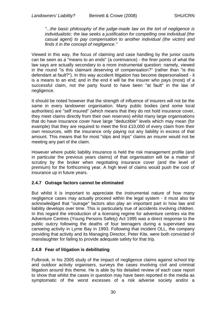*"...the basic philosophy of the judge-made law on the tort of negligence is individualistic: the law seeks a justification for compelling one individual (the casual agent) to pay compensation to another individual (the victim) and finds it in the concept of negligence."*

Viewed in this way, the focus of claiming and case handling by the junior courts can be seen as a "means to an ends" (a contrivance) - the finer points of what the law says are actually secondary to a more instrumental question: namely, viewed in the round "is this claimant deserving of compensation?" (rather than "is this defendant at fault?"). In this way accident litigation has become depersonalised - it is a means to an end; and in the end it will be the insurer who pays (most) of a successful claim, not the party found to have been "at fault" in the law of negligence.

It should be noted however that the strength of influence of insurers will not be the same in every landowner organisation. Many public bodies (and some local authorities) are "self insured" (which means that they do not hold insurance cover, they meet claims directly from their own reserves) whilst many large organisations that do have insurance cover have large "deductible" levels which may mean (for example) that they are required to meet the first £10,000 of every claim from their own resources, with the insurance only paying out any liability in excess of that amount. This means that for most "slips and trips" claims an insurer would not be meeting any part of the claim.

However where public liability insurance is held the risk management profile (and in particular the previous years claims) of that organisation will be a matter of scrutiny by the broker when negotiating insurance cover (and the level of premium) for the forthcoming year. A high level of claims would push the cost of insurance up in future years.

## **2.4.7 Outrage factors cannot be eliminated**

But whilst it is important to appreciate the instrumental nature of how many negligence cases may actually proceed within the legal system - it must also be acknowledged that "outrage" factors also play an important part in how law and liability develops over time. This is particularly true of accidents involving children. In this regard the introduction of a licensing regime for adventure centres via the Adventure Centres (Young Persons Safety) Act 1995 was a direct response to the public outcry following the deaths of four teenagers during a supervised sea canoeing activity in Lyme Bay in 1993. Following that incident OLL, the company providing that activity and its Managing Director, Peter Kite, were both convicted of manslaughter for failing to provide adequate safety for that trip.

## **2.4.8 Fear of litigation is debilitating**

Fulbrook, in his 2005 study of the impact of negligence claims against school trip and outdoor activity organisers, surveys the cases involving civil and criminal litigation around this theme. He is able by his detailed review of each case report to show that whilst the cases in question may have been reported in the media as symptomatic of the worst excesses of a risk adverse society and/or a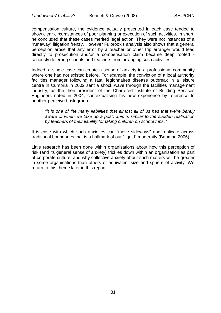compensation culture, the evidence actually presented in each case tended to show clear circumstances of poor planning or execution of such activities. In short, he concluded that these cases merited legal action. They were not instances of a "runaway" litigation frenzy. However Fulbrook's analysis also shows that a general perception arose that any error by a teacher or other trip arranger would lead directly to prosecution and/or a compensation claim became deep rooted seriously deterring schools and teachers from arranging such activities.

Indeed, a single case can create a sense of anxiety in a professional community where one had not existed before. For example, the conviction of a local authority facilities manager following a fatal legionnaires disease outbreak in a leisure centre in Cumbria in 2002 sent a shock wave through the facilities management industry, as the then president of the Chartered Institute of Building Services Engineers noted in 2004, contextualising his new experience by reference to another perceived risk group:

*"It is one of the many liabilities that almost all of us has that we"re barely aware of when we take up a post…this is similar to the sudden realisation by teachers of their liability for taking children on school trips."*

It is ease with which such anxieties can "move sideways" and replicate across traditional boundaries that is a hallmark of our "liquid" modernity (Bauman 2006).

Little research has been done within organisations about how this perception of risk (and its general sense of anxiety) trickles down within an organisation as part of corporate culture, and why collective anxiety about such matters will be greater in some organisations than others of equivalent size and sphere of activity. We return to this theme later in this report.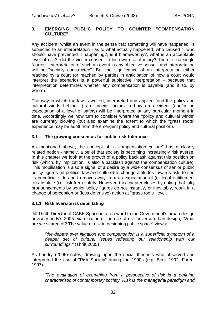## **3. EMERGING PUBLIC POLICY TO COUNTER "COMPENSATION CULTURE"**

Any accident, whilst an event in the sense that something will have happened, is subjected to an interpretation - as to what actually happened, who caused it, who should have prevented it happening?, is it blameworthy?, what is an acceptable level of risk?, did the victim consent to his own risk of injury? There is no single "correct" interpretation of such an event in any objective sense - and interpretation will be "socially constructed". But the significance of an interpretation either reached by a court (or reached by parties in anticipation of how a court would interpret the scenario) is a powerful subjective interpretation - because that interpretation determines whether any compensation is payable (and if so, by whom).

The way in which the law is written, interpreted and applied (and the policy and cultural winds behind it) are crucial factors in how an accident (and/or an expectation of a level of safety) will be interpreted at any particular moment in time. Accordingly we now turn to consider where the "policy and cultural winds" are currently blowing (but also examine the extent to which the "grass roots" experience may be adrift from the emergent policy and cultural position).

## **3.1 The growing consensus for public risk tolerance**

As mentioned above, the concept of "a compensation culture" has a closely related notion - namely, a belief that society is becoming increasingly risk averse. In this chapter we look at the growth of a policy backlash against this position on risk (which, by implication, is also a backlash against the compensation culture). This mobilisation is also a signal of a desire by a wide consensus of senior public policy figures (in politics, law and culture) to change attitudes towards risk, to see its beneficial side and to move away from an expectation of (or legal entitlement to) absolute (i.e. risk free) safety. However, this chapter closes by noting that lofty pronouncements by senior policy figures do not instantly, or inevitably, result in a change of perception or (less defensive) action at "grass roots" level.

## **3.1.1 Risk aversion is debilitating**

Jill Thrift, Director of CABE Space in a foreword to the Government's urban design advisory body's 2005 examination of the rise of risk adverse urban design, "What are we scared of? The value of risk in designing public space" views:

*"the debate over litigation and compensation is a superficial symptom of a deeper set of cultural issues reflecting our relationship with our surroundings."* (Thrift 2005)

As Landry (2005) notes, drawing upon the social theorists who observed and interpreted the rise of "Risk Society" during the 1990s (e.g. Beck 1992; Furedi 1997):

*"The evaluation of everything from a perspective of risk is a defining characteristic of contemporary society. Risk is the managerial paradigm and*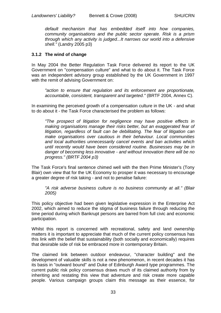*default mechanism that has embedded itself into how companies, community organisations and the public sector operate. Risk is a prism through which any activity is judged...It narrows our world into a defensive shell."* (Landry 2005 p3)

## **3.1.2 The wind of change**

In May 2004 the Better Regulation Task Force delivered its report to the UK Government on "compensation culture" and what to do about it. The Task Force was an independent advisory group established by the UK Government in 1997 with the remit of advising Government on:

*"action to ensure that regulation and its enforcement are proportionate, accountable, consistent, transparent and targeted."* (BRTF 2004, Annex C).

In examining the perceived growth of a compensation culture in the UK - and what to do about it - the Task Force characterised the problem as follows:

*"The prospect of litigation for negligence may have positive effects in making organisations manage their risks better, but an exaggerated fear of litigation, regardless of fault can be debilitating. The fear of litigation can make organisations over cautious in their behaviour. Local communities and local authorities unnecessarily cancel events and ban activities which until recently would have been considered routine. Businesses may be in danger of becoming less innovative - and without innovation there will be no progress." (BRTF 2004 p3)*

The Task Force's final sentence chimed well with the then Prime Minister's (Tony Blair) own view that for the UK Economy to prosper it was necessary to encourage a greater degree of risk taking - and not to penalise failure:

*"A risk adverse business culture is no business community at all." (Blair 2005)*

This policy objective had been given legislative expression in the Enterprise Act 2002, which aimed to reduce the stigma of business failure through reducing the time period during which Bankrupt persons are barred from full civic and economic participation.

Whilst this report is concerned with recreational, safety and land ownership matters it is important to appreciate that much of the current policy consensus has this link with the belief that sustainability (both socially and economically) requires that desirable side of risk be embraced more in contemporary Britain.

The claimed link between outdoor endeavour, "character building" and the development of valuable skills is not a new phenomenon, in recent decades it has its basis in "outward bound" and Duke of Edinburgh Award type programmes. The current public risk policy consensus draws much of its claimed authority from by inheriting and restating this view that adventure and risk create more capable people. Various campaign groups claim this message as their essence, for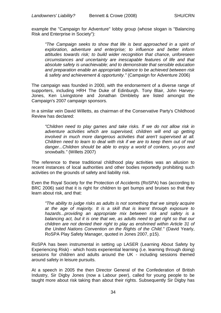example the "Campaign for Adventure" lobby group (whose slogan is "Balancing Risk and Enterprise in Society"):

*"The Campaign seeks to show that life is best approached in a spirit of exploration, adventure and enterprise; to influence and better inform attitudes towards risk; to build wider recognition that chance, unforeseen circumstances and uncertainty are inescapable features of life and that absolute safety is unachievable; and to demonstrate that sensible education and preparation enable an appropriate balance to be achieved between risk & safety and achievement & opportunity."* (Campaign for Adventure 2006)

The campaign was founded in 2000, with the endorsement of a diverse range of supporters, including HRH The Duke of Edinburgh. Tony Blair, John Harvey-Jones, Ken Livingstone and Jonathan Dimbleby are listed amongst the Campaign's 2007 campaign sponsors.

In a similar vein David Willetts, as chairman of the Conservative Party's Childhood Review has declared:

*"Children need to play games and take risks. If we do not allow risk in adventure activities which are supervised, children will end up getting involved in much more dangerous activities that aren't supervised at all. Children need to learn to deal with risk if we are to keep them out of real danger...Children should be able to enjoy a world of conkers, yo-yos and snowballs."* (Willets 2007)

The reference to these traditional childhood play activities was an allusion to recent instances of local authorities and other bodies reportedly prohibiting such activities on the grounds of safety and liability risk.

Even the Royal Society for the Protection of Accidents (RoSPA) has (according to BRC 2006) said that it is right for children to get bumps and bruises so that they learn about risk, and that:

*"The ability to judge risks as adults is not something that we simply acquire at the age of majority. It is a skill that is learnt through exposure to hazards...providing an appropriate mix between risk and safety is a balancing act, but it is one that we, as adults need to get right so that our children are not denied their right to play as enshrined within Article 31 of the United Nations Convention on the Rights of the Child."* (David Yearly, RoSPA Play Safety Manager, quoted in Jones 2007, p15).

RoSPA has been instrumental in setting up LASER (Learning About Safety by Experiencing Risk) - which hosts experiential learning (i.e. learning through doing) sessions for children and adults around the UK - including sessions themed around safety in leisure pursuits.

At a speech in 2005 the then Director General of the Confederation of British Industry, Sir Digby Jones (now a Labour peer), called for young people to be taught more about risk taking than about their rights. Subsequently Sir Digby has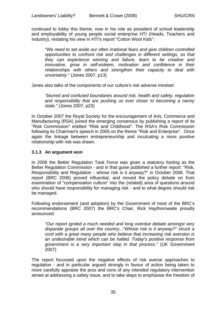continued to lobby this theme, now in his role as president of school leadership and employability of young people social enterprise HTI (Heads, Teachers and Industry), restating his view in HTI's report "Cotton Wool Kids":

*"We need to set aside our often irrational fears and give children controlled opportunities to confront risk and challenges in different settings, so that they can experience winning and failure, learn to be creative and innovative, grow in self-esteem, motivation and confidence in their relationships with others and strengthen their capacity to deal with uncertainty."* (Jones 2007, p13)

Jones also talks of the components of our culture's risk adverse mindset:

*"blurred and confused boundaries around risk, health and safety, regulation and responsibility that are pushing us ever closer to becoming a nanny state."* (Jones 2007, p23)

In October 2007 the Royal Society for the encouragement of Arts, Commerce and Manufacturing (RSA) joined the emerging consensus by publishing a report of its "Risk Commission" entitled "Risk and Childhood". The RSA's Risk Commission following its Chairman's speech in 2005 on the theme "Risk and Enterprise". Once again the linkage between entrepreneurship and inculcating a more positive relationship with risk was drawn.

## **3.1.3 An argument won**

In 2006 the Better Regulation Task Force was given a statutory footing as the Better Regulation Commission - and in that guise published a further report: "Risk, Responsibility and Regulation - whose risk is it anyway?" in October 2006. That report (BRC 2006) proved influential, and moved the policy debate on from examination of "compensation culture" into the (related) area of questions around who should have responsibility for managing risk - and to what degree should risk be managed.

Following endorsement (and adoption) by the Government of most of the BRC's recommendations (BRC 2007) the BRC's Chair, Rick Haythornwaite proudly announced:

*"Our report ignited a much needed and long overdue debate amongst very disparate groups all over the country..."Whose risk is it anyway?" struck a cord with a great many people who believe that increasing risk aversion is an undesirable trend which can be halted. Today's positive response from government is a very important step in that process."* (UK Government 2007)

The report focussed upon the negative effects of risk averse approaches to regulation - and in particular argued strongly in favour of action being taken to more carefully appraise the pros and cons of any intended regulatory intervention aimed at addressing a safety issue, and to take steps to emphasise the freedom of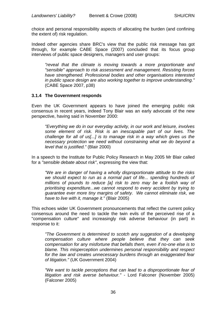choice and personal responsibility aspects of allocating the burden (and confining the extent of) risk regulation.

Indeed other agencies share BRC's view that the public risk message has got through, for example CABE Space (2007) concluded that its focus group interviews of public space designers, managers and user groups:

*"reveal that the climate is moving towards a more proportionate and "sensible" approach to risk assessment and management. Resisting forces have strengthened. Professional bodies and other organisations interested in public space design are also working together to improve understanding."*  (CABE Space 2007, p38)

## **3.1.4 The Government responds**

Even the UK Government appears to have joined the emerging public risk consensus in recent years, indeed Tony Blair was an early advocate of the new perspective, having said in November 2000:

*"Everything we do in our everyday activity, in our work and leisure, involves some element of risk. Risk is an inescapable part of our lives. The challenge for all of us[...] is to manage risk in a way which gives us the necessary protection we need without constraining what we do beyond a level that is justified."* (Blair 2000)

In a speech to the Institute for Public Policy Research in May 2005 Mr Blair called for a *"sensible debate about risk"*, expressing the view that:

*"We are in danger of having a wholly disproportionate attitude to the risks we should expect to run as a normal part of life... spending hundreds of millions of pounds to reduce [a] risk to zero may be a foolish way of prioritising expenditure...we cannot respond to every accident by trying to guarantee ever more tiny margins of safety. We cannot eliminate risk, we have to live with it, manage it."* (Blair 2005)

This echoes wider UK Government pronouncements that reflect the current policy consensus around the need to tackle the twin evils of the perceived rise of a "compensation culture" and increasingly risk adverse behaviour (in part) in response to it:

*"The Government is determined to scotch any suggestion of a developing compensation culture where people believe that they can seek compensation for any misfortune that befalls them, even if no-one else is to blame. This misperception undermines personal responsibility and respect for the law and creates unnecessary burdens through an exaggerated fear of litigation."* (UK Government 2004)

*"We want to tackle perceptions that can lead to a disproportionate fear of litigation and risk averse behaviour."* - Lord Falconer (November 2005) (Falconer 2005)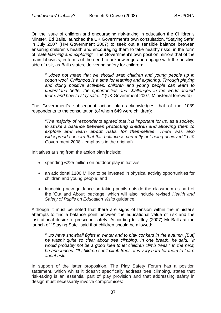On the issue of children and encouraging risk-taking in education the Children's Minster, Ed Balls, launched the UK Government's own consultation, "Staying Safe" in July 2007 (HM Government 2007) to seek out a sensible balance between ensuring children's health and encouraging them to take healthy risks: in the form of *"safe learning and exploring"*. The Government's own position mirrors that of the main lobbyists, in terms of the need to acknowledge and engage with the positive side of risk, as Balls states, delivering safety for children:

*"...does not mean that we should wrap children and young people up in cotton wool. Childhood is a time for learning and exploring. Through playing and doing positive activities, children and young people can learn to understand better the opportunities and challenges in the world around them, and how to stay safe..."* (UK Government 2007, Ministerial foreword)

The Government's subsequent action plan acknowledges that of the 1039 respondents to the consultation (of whom 649 were children):

*"The majority of respondents agreed that it is important for us, as a society, to strike a balance between protecting children and allowing them to explore and learn about risks for themselves. There was also widespread concern that this balance is currently not being achieved."* (UK Government 2008 - emphasis in the original).

Initiatives arising from the action plan include:

- spending £225 million on outdoor play initiatives;
- an additional £100 Million to be invested in physical activity opportunities for children and young people; and
- launching new guidance on taking pupils outside the classroom as part of the 'Out and About' package, which will also include revised *Health and Safety of Pupils on Education Visits* guidance.

Although it must be noted that there are signs of tension within the minister's attempts to find a balance point between the educational value of risk and the institutional desire to prescribe safety. According to Utley (2007) Mr Balls at the launch of "Staying Safe" said that children should be allowed:

"...to have snowball fights in winter and to play conkers in the autumn. [But] *he wasn't quite so clear about tree climbing. In one breath, he said: "It would probably not be a good idea to let children climb trees." In the next, he announced: "If children can't climb trees, it is very hard for them to learn about risk."*

In support of the latter proposition, The Play Safety Forum has a position statement, which whilst it doesn't specifically address tree climbing, states that risk-taking is an essential part of play provision and that addressing safety in design must necessarily involve compromises: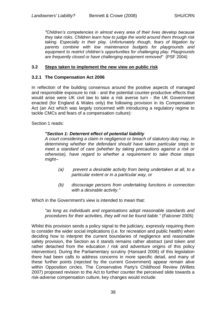*"Children"s competencies in almost every area of their lives develop because they take risks. Children learn how to judge the world around them through risk taking. Especially in their play. Unfortunately though, fears of litigation by parents combine with low maintenance budgets for playgrounds and equipment to restrict children"s opportunities for challenging play. Playgrounds are frequently closed or have challenging equipment removed"* (PSF 2004)

#### **3.2 Steps taken to implement the new view on public risk**

#### **3.2.1 The Compensation Act 2006**

In reflection of the building consensus around the positive aspects of managed and responsible exposure to risk - and the potential counter-productive effects that would arise were UK civil law to take a risk averse turn - the UK Government enacted (for England & Wales only) the following provision in its Compensation Act (an Act which was largely concerned with introducing a regulatory regime to tackle CMCs and fears of a compensation culture):

Section 1 reads:

#### *"Section 1: Deterrent effect of potential liability*

*A court considering a claim in negligence or breach of statutory duty may, in determining whether the defendant should have taken particular steps to meet a standard of care (whether by taking precautions against a risk or otherwise), have regard to whether a requirement to take those steps might–*

- *(a) prevent a desirable activity from being undertaken at all, to a particular extent or in a particular way, or*
- *(b) discourage persons from undertaking functions in connection with a desirable activity."*

Which in the Government's view is intended to mean that:

*"as long as individuals and organisations adopt reasonable standards and procedures for their activities, they will not be found liable."* (Falconer 2005)

Whilst this provision sends a policy signal to the judiciary, expressly requiring them to consider the wider social implications (i.e. for recreation and public health) when deciding how to interpret the current boundaries of negligence and reasonable safety provision, the Section as it stands remains rather abstract (and token and rather detached from the education / risk and adventure origins of this policy intervention). During the Parliamentary scrutiny (Hansard 2006) of this legislation there had been calls to address concerns in more specific detail, and many of these further points (rejected by the current Government) appear remain alive within Opposition circles. The Conservative Party's Childhood Review (Willets 2007) proposed revision to the Act to further counter the perceived slide towards a risk-adverse compensation culture, key changes would include: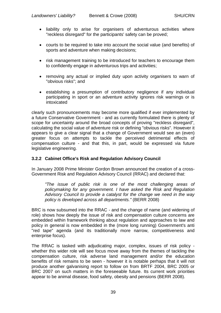- liability only to arise for organisers of adventurous activities where "reckless disregard" for the participants' safety can be proved;
- courts to be required to take into account the social value (and benefits) of sports and adventure when making decisions;
- risk management training to be introduced for teachers to encourage them to confidently engage in adventurous trips and activities;
- removing any actual or implied duty upon activity organisers to warn of "obvious risks"; and
- establishing a presumption of contributory negligence if any individual participating in sport or an adventure activity ignores risk warnings or is intoxicated

clearly such pronouncements may become more qualified if ever implemented by a future Conservative Government - and as currently formulated there is plenty of scope for uncertainty around the broad concepts of proving "reckless disregard", calculating the social value of adventure risk or defining "obvious risks". However it appears to give a clear signal that a change of Government would see an (even) greater focus on attempts to tackle the perceived detrimental effects of compensation culture - and that this, in part, would be expressed via future legislative engineering.

## **3.2.2 Cabinet Office's Risk and Regulation Advisory Council**

In January 2008 Prime Minister Gordon Brown announced the creation of a cross-Government Risk and Regulation Advisory Council (RRAC) and declared that:

*"The issue of public risk is one of the most challenging areas of policymaking for any government. I have asked the Risk and Regulation Advisory Council to provide a catalyst for the change we need in the way policy is developed across all departments."* (BERR 2008)

BRC is now subsumed into the RRAC - and the change of name (and widening of role) shows how deeply the issue of risk and compensation culture concerns are embedded within framework thinking about regulation and approaches to law and policy in general is now embedded in the (more long running) Government's anti "red tape" agenda (and its traditionally more narrow, competitiveness and enterprise focus).

The RRAC is tasked with adjudicating major, complex, issues of risk policy whether this wider role will see focus move away from the themes of tackling the compensation culture, risk adverse land management and/or the education benefits of risk remains to be seen - however it is notable perhaps that it will not produce another galvanising report to follow on from BRTF 2004, BRC 2005 or BRC 2007 on such matters in the foreseeable future. Its current work priorities appear to be animal disease, food safety, obesity and pensions (BERR 2008).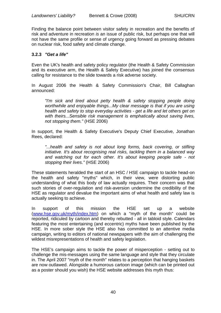Finding the balance point between visitor safety in recreation and the benefits of risk and adventure in recreation *is* an issue of public risk, but perhaps one that will not have the same profile or sense of urgency going forward as pressing debates on nuclear risk, food safety and climate change.

### **3.2.3** *"Get a life"*

Even the UK's health and safety policy regulator (the Health & Safety Commission and its executive arm, the Health & Safety Executive) has joined the consensus calling for resistance to the slide towards a risk adverse society.

In August 2006 the Health & Safety Commission's Chair, Bill Callaghan announced:

*"I'm sick and tired about petty health & safety stopping people doing worthwhile and enjoyable things...My clear message is that if you are using health and safety to stop everyday activities - get a life and let others get on with theirs...Sensible risk management is emphatically about saving lives, not stopping them."* (HSE 2006)

In support, the Health & Safety Executive's Deputy Chief Executive, Jonathan Rees, declared:

*"...health and safety is not about long forms, back covering, or stifling initiative. It's about recognising real risks, tackling them in a balanced way and watching out for each other. It's about keeping people safe - not stopping their lives."* (HSE 2006)

These statements heralded the start of an HSC / HSE campaign to tackle head-on the health and safety "myths" which, in their view, were distorting public understanding of what this body of law actually requires. Their concern was that such stories of over-regulation and risk-aversion undermine the credibility of the HSE as regulator and devalue the important aims of what health and safety law is actually seeking to achieve.

In support of this mission the HSE set up a website [\(www.hse.gov.uk/myth/index.htm\)](http://www.hse.gov.uk/myth/index.htm) on which a "myth of the month" could be reported, ridiculed by cartoon and thereby rebutted - all in tabloid style. Calendars featuring the most entertaining (and eccentric) myths have been published by the HSE. In more sober style the HSE also has committed to an attentive media campaign, writing to editors of national newspapers with the aim of challenging the wildest misrepresentations of health and safety legislation.

The HSE's campaign aims to tackle the power of misperception - setting out to challenge the mis-messages using the same language and style that they circulate in. The April 2007 "myth of the month" relates to a perception that hanging baskets are now outlawed. Alongside a humorous cartoon image (which can be printed out as a poster should you wish) the HSE website addresses this myth thus: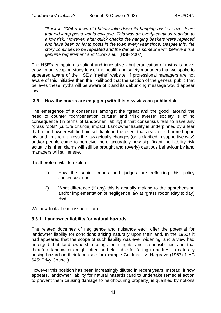*"Back in 2004 a town did briefly take down its hanging baskets over fears that old lamp posts would collapse. This was an overly-cautious reaction to a low risk. However, after quick checks the hanging baskets were replaced and have been on lamp posts in the town every year since. Despite this, the story continues to be repeated and the danger is someone will believe it is a genuine requirement and follow suit."* (HSE 2007)

The HSE's campaign is valiant and innovative - but eradication of myths is never easy. In our scoping study few of the health and safety managers that we spoke to appeared aware of the HSE's "myths" website. If professional managers are not aware of this initiative then the likelihood that the section of the general public that believes these myths will be aware of it and its debunking message would appear low.

### **3.3 How the courts are engaging with this new view on public risk**

The emergence of a consensus amongst the "great and the good" around the need to counter "compensation culture" and "risk averse" society is of no consequence (in terms of landowner liability) if that consensus fails to have any "grass roots" (culture change) impact. Landowner liability is underpinned by a fear that a land owner will find himself liable in the event that a visitor is harmed upon his land. In short, unless the law actually changes (or is clarified in supportive way) and/or people come to perceive more accurately how significant the liability risk actually is, then claims will still be brought and (overly) cautious behaviour by land managers will still ensue.

It is therefore vital to explore:

- 1) How the senior courts and judges are reflecting this policy consensus; and
- 2) What difference (if any) this is actually making to the apprehension and/or implementation of negligence law at "grass roots" (day to day) level.

We now look at each issue in turn.

### **3.3.1 Landowner liability for natural hazards**

The related doctrines of negligence and nuisance each offer the potential for landowner liability for conditions arising naturally upon their land. In the 1960s it had appeared that the scope of such liability was ever widening, and a view had emerged that land ownership brings both rights and responsibilities and that therefore landowners might often be held liable for failing to address a naturally arising hazard on their land (see for example Goldman -v- Hargrave (1967) 1 AC 645; Privy Council).

However this position has been increasingly diluted in recent years. Instead, it now appears, landowner liability for natural hazards (and to undertake remedial action to prevent them causing damage to neighbouring property) is qualified by notions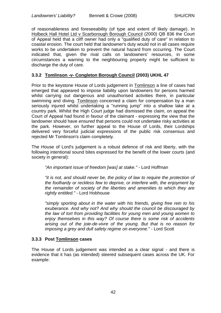of reasonableness and foreseeability (of type and extent of likely damage). In Holbeck Hall Hotel Ltd v Scarborough Borough Council (2000) QB 836 the Court of Appeal held that a cliff owner had only a "qualified duty of care" in relation to coastal erosion. The court held that landowner's duty would not in all cases require works to be undertaken to prevent the natural hazard from occurring. The Court indicated that, given the rival calls on landowners' resources, in some circumstances a warning to the neighbouring property might be sufficient to discharge the duty of care.

## **3.3.2 Tomlinson -v- Congleton Borough Council (2003) UKHL 47**

Prior to the keystone House of Lords judgement in Tomlinson a line of cases had emerged that appeared to impose liability upon landowners for persons harmed whilst carrying out dangerous and unauthorised activities there, in particular swimming and diving. Tomlinson concerned a claim for compensation by a man seriously injured whilst undertaking a "running jump" into a shallow lake at a country park. Whilst the High Court judge had dismissed the claim, on appeal the Court of Appeal had found in favour of the claimant - expressing the view that the landowner should have *ensured* that persons could not undertake risky activities at the park. However, on further appeal to the House of Lords, their Lordships delivered very forceful judicial expressions of the public risk consensus and rejected Mr Tomlinson's claim completely.

The House of Lord's judgement is a robust defence of risk and liberty, with the following intentional sound bites expressed for the benefit of the lower courts (and society in general):

*"An important issue of freedom [was] at stake."* - Lord Hoffman

*"it is not, and should never be, the policy of law to require the protection of the foolhardy or reckless few to deprive, or interfere with, the enjoyment by the remainder of society of the liberties and amenities to which they are rightly entitled."* - Lord Hobhouse

*"simply sporting about in the water with his friends, giving free rein to his exuberance. And why not? And why should the council be discouraged by the law of tort from providing facilities for young men and young women to enjoy themselves in this way? Of course there is some risk of accidents arising out of the joie-de-vivre of the young. But that is no reason for imposing a grey and dull safety regime on everyone."* - Lord Scott

### **3.3.3 Post Tomlinson cases**

The House of Lords judgement was intended as a clear signal - and there is evidence that it has (as intended) steered subsequent cases across the UK. For example: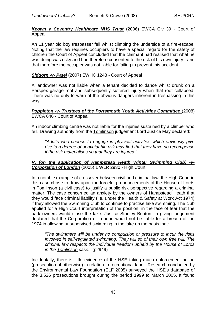*Keown v Coventry Healthcare NHS Trust* (2006) EWCA Civ 39 - Court of Appeal

An 11 year old boy trespasser fell whilst climbing the underside of a fire-escape. Noting that the law requires occupiers to have a special regard for the safety of children the Court of Appeal concluded that the claimant had realised that what he was doing was risky and had therefore consented to the risk of his own injury - and that therefore the occupier was not liable for failing to prevent this accident

### *Siddorn -v- Patel* (2007) EWHC 1248 - Court of Appeal

A landowner was not liable when a tenant decided to dance whilst drunk on a Perspex garage roof and subsequently suffered injury when that roof collapsed. There was no duty to warn of the obvious dangers inherent in trespassing in this way.

#### *Poppleton -v- Trustees of the Portsmouth Youth Activities Committee* (2008) EWCA 646 - Court of Appeal

An indoor climbing centre was not liable for the injuries sustained by a climber who fell. Drawing authority from the Tomlinson judgement Lord Justice May declared:

*"Adults who choose to engage in physical activities which obviously give rise to a degree of unavoidable risk may find that they have no recompense if the risk materialises so that they are injured."*

### *R. (on the application of Hampstead Heath Winter Swimming Club) -v-Corporation of London* (2005) 1 WLR 2930 - High Court

In a notable example of crossover between civil and criminal law, the High Court in this case chose to draw upon the forceful pronouncements of the House of Lords in Tomlinson (a civil case) to justify a public risk perspective regarding a criminal matter. The case concerned an anxiety by the owners of Hampstead Heath that they would face criminal liability (i.e. under the Health & Safety at Work Act 1974) if they allowed the Swimming Club to continue to practise lake swimming. The club applied for a High Court interpretation of the position, in the face of fear that the park owners would close the lake. Justice Stanley Bunton, in giving judgement declared that the Corporation of London would not be liable for a breach of the 1974 in allowing unsupervised swimming in the lake on the basis that:

*"The swimmers will be under no compulsion or pressure to incur the risks involved in self-regulated swimming. They will so of their own free will. The criminal law respects the individual freedom upheld by the House of Lords in the Tomlinson case."* (p2949)

Incidentally, there is little evidence of the HSE taking much enforcement action (prosecution of otherwise) in relation to recreational land. Research conducted by the Environmental Law Foundation (ELF 2005) surveyed the HSE's database of the 3,526 prosecutions brought during the period 1999 to March 2005. It found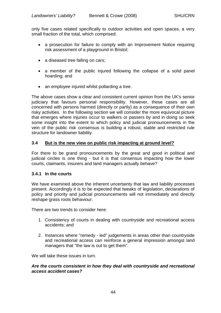only five cases related specifically to outdoor activities and open spaces, a very small fraction of the total, which comprised:

- a prosecution for failure to comply with an Improvement Notice requiring risk assessment of a playground in Bristol;
- a diseased tree falling on cars;
- a member of the public injured following the collapse of a solid panel hoarding; and
- an employee injured whilst pollarding a tree.

The above cases show a clear and consistent current opinion from the UK's senior judiciary that favours personal responsibility. However, these cases are all concerned with persons harmed (directly or partly) as a consequence of their own risky activities. In the following section we will consider the more equivocal picture that emerges where injuries occur to walkers or passers by and in doing so seek some insight into the extent to which policy and judicial pronouncements in the vein of the public risk consensus is building a robust, stable and restricted rule structure for landowner liability.

### **3.4 But is the new view on public risk impacting at ground level?**

For there to be grand pronouncements by the great and good in political and judicial circles is one thing - but it is that consensus impacting how the lower courts, claimants, insurers and land managers actually behave?

### **3.4.1 In the courts**

We have examined above the inherent uncertainty that law and liability processes present. Accordingly it is to be expected that tweaks of legislation, declarations of policy and priority and judicial pronouncements will not immediately and directly reshape grass roots behaviour.

There are two trends to consider here:

- 1. Consistency of courts in dealing with countryside and recreational access accidents; and
- 2. Instances where "remedy led" judgements in areas other than countryside and recreational access can reinforce a general impression amongst land managers that "the law is out to get them".

We will take these issues in turn.

### *Are the courts consistent in how they deal with countryside and recreational access accident cases?*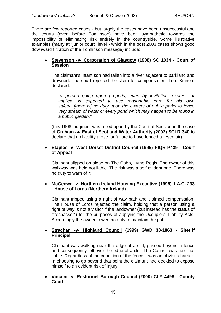There are few reported cases - but largely the cases have been unsuccessful and the courts (even before Tomlinson) have been sympathetic towards the impossibility of eliminating risk entirely in the countryside. Some illustrative examples (many at "junior court" level - which in the post 2003 cases shows good downward filtration of the Tomlinson message) include:

### **Stevenson -v- Corporation of Glasgow (1908) SC 1034 - Court of Session**

The claimant's infant son had fallen into a river adjacent to parkland and drowned. The court rejected the claim for compensation. Lord Kinnear declared:

*"a person going upon property, even by invitation, express or implied, is expected to use reasonable care for his own safety...[there is] no duty upon the owners of public parks to fence very stream of water or every pond which may happen to be found in a public garden."*

(this 1908 judgment was relied upon by the Court of Session in the case of **Graham -v- East of Scotland Water Authority (2002) SCLR 340** to declare that no liability arose for failure to have fenced a reservoir).

### **Staples -v- West Dorset District Council (1995) PIQR P439 - Court of Appeal**

Claimant slipped on algae on The Cobb, Lyme Regis. The owner of this walkway was held not liable. The risk was a self evident one. There was no duty to warn of it.

## **McGeown -v- Northern Ireland Housing Executive (1995) 1 A.C. 233 - House of Lords (Northern Ireland)**

Claimant tripped using a right of way path and claimed compensation. The House of Lords rejected the claim, holding that a person using a right of way is not a visitor if the landowner (but instead has the status of "trespasser") for the purposes of applying the Occupiers' Liability Acts. Accordingly the owners owed no duty to maintain the path.

## **Strachan -v- Highland Council (1999) GWD 38-1863 - Sheriff Principal**

Claimant was walking near the edge of a cliff, passed beyond a fence and consequently fell over the edge of a cliff. The Council was held not liable. Regardless of the condition of the fence it was an obvious barrier. In choosing to go beyond that point the claimant had decided to expose himself to an evident risk of injury.

### **Vincent -v- Restormel Borough Council (2000) CLY 4496 - County Court**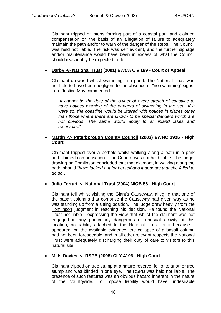Claimant tripped on steps forming part of a coastal path and claimed compensation on the basis of an allegation of failure to adequately maintain the path and/or to warn of the danger of the steps. The Council was held not liable. The risk was self evident, and the further signage and/or maintenance would have been in excess of what the Council should reasonably be expected to do.

## **Darby -v- National Trust (2001) EWCA Civ 189 - Court of Appeal**

Claimant drowned whilst swimming in a pond. The National Trust was not held to have been negligent for an absence of "no swimming" signs. Lord Justice May commented:

*"It cannot be the duty of the owner of every stretch of coastline to*  have notices warning of the dangers of swimming in the sea. If it *were so, the coastline would be littered with notices in places other than those where there are known to be special dangers which are not obvious. The same would apply to all inland lakes and reservoirs."*

### **Martin -v- Peterborough County Council (2003) EWHC 2925 - High Court**

Claimant tripped over a pothole whilst walking along a path in a park and claimed compensation. The Council was not held liable. The judge, drawing on Tomlinson concluded that that claimant, in walking along the path, should *"have looked out for herself and it appears that she failed to do so".*

# **Julio Ferrari -v- National Trust (2004) NIQB 56 - High Court**

Claimant fell whilst visiting the Giant's Causeway, alleging that one of the basalt columns that comprise the Causeway had given way as he was standing up from a sitting position. The judge drew heavily from the Tomlinson judgment in reaching his decision. He found the National Trust not liable - expressing the view that whilst the claimant was not engaged in any particularly dangerous or unusual activity at this location, no liability attached to the National Trust for it because it appeared, on the available evidence, the collapse of a basalt column had not been foreseeable, and in all other relevant respects the National Trust were adequately discharging their duty of care to visitors to this natural site.

# **Mills-Davies -v- RSPB (2005) CLY 4196 - High Court**

Claimant tripped on tree stump at a nature reserve, fell onto another tree stump and was blinded in one eye. The RSPB was held not liable. The presence of such features was an obvious hazard inherent in the nature of the countryside. To impose liability would have undesirable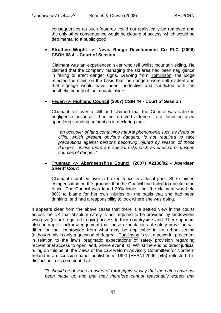consequences as such features could not realistically be removed and the only other consequence would be closure of access, which would be detrimental to a public good.

### **Struthers-Wright -v- Nevis Range Development Co PLC (2006) CSOH 68 4 - Court of Session**

Claimant was an experienced skier who fell whilst mountain skiing. He claimed that the company managing the ski area had been negligence in failing to erect danger signs. Drawing from Tomlinson, the judge rejected the claim on the basis that the dangers were self evident and that signage would have been ineffective and conflicted with the aesthetic beauty of the mountainside.

## **Fegan -v- Highland Council (2007) CSIH 44 - Court of Session**

Claimant fell over a cliff and claimed that the Council was liable in negligence because it had not erected a fence. Lord Johnston drew upon long standing authorities in declaring that:

*"an occupier of land containing natural phenomena such as rivers or cliffs, which present obvious dangers, is not required to take precautions against persons becoming injured by reason of those dangers, unless there are special risks such as unusual or unseen sources of danger."*

### **Trueman -v- Aberdeenshire Council (2007) A2138/02 - Aberdeen Sheriff Court**

Claimant stumbled over a broken fence in a local park. She claimed compensation on the grounds that the Council had failed to maintain the fence. The Council was found 20% liable - but the claimant was held 80% to blame for her own injuries on the basis that she had been drinking, and had a responsibility to look where she was going.

It appears clear from the above cases that there is a settled view in the courts across the UK that absolute safety is not required to be provided by landowners who give (or are required to give) access to their countryside land. There appears also an implicit acknowledgement that these expectations of safety provision will differ for the countryside from what may be applicable in an urban setting (although this is only a question of degree - Tomlinson is still a powerful precedent in relation to the law's pragmatic expectations of safety provision regarding recreational access to open land, where ever it is). Whilst there is no direct judicial ruling on this point, the views of the Law Reform Advisory Committee for Northern Ireland in a discussion paper published in 1993 (EHSNI 2006, p45) reflected this distinction in its comment that:

*"It should be obvious to users of rural rights of way that the paths have not been made up and that they therefore cannot reasonably expect that*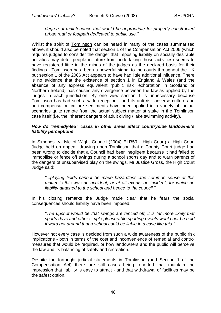### *degree of maintenance that would be appropriate for properly constructed urban road or footpath dedicated to public use."*

Whilst the spirit of Tomlinson can be heard in many of the cases summarised above, it should also be noted that section 1 of the Compensation Act 2006 (which requires judges to consider the danger that imposing liability on socially desirable activities may deter people in future from undertaking those activities) seems to have registered little in the minds of the judges as the declared basis for their findings - Tomlinson has been a powerful signal to the courts throughout the UK but section 1 of the 2006 Act appears to have had little additional influence. There is no evidence that the existence of section 1 in England & Wales (and the absence of any express equivalent "public risk" exhortation in Scotland or Northern Ireland) has caused any divergence between the law as applied by the judges in each jurisdiction. By one view section 1 is unnecessary because Tomlinson has had such a wide reception - and its anti risk adverse culture and anti compensation culture sentiments have been applied in a variety of factual scenarios quite remote from the actual subject matter at stake in the Tomlinson case itself (i.e. the inherent dangers of adult diving / lake swimming activity).

### *How do "remedy-led" cases in other areas affect countryside landowner's liability perceptions*

In Simonds -v- Isle of Wight Council (2004) ELR59 - High Court) a High Court Judge held on appeal, drawing upon Tomlinson that a County Court judge had been wrong to decide that a Council had been negligent because it had failed to immobilise or fence off swings during a school sports day and to warn parents of the dangers of unsupervised play on the swings. Mr Justice Gross, the High Court Judge said:

*"...playing fields cannot be made hazardless...the common sense of this matter is this was an accident, or at all events an incident, for which no liability attached to the school and hence to the council."*

In his closing remarks the Judge made clear that he fears the social consequences should liability have been imposed:

*"The upshot would be that swings are fenced off, it is far more likely that sports days and other simple pleasurable sporting events would not be held if word got around that a school could be liable in a case like this."*

However not every case is decided from such a wide awareness of the public risk implications - both in terms of the cost and inconvenience of remedial and control measures that would be required, or how landowners and the public will perceive the law and its balancing of safety and recreation.

Despite the forthright judicial statements in Tomlinson (and Section 1 of the Compensation Act) there are still cases being reported that maintain the impression that liability is easy to attract - and that withdrawal of facilities may be the safest option.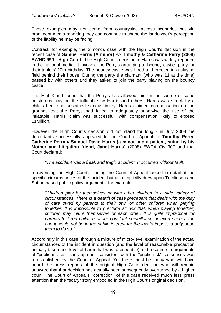These examples may not come from countryside access scenarios but via prominent media reporting they can continue to shape the landowner's perception of the liability he may be facing.

Contrast, for example, the Simonds case with the High Court's decision in the recent case of **Samuel Harris (A minor) -v- Timothy & Catherine Perry (2008) EWHC 990 - High Court.** The High Court's decision in Harris was widely reported in the national media. It involved the Perry's arranging a "bouncy castle" party for their triplets' 10th birthday. The bouncy castle was hired and erected in a playing field behind their house. During the party the claimant (who was 11 at the time) passed by with others and they asked to join the party playing on the bouncy castle.

The High Court found that the Perry's had allowed this. In the course of some boisterous play on the inflatable by Harris and others, Harris was struck by a child's heel and sustained serious injury. Harris claimed compensation on the grounds that the Perrys had failed to adequately supervise the use of the inflatable. Harris' claim was successful, with compensation likely to exceed £1Million.

However the High Court's decision did not stand for long - in July 2008 the defendants successfully appealed to the Court of Appeal in **Timothy Perry, Catherine Perry v Samuel David Harris (a minor and a patient, suing by his Mother and Litigation friend, Janet Harris)** (2008) EWCA Civ 907 and that Court declared:

### *"The accident was a freak and tragic accident. It occurred without fault."*

In reversing the High Court's finding the Court of Appeal looked in detail at the specific circumstances of the incident but also implicitly drew upon Tomlinson and Sutton based public policy arguments, for example:

*"Children play by themselves or with other children in a side variety of circumstances. There is a dearth of case precedent that deals with the duty of care owed by parents to their own or other children when playing together. It is impossible to preclude all risk that, when playing together, children may injure themselves or each other. It is quite impractical for parents to keep children under constant surveillance or even supervision and it would not be in the public interest for the law to impose a duty upon them to do so."*

Accordingly in this case, through a mixture of micro-level examination of the actual circumstances of the incident in question (and the level of reasonable precaution actually taken and level of harm that was foreseeable) and recourse to arguments of "public interest", an approach consistent with the "public risk" consensus was re-established by the Court of Appeal. Yet there must be many who will have heard the press reports of the original High Court decision who will remain unaware that that decision has actually been subsequently overturned by a higher court. The Court of Appeal's "correction" of this case received much less press attention than the "scary" story embodied in the High Court's original decision.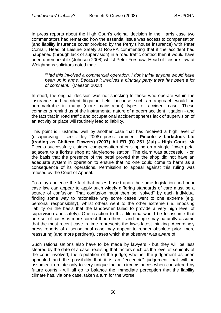In press reports about the High Court's original decision in the Harris case two commentators had remarked how the essential issue was access to compensation (and liability insurance cover provided by the Perry's house insurance) with Peter Cornall, Head of Leisure Safety at RoSPA commenting that if the accident had happened (through lack of supervision) in a road traffic context then it would have been unremarkable (Johnson 2008) whilst Peter Forshaw, Head of Leisure Law at Weighmans solicitors noted that:

*"Had this involved a commercial operation, I don't think anyone would have been up in arms. Because it involves a birthday party there has been a lot of comment."* (Meeson 2008)

In short, the original decision was not shocking to those who operate within the insurance and accident litigation field, because such an approach would be unremarkable in many (more mainstream) types of accident case. These comments remind us of the instrumental nature of modern accident litigation - and the fact that in road traffic and occupational accident spheres lack of supervision of an activity or place will routinely lead to liability.

This point is illustrated well by another case that has received a high level of (disapproving - see Ultley 2008) press comment: **Piccolo v Larkstock Ltd (trading as Chiltern Flowers) (2007) All ER (D) 251 (Jul) - High Court.** Mr Piccolo successfully claimed compensation after slipping on a single flower petal adjacent to a florists shop at Marylebone station. The claim was successful - on the basis that the presence of the petal proved that the shop did not have an adequate system in operation to ensure that no one could come to harm as a consequence of its operations. Permission to appeal against this ruling was refused by the Court of Appeal.

To a lay audience the fact that cases based upon the same legislation and prior case law can appear to apply such widely differing standards of care must be a source of confusion. That confusion must then be "solved" by each individual finding some way to rationalise why some cases went to one extreme (e.g. personal responsibility), whilst others went to the other extreme (i.e. imposing liability on the basis that the landowner failed to provide a very high level of supervision and safety). One reaction to this dilemma would be to assume that one set of cases is more correct than others - and people may naturally assume that the most recent case in time represents the law's latest thinking. Accordingly press reports of a sensational case may appear to render obsolete prior, more reassuring (and more pertinent), cases which that observer was aware of.

Such rationalisations also have to be made by lawyers - but they will be less steered by the date of a case, realising that factors such as the level of seniority of the court involved; the reputation of the judge; whether the judgement as been appealed and the possibility that it is an "eccentric" judgement that will be assumed to relate only to very unique factual circumstances when considered by future courts - will all go to balance the immediate perception that the liability climate has, via one case, taken a turn for the worse.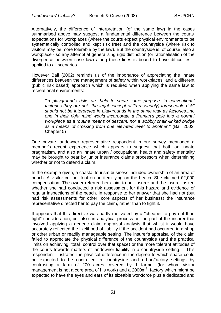Alternatively, the difference of interpretation (of the same law) in the cases summarised above may suggest a fundamental difference between the courts' expectations for workplaces (where the courts expect physical environments to be systematically controlled and kept risk free) and the countryside (where risk to visitors may be more tolerable by the law). But the countryside is, of course, also a workplace - so any attempt at generalising rigid distinction (or rationalisation of the divergence between case law) along these lines is bound to have difficulties if applied to all scenarios.

However Ball (2002) reminds us of the importance of appreciating the innate differences between the management of safety within workplaces, and a different (public risk based) approach which is required when applying the same law to recreational environments:

*"in playgrounds risks are held to serve some purpose; in conventional factories they are not...the legal concept of "(reasonably) foreseeable risk" should not be interpreted in playgrounds in the same way as factories...no one in their right mind would incorporate a fireman's pole into a normal workplace as a routine means of descent, nor a wobbly chain-linked bridge as a means of crossing from one elevated level to another."* (Ball 2002, Chapter 5)

One private landowner representative respondent in our survey mentioned a member's recent experience which appears to suggest that both an innate pragmatism, and also an innate urban / occupational health and safety mentality may be brought to bear by junior insurance claims processors when determining whether or not to defend a claim.

In the example given, a coastal tourism business included ownership of an area of beach. A visitor cut her foot on an item lying on the beach. She claimed £2,000 compensation. The owner referred her claim to her insurer and the insurer asked whether she had conducted a risk assessment for this hazard and evidence of regular inspections of the beach. In response to her answer that she had not (but had risk assessments for other, core aspects of her business) the insurance representative directed her to pay the claim, rather than to fight it.

It appears that this directive was partly motivated by a "cheaper to pay out than fight" consideration, but also an analytical process on the part of the insurer that involved applying a generic claim appraisal analysis that whilst it would have accurately reflected the likelihood of liability if the accident had occurred in a shop or other urban or readily manageable setting. The insurer's appraisal of the claim failed to appreciate the physical difference of the countryside (and the practical limits on achieving "total" control over that space) or the more tolerant attitudes of the courts towards matters of landowner liability in a countryside setting. This respondent illustrated the physical difference in the degree to which space could be expected to be controlled in countryside and urban/factory settings by contrasting a farm of 200 acres covered by 1 farmer (for whom visitor management is not a core area of his work) and a 2000 $\mathrm{m}^3$  factory which might be expected to have the eyes and ears of its sizeable workforce plus a dedicated and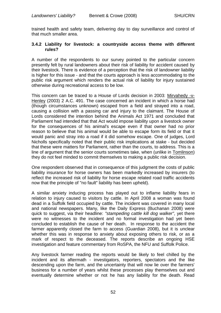trained health and safety team, delivering day to day surveillance and control of that much smaller area.

### **3.4.2 Liability for livestock: a countryside access theme with different rules?**

A number of the respondents to our survey pointed to the particular concern presently felt by rural landowners about their risk of liability for accident caused by their livestock. There is evidence of a perception that the risk of landowner liability is higher for this issue - and that the courts approach is less accommodating to the public risk argument which renders the actual risk of liability for injury sustained otherwise during recreational access to be low.

This concern can be traced to a House of Lords decision in 2003: Mirvahedy -v-Henley (2003) 2 A.C. 491. The case concerned an incident in which a horse had (though circumstances unknown) escaped from a field and strayed into a road, causing a collision with a passing car and injury to the claimant. The House of Lords considered the intention behind the Animals Act 1971 and concluded that Parliament had intended that that Act would impose liability upon a livestock owner for the consequences of his animal's escape even if that owner had no prior reason to believe that his animal would be able to escape form its field or that it would panic and stray into a road if it did somehow escape. One of judges, Lord Nicholls specifically noted that their public risk implications at stake - but decided that these were matters for Parliament, rather than the courts, to address. This is a line of argument that the senior courts sometimes take, when (unlike in Tomlinson) they do not feel minded to commit themselves to making a public risk decision.

One respondent observed that in consequence of this judgment the costs of public liability insurance for horse owners has been markedly increased by insurers (to reflect the increased risk of liability for horse escape related road traffic accidents now that the principle of "no fault" liability has been upheld).

A similar anxiety inducing process has played out to inflame liability fears in relation to injury caused to visitors by cattle. In April 2008 a woman was found dead in a Suffolk field occupied by cattle. The incident was covered in many local and national newspapers. Many, like the Daily Express (Buchanan 2008) were quick to suggest, via their headline: *"stampeding cattle kill dog walker"*, yet there were no witnesses to the incident and no formal investigation had yet been concluded to establish the cause of her death. In response to the accident the farmer apparently closed the farm to access (Guardian 2008), but it is unclear whether this was in response to anxiety about exposing others to risk, or as a mark of respect to the deceased. The reports describe an ongoing HSE investigation and feature commentary from RoSPA, the NFU and Suffolk Police.

Any livestock farmer reading the reports would be likely to feel chilled by the incident and its aftermath - investigators, reporters, spectators and the like descending upon the farm, and the uncertainty that will now lie over the farmers' business for a number of years whilst these processes play themselves out and eventually determine whether or not he has any liability for the death. Read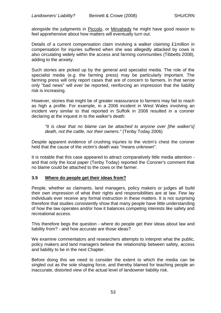alongside the judgments in Piccolo, or Mirvahedy he might have good reason to feel apprehensive about how matters will eventually turn out.

Details of a current compensation claim involving a walker claiming £1million in compensation for injuries suffered when she was allegedly attacked by cows is also circulating widely within the access and farming communities (Tibbetts 2008), adding to the anxiety.

Such stories are picked up by the general and specialist media. The role of the specialist media (e.g. the farming press) may be particularly important. The farming press will only report cases that are of concern to farmers. In that sense only "bad news" will ever be reported, reinforcing an impression that the liability risk is increasing.

However, stories that might be of greater reassurance to farmers may fail to reach as high a profile. For example, in a 2006 incident in West Wales involving an incident very similar to that reported in Suffolk in 2008 resulted in a coroner declaring at the inquest in to the walker's death:

*"It is clear that no blame can be attached to anyone over [the walker's] death, not the cattle, nor their owners."* (Tenby Today 2006)

Despite apparent evidence of crushing injuries to the victim's chest the coroner held that the cause of the victim's death was "means unknown".

It is notable that this case appeared to attract comparatively little media attention and that only the local paper (Tenby Today) reported the Coroner's comment that no blame could be attached to the cows or the farmer.

# **3.5 Where do people get their ideas from?**

People, whether as claimants, land managers, policy makers or judges all build their own impression of what their rights and responsibilities are at law. Few lay individuals ever receive any formal instruction in these matters. It is not surprising therefore that studies consistently show that many people have little understanding of how the law operates and/or how it balances competing interests like safety and recreational access.

This therefore begs the question - where do people get their ideas about law and liability from? - and how accurate are those ideas?

We examine commentators and researchers attempts to interpret what the public, policy makers and land managers believe the relationship between safety, access and liability to be in the next Chapter.

Before doing this we need to consider the extent to which the media can be singled out as the sole shaping force, and thereby blamed for teaching people an inaccurate, distorted view of the actual level of landowner liability risk.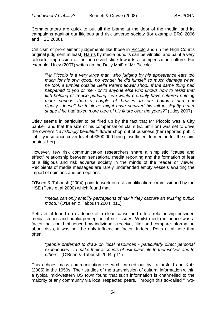Commentators are quick to put all the blame at the door of the media, and its campaigns against our litigious and risk adverse society (for example BRC 2006 and HSE 2008).

Criticism of pro-claimant judgements like those in Piccolo and (in the High Court's original judgment at least) Harris by media pundits can be vitriolic, and paint a very colourful impression of the perceived slide towards a compensation culture. For example, Utley (2007) writes (in the Daily Mail) of Mr Piccolo:

*"Mr Piccolo is a very large man, who judging by his appearance eats too much for his own good...no wonder he did himself so much damage when he took a tumble outside Bella Patel's flower shop...If the same thing had happened to you or me - or to anyone else who knows how to resist that fifth helping of treacle pudding - we would probably have suffered nothing more serious than a couple of bruises to our bottoms and our dignity...doesn't he think he might have survived his fall in slightly better shape if he had taken more care of his figure over the years?"* (Utley 2007)

Utley seems in particular to be fired up by the fact that Mr Piccolo was a City banker, and that the size of his compensation claim (£1.5million) was set to drive the owner's *"ravishingly beautiful"* flower shop out of business (her reported public liability insurance cover level of £800,000 being insufficient to meet in full the claim against her).

However, few risk communication researchers share a simplistic "cause and effect" relationship between sensational media reporting and the formation of fear of a litigious and risk adverse society in the minds of the reader or viewer. Recipients of media messages are rarely undefended empty vessels awaiting the import of opinions and perceptions.

O'Brien & Tabbush (2004) point to work on risk amplification commissioned by the HSE (Petts et al 2000) which found that:

*"media can only amplify perceptions of risk if they capture an existing public mood."* (O'Brien & Tabbush 2004, p11)

Petts et al found no evidence of a clear cause and effect relationship between media stories and public perception of risk issues. Whilst media influence was a factor that could influence how individuals receive, filter and compare information about risks, it was not the only influencing factor. Indeed, Petts et al note that often:

*"people preferred to draw on local resources - particularly direct personal experiences - to make their accounts of risk plausible to themselves and to others."* (O'Brien & Tabbush 2004, p11)

This echoes mass communication research carried out by Lazarsfeld and Katz (2005) in the 1950s. Their studies of the transmission of cultural information within a typical mid-western US town found that such information is channelled to the majority of any community via local respected peers. Through this so-called "Two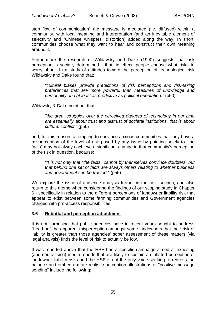step flow of communication" the message is mediated (i.e. diffused) within a community, with local meaning and interpretation (and an inevitable element of selectivity and "Chinese whispers" distortion) added along the way. In short, communities choose what they want to hear and construct their own meaning around it.

Furthermore the research of Wildavsky and Dake (1990) suggests that risk perception is socially determined - that, in effect, people choose what risks to worry about. In a study of attitudes toward the perception of technological risk Wildavsky and Dake found that:

*"cultural biases provide predictions of risk perceptions and risk-taking preferences that are more powerful than measures of knowledge and personality and at least as predictive as political orientation."* (p50)

Wildavsky & Dake point out that:

*"the great struggles over the perceived dangers of technology in our time are essentially about trust and distrust of societal institutions, that is about cultural conflict."* (p56)

and, for this reason, attempting to convince anxious communities that they have a misperception of the level of risk posed by any issue by pointing solely to "the facts" may not always achieve a significant change in that community's perception of the risk in question, because:

*"It is not only that "the facts" cannot by themselves convince doubters, but that behind one set of facts are always others relating to whether business and government can be trusted."* (p55)

We explore the issue of audience analysis further in the next section, and also return to this theme when considering the findings of our scoping study in Chapter 6 - specifically in relation to the different perceptions of landowner liability risk that appear to exist between some farming communities and Government agencies charged with pro-access responsibilities.

# **3.6 Rebuttal and perception adjustment**

It is not surprising that public agencies have in recent years sought to address "head-on" the apparent misperception amongst some landowners that their risk of liability is greater than those agencies' sober assessment of these matters (via legal analysis) finds the level of risk to actually be low.

It was reported above that the HSE has a specific campaign aimed at exposing (and neutralising) media reports that are likely to sustain an inflated perception of landowner liability risks and the HSE is not the only voice seeking to redress the balance and embed a more realistic perception, illustrations of "positive message sending" include the following: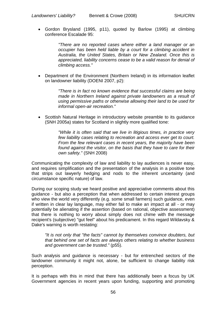Gordon Brysland (1995, p11), quoted by Barlow (1995) at climbing conference Escalade 95:

> *"There are no reported cases where either a land manager or an occupier has been held liable by a court for a climbing accident in Australia, the United States, Britain or New Zealand. Once this is appreciated, liability concerns cease to be a valid reason for denial of climbing access."*

 Department of the Environment (Northern Ireland) in its information leaflet on landowner liability (DOENI 2007, p2):

> *"There is in fact no known evidence that successful claims are being made in Northern Ireland against private landowners as a result of using permissive paths or otherwise allowing their land to be used for informal open-air recreation."*

• Scottish Natural Heritage in introductory website preamble to its quidance (SNH 2005a) states for Scotland in slightly more qualified tone:

> *"While it is often said that we live in litigious times, in practice very few liability cases relating to recreation and access ever get to court. From the few relevant cases in recent years, the majority have been found against the visitor, on the basis that they have to care for their own safety."* (SNH 2008)

Communicating the complexity of law and liability to lay audiences is never easy, and requires simplification and the presentation of the analysis in a positive tone that strips out lawyerly hedging and nods to the inherent uncertainty (and circumstance specific nature) of law.

During our scoping study we heard positive and appreciative comments about this guidance - but also a perception that when addressed to certain interest groups who view the world very differently (e.g. some small farmers) such guidance, even if written in clear lay language, may either fail to make an impact at all - or may potentially be alienating if the assertion (based on rational, objective assessment) that there is nothing to worry about simply does not chime with the message recipient's (subjective) "gut feel" about his predicament. In this regard Wildavsky & Dake's warning is worth restating:

*"It is not only that "the facts" cannot by themselves convince doubters, but that behind one set of facts are always others relating to whether business and government can be trusted."* (p55).

Such analysis and guidance is necessary - but for entrenched sectors of the landowner community it might not, alone, be sufficient to change liability risk perception.

It is perhaps with this in mind that there has additionally been a focus by UK Government agencies in recent years upon funding, supporting and promoting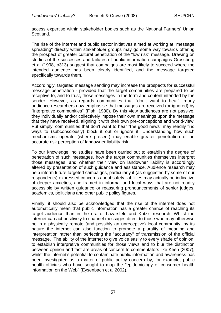access expertise within stakeholder bodies such as the National Farmers' Union Scotland.

The rise of the internet and public sector initiatives aimed at working at "message spreading" directly within stakeholder groups may go some way towards offering the prospect of greater cultural penetration of the "low risk" message. Drawing on studies of the successes and failures of public information campaigns Grossberg et al (1998, p313) suggest that campaigns are most likely to succeed where the intended audience has been clearly identified, and the message targeted specifically towards them.

Accordingly, targeted message sending may increase the prospects for successful message penetration - provided that the target communities are prepared to be receptive to, and to trust, those messages in the form and content intended by the sender. However, as regards communities that "don't want to hear", many audience researchers now emphasise that messages are received (or ignored) by "interpretive communities" (Fish, 1980). By this view audiences are not passive, they individually and/or collectively impose their own meanings upon the message that they have received, aligning it with their own pre-conceptions and world-view. Put simply, communities that don't want to hear "the good news" may readily find ways to (subconsciously) block it out or ignore it. Understanding how such mechanisms operate (where present) may enable greater penetration of an accurate risk perception of landowner liability risk.

To our knowledge, no studies have been carried out to establish the degree of penetration of such messages, how the target communities themselves interpret those messages, and whether their view on landowner liability is accordingly altered by presentation of such guidance and assistance. Audience research may help inform future targeted campaigns, particularly if (as suggested by some of our respondents) expressed concerns about safety liabilities may actually be indicative of deeper anxieties, and framed in informal and local ways that are not readily accessible by written guidance or reassuring pronouncements of senior judges, academics, politicians and other public policy figures.

Finally, it should also be acknowledged that the rise of the internet does not automatically mean that public information has a greater chance of reaching its target audience than in the era of Lazarsfeld and Katz's research. Whilst the internet can act positively to channel messages direct to those who may otherwise be in a physically remote (and possibly an unreceptive) local community, by its nature the internet can also function to promote a plurality of meaning and interpretation rather than perfecting the "accuracy" of transmission of the official message. The ability of the internet to give voice easily to every shade of opinion, to establish interpretive communities for those views and to blur the distinction between opinion and fact are areas of concern to commentators like Keen (2007), whilst the internet's potential to contaminate public information and awareness has been investigated as a matter of public policy concern by, for example, public health officials who have sought to map the "epidemiology of consumer health information on the Web" (Eysenbach et al 2002).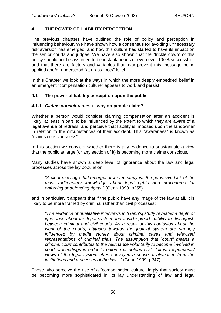## **4. THE POWER OF LIABILITY PERCEPTION**

The previous chapters have outlined the role of policy and perception in influencing behaviour. We have shown how a consensus for avoiding unnecessary risk aversion has emerged, and how this culture has started to have its impact on the senior courts and judges. We have also shown that the "trickle down" of this policy should not be assumed to be instantaneous or even ever 100% successful and that there are factors and variables that may prevent this message being applied and/or understood "at grass roots" level.

In this Chapter we look at the ways in which the more deeply embedded belief in an emergent "compensation culture" appears to work and persist.

### **4.1 The power of liability perception upon the public**

#### **4.1.1** *Claims consciousness* **- why do people claim?**

Whether a person would consider claiming compensation after an accident is likely, at least in part, to be influenced by the extent to which they are aware of a legal avenue of redress, and perceive that liability is imposed upon the landowner in relation to the circumstances of their accident. This "awareness" is known as "claims consciousness".

In this section we consider whether there is any evidence to substantiate a view that the public at large (or any section of it) is becoming more claims conscious.

Many studies have shown a deep level of ignorance about the law and legal processes across the lay population:

*"A clear message that emerges from the study is...the pervasive lack of the most rudimentary knowledge about legal rights and procedures for enforcing or defending rights."* (Genn 1999, p255)

and in particular, it appears that if the public have any image of the law at all, it is likely to be more framed by criminal rather than civil processes:

*"The evidence of qualitative interviews in [Genn's] study revealed a depth of ignorance about the legal system and a widespread inability to distinguish between criminal and civil courts. As a result of this confusion about the work of the courts, attitudes towards the judicial system are strongly influenced by media stories about criminal cases and televised representations of criminal trials. The assumption that "court" means a criminal court contributes to the reluctance voluntarily to become involved in court proceedings in order to enforce or defend civil claims. respondents' views of the legal system often conveyed a sense of alienation from the institutions and processes of the law..."* (Genn 1999, p247)

Those who perceive the rise of a "compensation culture" imply that society must be becoming more sophisticated in its lay understanding of law and legal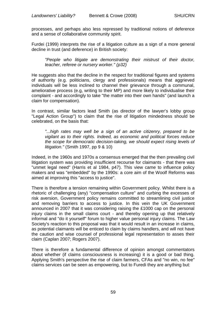processes, and perhaps also less repressed by traditional notions of deference and a sense of collaborative community spirit.

Furdei (1999) interprets the rise of a litigation culture as a sign of a more general decline in trust (and deference) in British society:

*"People who litigate are demonstrating their mistrust of their doctor, teacher, referee or nursery worker." (p32)*

He suggests also that the decline in the respect for traditional figures and systems of authority (e.g. politicians, clergy and professionals) means that aggrieved individuals will be less inclined to channel their grievance through a communal, ameliorative process (e.g, writing to their MP) and more likely to individualise their complaint - and accordingly to take "the matter into their own hands" (and launch a claim for compensation).

In contrast, similar factors lead Smith (as director of the lawyer's lobby group "Legal Action Group") to claim that the rise of litigation mindedness should be celebrated, on the basis that:

*"...high rates may well be a sign of an active citizenry, prepared to be vigilant as to their rights. Indeed, as economic and political forces reduce the scope for democratic decision-taking, we should expect rising levels of litigation."* (Smith 1997, pp 9 & 10)

Indeed, in the 1960s and 1970s a consensus emerged that the then prevailing civil litigation system was providing insufficient recourse for claimants - that there was "unmet legal need" (Harris et al 1984, p47). This view came to influence policy makers and was "embedded" by the 1990s: a core aim of the Woolf Reforms was aimed at improving this "access to justice".

There is therefore a tension remaining within Government policy. Whilst there is a rhetoric of challenging (any) "compensation culture" and curbing the excesses of risk aversion, Government policy remains committed to streamlining civil justice and removing barriers to access to justice. In this vein the UK Government announced in 2007 that it was considering raising the £1000 cap on the personal injury claims in the small claims court - and thereby opening up that relatively informal and "do it yourself" forum to higher value personal injury claims. The Law Society's reaction to this proposal was that it would result in an increase in claims, as potential claimants will be enticed to claim by claims handlers, and will not have the caution and wise counsel of professional legal representation to asses their claim (Caplan 2007; Rogers 2007).

There is therefore a fundamental difference of opinion amongst commentators about whether (if claims consciousness is increasing) it is a good or bad thing. Applying Smith's perspective the rise of claim farmers, CFAs and "no win, no fee" claims services can be seen as empowering, but to Furedi they are anything but: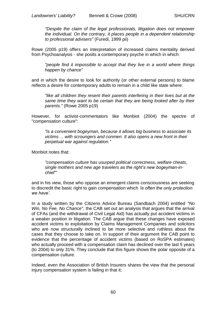*"Despite the claim of the legal professionals, litigation does not empower the individual. On the contrary, it places people in a dependent relationship to professional advisers"* (Furedi, 1999 pii)

Rowe (2005 p19) offers an interpretation of increased claims mentality derived from Psychoanalysis - she posits a contemporary psyche in which in which:

*"people find it impossible to accept that they live in a world where things happen by chance"*

and in which the desire to look for authority (or other external persons) to blame reflects a desire for contemporary adults to remain in a child like state where:

*"like all children they resent their parents interfering in their lives but at the same time they want to be certain that they are being looked after by their parents."* (Rowe 2005 p19)

However, for activist-commentators like Monbiot (2004) the spectre of "compensation culture":

*"is a convenient bogeyman, because it allows big business to associate its victims ... with scroungers and conmen. It also opens a new front in their perpetual war against regulation."*

Monbiot notes that:

*"compensation culture has usurped political correctness, welfare cheats, single mothers and new age travelers as the right"s new bogeyman-inchief""*

and in his view, those who oppose an emergent claims consciousness are seeking to discredit the basic right to gain compensation which *"is often the only protection we have".*

In a study written by the Citizens Advice Bureau (Sandbach 2004) entitled *"No Win, No Fee, No Chance"*, the CAB set out an analysis that argues that the arrival of CFAs (and the withdrawal of Civil Legal Aid) has actually put accident victims in a weaker position in litigation. The CAB argue that these changes have exposed accident victims to exploitation by Claims Management Companies and solicitors who are now structurally inclined to be more selective and ruthless about the cases that they choose to take on. In support of their argument the CAB point to evidence that the percentage of accident victims (based on RoSPA estimates) who actually proceed with a compensation claim has declined over the last 5 years (to 2004) to only 31%. They conclude that this figure shows the polar opposite of a compensation culture.

Indeed, even the Association of British Insurers shares the view that the personal injury compensation system is failing in that it: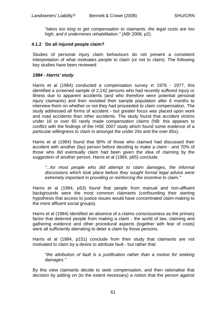*"takes too long to get compensation to claimants, the legal costs are too high, and it undermines rehabilitation."* (ABI 2008, p2).

### **4.1.2 Do all injured people claim?**

Studies of personal injury claim behaviours do not present a consistent interpretation of what motivates people to claim (or not to claim). The following key studies have been reviewed:

#### *1984 - Harris' study*

Harris et al (1984) conducted a compensation survey in 1976 - 1977, this identified a screened sample of 2,142 persons who had recently suffered injury or illness due to apparent accidents (and who therefore were potential personal injury claimants) and then revisited their sample population after 6 months to interview them on whether or not they had proceeded to claim compensation. The study addressed all forms of accident - but greater focus was placed upon work and road accidents than other accidents. The study found that accident victims under 16 or over 65 rarely made compensation claims (NB: this appears to conflict with the findings of the HSE 2007 study which found some evidence of a particular willingness to claim in amongst the under 24s and the over 65s).

Harris et al (1984) found that 90% of those who claimed had discussed their accident with another (lay) person before deciding to make a claim - and 70% of those who did eventually claim had been given the idea of claiming by the suggestion of another person. Harris et al (1984, p65) conclude:

"...for most people who did attempt to claim damages, the informal *discussions which took place before they sought formal legal advice were extremely important in providing or reinforcing the incentive to claim."*

Harris et al (1984, p53) found that people from manual and non-affluent backgrounds were the most common claimants (confounding their starting hypothesis that access to justice issues would have concentrated claim-making to the more affluent social groups).

Harris et al (1984) identified an absence of a claims consciousness as the primary factor that deterred people from making a claim - the world of law, claiming and gathering evidence and other procedural aspects (together with fear of costs) were all sufficiently alienating to deter a claim by those persons.

Harris et al (1984, p151) conclude from their study that claimants are not motivated to claim by a desire to attribute fault - but rather that:

*"the attribution of fault is a justification rather than a motive for seeking damages."*

By this view claimants decide to seek compensation, and then rationalise that decision by adding on (to the extent necessary) a notion that the person against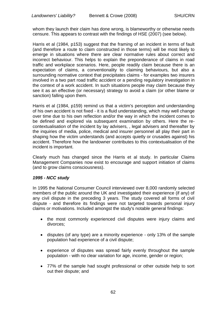whom they launch their claim has done wrong, is blameworthy or otherwise needs censure. This appears to contrast with the findings of HSE (2007) (see below).

Harris et al (1984, p153) suggest that the framing of an incident in terms of fault (and therefore a route to claim constructed in those terms) will be most likely to emerge in situations where there are clear normative rules about correct and incorrect behaviour. This helps to explain the preponderance of claims in road traffic and workplace scenarios. Here, people readily claim because there is an expectation of claims, a conventionality to claiming behaviours, but also a surrounding normative context that precipitates claims - for examples two insurers involved in a two part road traffic accident or a pending regulatory investigation in the context of a work accident. In such situations people may claim because they see it as an effective (or necessary) strategy to avoid a claim (or other blame or sanction) falling upon them.

Harris et al (1984, p159) remind us that a victim's perception and understanding of his own accident is not fixed - it is a fluid understanding, which may well change over time due to his own reflection and/or the way in which the incident comes to be defined and explored via subsequent examination by others. Here the recontextualisation of the incident by lay advisers, , legal advisers and thereafter by the inquiries of media, police, medical and insurer personnel all play their part in shaping how the victim understands (and accepts quietly or crusades against) his accident. Therefore how the landowner contributes to this contextualisation of the incident is important.

Clearly much has changed since the Harris et al study. In particular Claims Management Companies now exist to encourage and support initiation of claims (and to grow claims consciousness).

### *1995 - NCC study*

In 1995 the National Consumer Council interviewed over 8,000 randomly selected members of the public around the UK and investigated their experience (if any) of any civil dispute in the preceding 3 years. The study covered all forms of civil dispute - and therefore its findings were not targeted towards personal injury claims or motivations. Included amongst the study's notable general findings:

- the most commonly experienced civil disputes were injury claims and divorces;
- disputes (of any type) are a minority experience only 13% of the sample population had experience of a civil dispute;
- experience of disputes was spread fairly evenly throughout the sample population - with no clear variation for age, income, gender or region;
- 77% of the sample had sought professional or other outside help to sort out their dispute; and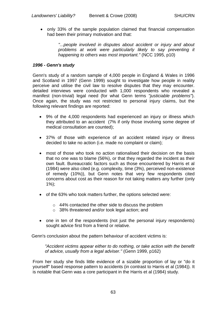• only 33% of the sample population claimed that financial compensation had been their primary motivation and that:

> *"...people involved in disputes about accident or injury and about problems at work were particularly likely to say preventing it happening to others was most important."* (NCC 1995, p10)

### *1996 - Genn's study*

Genn's study of a random sample of 4,000 people in England & Wales in 1996 and Scotland in 1997 (Genn 1999) sought to investigate how people in reality perceive and utilise the civil law to resolve disputes that they may encounter. detailed interviews were conducted with 1,000 respondents who revealed a manifest (non-trivial) legal need (for what Genn terms *"justiciable problems"*). Once again, the study was not restricted to personal injury claims, but the following relevant findings are reported:

- 9% of the 4,000 respondents had experienced an injury or illness which they attributed to an accident (7% if only those involving some degree of medical consultation are counted);
- 37% of those with experience of an accident related injury or illness decided to take no action (i.e. made no complaint or claim);
- most of those who took no action rationalised their decision on the basis that no one was to blame (56%), or that they regarded the incident as their own fault. Bureaucratic factors such as those encountered by Harris et al (1984) were also cited (e.g. complexity, time (3%), perceived non-existence of remedy (10%)), but Genn notes that very few respondents cited concerns about cost as their reason for not taking matters any further (only 1%);
- of the 63% who took matters further, the options selected were:
	- o 44% contacted the other side to discuss the problem
	- o 38% threatened and/or took legal action; and
- one in ten of the respondents (not just the personal injury respondents) sought advice first from a friend or relative.

Genn's conclusion about the pattern behaviour of accident victims is:

*"Accident victims appear either to do nothing, or take action with the benefit of advice, usually from a legal adviser."* (Genn 1999, p162)

From her study she finds little evidence of a sizable proportion of lay or "do it yourself" based response pattern to accidents (in contrast to Harris et al (1984)). It is notable that Genn was a core participant in the Harris et al (1984) study.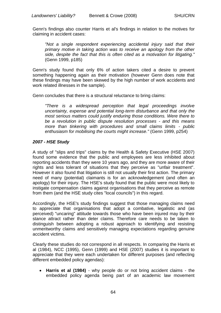Genn's findings also counter Harris et al's findings in relation to the motives for claiming in accident cases:

*"Not a single respondent experiencing accidental injury said that their primary motive in taking action was to receive an apology from the other side, despite the fact that this is often cited as a motivation for litigating."*  (Genn 1999, p185)

Genn's study found that only 6% of action takers cited a desire to prevent something happening again as their motivation (however Genn does note that these findings may have been skewed by the high number of work accidents and work related illnesses in the sample).

Genn concludes that there is a structural reluctance to bring claims:

*"There is a widespread perception that legal proceedings involve uncertainty, expense and potential long-term disturbance and that only the most serious matters could justify enduring those conditions. Were there to be a revolution in public dispute resolution processes - and this means more than tinkering with procedures and small claims limits - public enthusiasm for mobilising the courts might increase."* (Genn 1999, p254)

### *2007 - HSE Study*

A study of "slips and trips" claims by the Health & Safety Executive (HSE 2007) found some evidence that the public and employees are less inhibited about reporting accidents than they were 10 years ago, and they are more aware of their rights and less tolerant of situations that they perceive as "unfair treatment". However it also found that litigation is still not usually their first action. The primary need of many (potential) claimants is for an acknowledgement (and often an apology) for their injury. The HSE's study found that the public were most likely to instigate compensation claims against organisations that they perceive as remote from them (and the HSE study cites "local councils") in this regard.

Accordingly, the HSE's study findings suggest that those managing claims need to appreciate that organisations that adopt a combative, legalistic and (as perceived) "uncaring" attitude towards those who have been injured may by their stance attract rather than deter claims. Therefore care needs to be taken to distinguish between adopting a robust approach to identifying and resisting unmeritworthy claims and sensitively managing expectations regarding genuine accident victims.

Clearly these studies do not correspond in all respects. In comparing the Harris et al (1984), NCC (1995), Genn (1999) and HSE (2007) studies it is important to appreciate that they were each undertaken for different purposes (and reflecting different embedded policy agendas):

 **Harris et al (1984)** - why people do or not bring accident claims - the embedded policy agenda being part of an academic law movement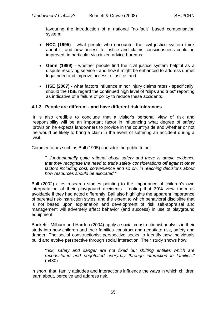favouring the introduction of a national "no-fault" based compensation system;

- **NCC (1995)** what people who encounter the civil justice system think about it, and how access to justice and claims consciousness could be improved, in particular via citizen advice bureaus;
- **Genn (1999)** whether people find the civil justice system helpful as a dispute resolving service - and how it might be enhanced to address unmet legal need and improve access to justice; and
- **HSE (2007)** what factors influence minor injury claims rates specifically, should the HSE regard the continued high level of "slips and trips" reporting as indicative of a failure of policy to reduce these accidents.

### **4.1.3 People are different - and have different risk tolerances**

It is also credible to conclude that a visitor's personal view of risk and responsibility will be an important factor in influencing what degree of safety provision he expects landowners to provide in the countryside and whether or not he would be likely to bring a claim in the event of suffering an accident during a visit.

Commentators such as Ball (1995) consider the public to be:

*"...fundamentally quite rational about safety and there is ample evidence that they recognise the need to trade safety considerations off against other factors including cost, convenience and so on, in reaching decisions about how resources should be allocated."*

Ball (2002) cites research studies pointing to the importance of children's own interpretation of their playground accidents - noting that 30% view them as avoidable if they had acted differently. Ball also highlights the apparent importance of parental risk-instruction styles, and the extent to which behavioral discipline that is not based upon explanation and development of risk self-appraisal and management will adversely affect behavior (and success) in use of playground equipment.

Backett - Milburn and Harden (2004) apply a social constructionist analysis in their study into how children and their families construct and negotiate risk, safety and danger. The social constructionist perspective seeks to identify how individuals build and evolve perspective through social interaction. Their study shows how:

*"risk, safety and danger are not fixed but shifting entities which are reconstituted and negotiated everyday through interaction in families."* (p430)

in short, that family attitudes and interactions influence the ways in which children learn about, perceive and address risk.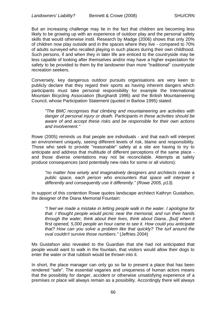But an increasing challenge may lie in the fact that children are becoming less likely to be growing up with an experience of outdoor play and the personal safety skills that would otherwise instil. Research by Madge (2006) shows that only 20% of children now play outside and in the spaces where they live - compared to 70% of adults surveyed who recalled playing in such places during their own childhood. Such persons, if and when they in later life are enticed to the countryside may be less capable of looking after themselves and/or may have a higher expectation for safety to be provided to them by the landowner than more "traditional" countryside recreation seekers.

Conversely, key dangerous outdoor pursuits organisations are very keen to publicly declare that they regard their sports as having inherent dangers which participants must take personal responsibility for example the International Mountain Bicycling Association (Burghardt 1996) and the British Mountaineering Council, whose Participation Statement (quoted in Barlow 1995) stated:

*"The BMC recognises that climbing and mountaineering are activities with danger of personal injury or death. Participants in these activities should be aware of and accept these risks and be responsible for their own actions and involvement."*

Rowe (2005) reminds us that people are individuals - and that each will interpret an environment uniquely, seeing different levels of risk, blame and responsibility. Those who seek to provide "reasonable" safety at a site are having to try to anticipate and address that multitude of different perceptions of the same place and those diverse orientations may not be reconcilable. Attempts at safety produce consequences (and potentially new risks for some or all visitors):

*"no matter how wisely and imaginatively designers and architects create a public space, each person who encounters that space will interpret it differently and consequently use it differently." (Rowe 2005, p13).*

In support of this contention Rowe quotes landscape architect Kathryn Gustafson, the designer of the Diana Memorial Fountain:

*"I feel we made a mistake in letting people walk in the water. I apologise for that. I thought people would picnic near the memorial, and run their hands through the water, think about their lives, think about Diana...[but] when it first opened, 5,000 people an hour came to see it. How could you anticipate that? How can you solve a problem like that quickly? The turf around the oval couldn't survive those numbers."* (Jeffries 2004)

Ms Gustafson also revealed to the Guardian that she had not anticipated that people would want to walk in the fountain, that visitors would allow their dogs to enter the water or that rubbish would be thrown into it.

In short, the place manager can only go so far to present a place that has been rendered "safe". The essential vagaries and uniqueness of human actors means that the possibility for danger, accident or otherwise unsatisfying experience of a premises or place will always remain as a possibility. Accordingly there will always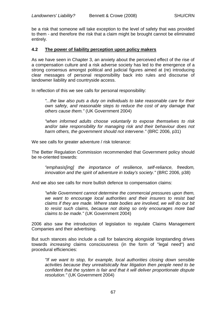be a risk that someone will take exception to the level of safety that was provided to them - and therefore the risk that a claim might be brought cannot be eliminated entirely.

#### **4.2 The power of liability perception upon policy makers**

As we have seen in Chapter 3, an anxiety about the perceived effect of the rise of a compensation culture and a risk adverse society has led to the emergence of a strong consensus amongst political and judicial figures aimed at (re) introducing clear messages of personal responsibility back into rules and discourse of landowner liability and countryside access.

In reflection of this we see calls for personal responsibility:

*"...the law also puts a duty on individuals to take reasonable care for their own safety, and reasonable steps to reduce the cost of any damage that others cause them."* (UK Government 2004)

*"when informed adults choose voluntarily to expose themselves to risk and/or take responsibility for managing risk and their behaviour does not harm others, the government should not intervene."* (BRC 2006, p31)

We see calls for greater adventure / risk tolerance:

The Better Regulation Commission recommended that Government policy should be re-oriented towards:

*"emphasis[ing] the importance of resilience, self-reliance, freedom, innovation and the spirit of adventure in today's society."* (BRC 2006, p38)

And we also see calls for more bullish defence to compensation claims:

*"while Government cannot determine the commercial pressures upon them, we want to encourage local authorities and their insurers to resist bad claims if they are made. Where state bodies are involved, we will do our bit to resist such claims, because not doing so only encourages more bad claims to be made."* (UK Government 2004)

2006 also saw the introduction of legislation to regulate Claims Management Companies and their advertising.

But such stances also include a call for balancing alongside longstanding drives towards *increasing* claims consciousness (in the form of "legal need") and procedural efficiencies:

*"If we want to stop, for example, local authorities closing down sensible activities because they unrealistically fear litigation then people need to be confident that the system is fair and that it will deliver proportionate dispute resolution."* (UK Government 2004)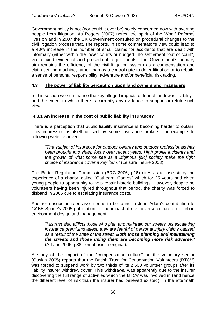Government policy is not (nor could it ever be) solely concerned now with averting people from litigation. As Rogers (2007) notes, the spirit of the Woolf Reforms lives on and in 2007 the UK Government consulted on procedural changes to the civil litigation process that, she reports, in some commentator's view could lead to a 40% increase in the number of small claims for accidents that are dealt with informally (either within the lower courts or nudged into settlement "out of court") via relaxed evidential and procedural requirements. The Government's primary aim remains the efficiency of the civil litigation system as a compensation and claim settling machine, rather than as a control gate to deter litigation or to rebuild a sense of personal responsibility, adventure and/or beneficial risk taking.

#### **4.3 The power of liability perception upon land owners and managers**

In this section we summarise the key alleged impacts of fear of landowner liability and the extent to which there is currently any evidence to support or refute such views.

### **4.3.1 An increase in the cost of public liability insurance?**

There is a perception that public liability insurance is becoming harder to obtain. This impression is itself utilised by some insurance brokers, for example to following website advert:

*"The subject of insurance for outdoor centres and outdoor professionals has been brought into sharp focus over recent years. High profile incidents and the growth of what some see as a litiginous [sic] society make the right choice of insurance cover a key item."* (Leisure Insure 2008)

The Better Regulation Commission (BRC 2006, p16) cites as a case study the experience of a charity, called "Cathedral Camps" which for 25 years had given young people to opportunity to help repair historic buildings. However, despite no volunteers having been injured throughout that period, the charity was forced to disband in 2006 due to escalating insurance costs.

Another unsubstantiated assertion is to be found in John Adam's contribution to CABE Space's 2005 publication on the impact of risk adverse culture upon urban environment design and management:

*"Mistrust also afflicts those who plan and maintain our streets. As escalating insurance premiums attest, they are fearful of personal injury claims caused as a result of the state of the street. Both those planning and maintaining the streets and those using them are becoming more risk adverse."* (Adams 2005, p38 - emphasis in original).

A study of the impact of the "compensation culture" on the voluntary sector (Gaskin 2005) reports that the British Trust for Conservation Volunteers (BTCV) was forced to suspend work by two thirds of its 2,600 volunteer groups after its liability insurer withdrew cover. This withdrawal was apparently due to the insurer discovering the full range of activities which the BTCV was involved in (and hence the different level of risk than the insurer had believed existed). In the aftermath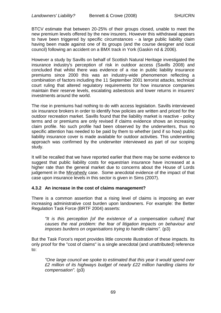BTCV estimate that between 20-25% of their groups closed, unable to meet the new premium levels offered by the new insurers. However this withdrawal appears to have been triggered by specific circumstances - a large public liability claim having been made against one of its groups (and the course designer and local council) following an accident on a BMX track in York (Gaskin nd & 2006).

However a study by Savills on behalf of Scottish Natural Heritage investigated the insurance industry's perception of risk in outdoor access (Savills 2008) and concluded that whilst there was evidence of a rise in public liability insurance premiums since 2000 this was an industry-wide phenomenon reflecting a combination of factors including the 11 September 2001 terrorist attacks, technical court ruling that altered regulatory requirements for how insurance companies maintain their reserve levels, escalating asbestosis and lower returns in insurers' investments around the world.

The rise in premiums had nothing to do with access legislation. Savills interviewed six insurance brokers in order to identify how policies are written and priced for the outdoor recreation market. Savills found that the liability market is reactive - policy terms and or premiums are only revised if claims evidence shows an increasing claim profile. No such profile had been observed by the underwriters, thus no specific attention has needed to be paid by them to whether (and if so how) public liability insurance cover is made available for outdoor activities. This underwriting approach was confirmed by the underwriter interviewed as part of our scoping study.

It will be recalled that we have reported earlier that there may be some evidence to suggest that public liability costs for equestrian insurance have increased at a higher rate than the general market due to concerns about the House of Lords judgement in the Mirvahedy case. Some anecdotal evidence of the impact of that case upon insurance levels in this sector is given in Sims (2007).

### **4.3.2 An increase in the cost of claims management?**

There is a common assertion that a rising level of claims is imposing an ever increasing administrative cost burden upon landowners. For example: the Better Regulation Task Force (BRTF 2004) asserts:

*"It is this perception [of the existence of a compensation culture] that causes the real problem: the fear of litigation impacts on behaviour and imposes burdens on organisations trying to handle claims".* (p3)

But the Task Force's report provides little concrete illustration of these impacts. Its only proof for the "cost of claims" is a single anecdotal (and unattributed) reference to:

*"One large council we spoke to estimated that this year it would spend over £2 million of its highways budget of nearly £22 million handling claims for compensation".* (p3)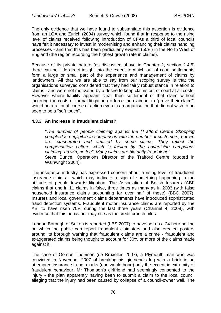The only evidence that we have found to substantiate this assertion is evidence from an LGA and Zurich (2004) survey which found that in response to the rising level of claims received following introduction of CFAs a third of local councils have felt it necessary to invest in modernising and enhancing their claims handling processes - and that this has been particularly evident (50%) in the North West of England (the region recording the highest growth rate in claims).

Because of its private nature (as discussed above in Chapter 2, section 2.4.5) there can be little direct insight into the extent to which out of court settlements form a large or small part of the experience and management of claims by landowners. All that we are able to say from our scoping survey is that the organisations surveyed considered that they had fairly robust stance in relation to claims - and were not motivated by a desire to keep claims out of court at all costs. However where liability appears clear then settlement of that claim without incurring the costs of formal litigation (to force the claimant to "prove their claim") would be a rational course of action even in an organisation that did not wish to be seen to be a "soft touch".

## **4.3.3 An increase in fraudulent claims?**

*"The number of people claiming against the [Trafford Centre Shopping complex] is negligible in comparison with the number of customers, but we are exasperated and amazed by some claims. They reflect the compensation culture which is fuelled by the advertising campaigns claiming "no win, no fee". Many claims are blatantly fraudulent."* Steve Bunce, Operations Director of the Trafford Centre (quoted in

Wainwright 2004).

The insurance industry has expressed concern about a rising level of fraudulent insurance claims - which may indicate a sign of something happening in the attitude of people towards litigation. The Association of British Insurers (ABI) claims that one in 11 claims in false, three times as many as in 2003 (with false household insurance claims accounting for over half of these) (BBC 2007). Insurers and local government claims departments have introduced sophisticated fraud detection systems. Fraudulent motor insurance claims are reported by the ABI to have risen 70% during the last three years (Channel 4, 2008), with evidence that this behaviour may rise as the credit crunch bites.

London Borough of Sutton is reported (LBS 2007) to have set up a 24 hour hotline on which the public can report fraudulent claimsters and also erected posters around its borough warning that fraudulent claims are a crime - fraudulent and exaggerated claims being thought to account for 30% or more of the claims made against it.

The case of Gordon Thomson (de Bruxelles 2007), a Plymouth man who was convicted in November 2007 of breaking his girlfriend's leg with a brick in an attempted insurance fraud marks (one would hope) only the eccentric extremity of fraudulent behaviour. Mr Thomson's girlfriend had seemingly consented to the injury - the plan apparently having been to submit a claim to the local council alleging that the injury had been caused by collapse of a council-owner wall. The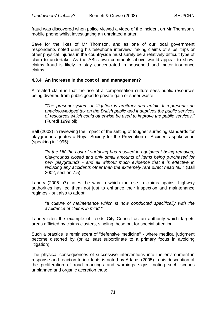fraud was discovered when police viewed a video of the incident on Mr Thomson's mobile phone whilst investigating an unrelated matter.

Save for the likes of Mr Thomson, and as one of our local government respondents noted during his telephone interview, faking claims of slips, trips or other physical injuries in the countryside must surely be a relatively difficult type of claim to undertake. As the ABI's own comments above would appear to show, claims fraud is likely to stay concentrated in household and motor insurance claims.

## **4.3.4 An increase in the cost of land management?**

A related claim is that the rise of a compensation culture sees public resources being diverted from public good to private gain or sheer waste:

*"The present system of litigation is arbitrary and unfair. It represents an unacknowledged tax on the British public and it deprives the public services of resources which could otherwise be used to improve the public services."*  (Furedi 1999 pii)

Ball (2002) in reviewing the impact of the setting of tougher surfacing standards for playgrounds quotes a Royal Society for the Prevention of Accidents spokesman (speaking in 1995):

*"In the UK the cost of surfacing has resulted in equipment being removed, playgrounds closed and only small amounts of items being purchased for new playgrounds - and all without much evidence that it is effective in reducing any accidents other than the extremely rare direct head fall."* (Ball 2002, section 7.5)

Landry (2005 p7) notes the way in which the rise in claims against highway authorities has led them not just to enhance their inspection and maintenance regimes - but also to adopt:

*"a culture of maintenance which is now conducted specifically with the avoidance of claims in mind."*

Landry cites the example of Leeds City Council as an authority which targets areas afflicted by claims clusters, singling these out for special attention.

Such a practice is reminiscent of "defensive medicine" - where medical judgment become distorted by (or at least subordinate to a primary focus in avoiding litigation).

The physical consequences of successive interventions into the environment in response and reaction to incidents is noted by Adams (2005) in his description of the proliferation of road markings and warnings signs, noting such scenes unplanned and organic accretion thus: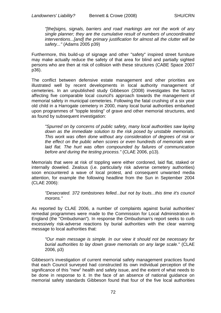*"[the]signs, signals, barriers and road markings are not the work of any single planner; they are the cumulative result of numbers of uncoordinated interventions...[and] the primary justification for almost all the clutter will be safety..."* (Adams 2005 p39)

Furthermore, this build-up of signage and other "safety" inspired street furniture may make actually reduce the safety of that area for blind and partially sighted persons who are then at risk of collision with these structures (CABE Space 2007 p36).

The conflict between defensive estate management and other priorities are illustrated well by recent developments in local authority management of cemeteries. In an unpublished study Gibbeson (2008) investigates the factors affecting five comparable local council's approach towards the management of memorial safety in municipal cemeteries. Following the fatal crushing of a six year old child in a Harrogate cemetery in 2000, many local burial authorities embarked upon programmes of "topple testing" of grave and other memorial structures, and as found by subsequent investigation:

*"Spurred on by concerns of public safety, many local authorities saw laying down as the immediate solution to the risk posed by unstable memorials. This work was often done without any consideration of degrees of risk or the effect on the public when scores or even hundreds of memorials were*  laid flat. The hurt was often compounded by failures of communication *before and during the testing process."* (CLAE 2006, p13).

Memorials that were at risk of toppling were either cordoned, laid flat, staked or internally doweled. Zealous (i.e. particularly risk adverse cemetery authorities) soon encountered a wave of local protest, and consequent unwanted media attention, for example the following headline from the Sun in September 2004 (CLAE 2006):

*"Desecrated. 372 tombstones felled...but not by louts...this time it's council morons."*

As reported by CLAE 2006, a number of complaints against burial authorities' remedial programmes were made to the Commission for Local Administration in England (the "Ombudsman"). In response the Ombudsman's report seeks to curb excessively risk-adverse reactions by burial authorities with the clear warning message to local authorities that:

*"Our main message is simple. In our view it should not be necessary for burial authorities to lay down grave memorials on any large scale."* (CLAE 2006, p3)

Gibbeson's investigation of current memorial safety management practices found that each Council surveyed had constructed its own individual perception of the significance of this "new" health and safety issue, and the extent of what needs to be done in response to it. In the face of an absence of national guidance on memorial safety standards Gibbeson found that four of the five local authorities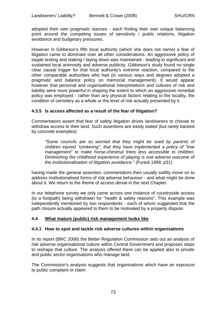adopted their own pragmatic stances - each finding their own unique balancing point around the competing issues of sensitivity / public relations, litigation avoidance and budgetary pressures.

However in Gibbeson's fifth local authority (which she does not name) a fear of litigation came to dominate over all other considerations. An aggressive policy of topple testing and staking / laying down was maintained - leading to significant and sustained local animosity and adverse publicity. Gibbeson's study found no single clear causal trigger for that local authority's extreme reaction, compared to the other comparable authorities who had (in various ways and degrees adopted a pragmatic and balance policy on memorial management). It would appear however that personal and organisational interpretations and cultures of risk and liability were more powerful in shaping the extent to which an aggressive remedial policy was employed - rather than any physical factors relating to the locality, the condition of cemetery as a whole or the level of risk actually presented by it.

## **4.3.5 Is access affected as a result of the fear of litigation?**

Commentators assert that fear of safety litigation drives landowners to choose to withdraw access to their land. Such assertions are easily stated (but rarely backed by concrete examples):

*"Some councils are so worried that they might be sued by parents of children injured "conkering", that they have implemented a policy of "tree management" to make horse-chestnut trees less accessible to children. Diminishing the childhood experience of playing is one adverse outcome of the institutionalisation of litigation avoidance."* (Furedi 1999, p31)

having made the general assertion, commentators then usually swiftly move on to address institutionalised forms of risk adverse behaviour - and what might be done about it. We return to the theme of access denial in the next Chapter.

In our telephone survey we only came across one instance of countryside access (to a footpath) being withdrawn for "health & safety reasons". This example was independently mentioned by two respondents - each of whom suggested that the path closure actually appeared to them to be motivated by a property dispute.

#### **4.4 What mature (public) risk management looks like**

#### **4.4.1 How to spot and tackle risk adverse cultures within organisations**

In its report (BRC 2006) the Better Regulation Commission sets out an analysis of risk adverse organisational culture within Central Government and proposes steps to reshape that culture. The analysis offered there can be applied also to private and public sector organisations who manage land.

The Commission's analysis suggests that organisations which have an exposure to public complaint or claim: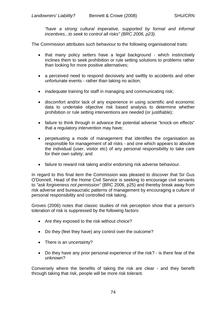*"have a strong cultural imperative, supported by formal and informal incentives...to seek to control all risks" (BRC 2006, p23).*

The Commission attributes such behaviour to the following organisational traits:

- that many policy setters have a legal background which instinctively inclines them to seek prohibition or rule setting solutions to problems rather than looking for more positive alternatives;
- a perceived need to respond decisively and swiftly to accidents and other unfortunate events - rather than taking no action;
- inadequate training for staff in managing and communicating risk;
- discomfort and/or lack of any experience in using scientific and economic data to undertake objective risk based analysis to determine whether prohibition or rule setting interventions are needed (or justifiable);
- failure to think through in advance the potential adverse "knock-on effects" that a regulatory intervention may have;
- perpetuating a mode of management that identifies the organisation as responsible for management of all risks - and one which appears to absolve the individual (user, visitor etc) of any personal responsibility to take care for their own safety; and
- failure to reward risk taking and/or endorsing risk adverse behaviour.

In regard to this final item the Commission was pleased to discover that Sir Gus O'Donnell, Head of the Home Civil Service is seeking to encourage civil servants to *"ask forgiveness not permission"* (BRC 2006, p25) and thereby break away from risk adverse and bureaucratic patterns of management by encouraging a culture of personal responsibility and controlled risk taking.

Groves (2006) notes that classic studies of risk perception show that a person's toleration of risk is suppressed by the following factors:

- Are they exposed to the risk without choice?
- Do they (feel they have) any control over the outcome?
- There is an uncertainty?
- Do they have any prior personal experience of the risk? is there fear of the unknown?

Conversely where the benefits of taking the risk are clear - and they benefit through taking that risk, people will be more risk tolerant.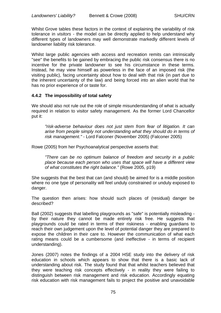Whilst Grove tables these factors in the context of explaining the variability of risk tolerance in *visitors* - the model can be directly applied to help understand why different types of landowners may well demonstrate markedly different levels of landowner liability risk tolerance.

Whilst large public agencies with access and recreation remits can intrinsically "see" the benefits to be gained by embracing the public risk consensus there is no incentive for the private landowner to see his circumstance in these terms. Instead, he may view himself as powerless in the face of an imposed risk (the visiting public), facing uncertainty about how to deal with that risk (in part due to the inherent uncertainty of the law) and being forced into an alien world that he has no prior experience of or taste for.

# **4.4.2 The impossibility of total safety**

We should also not rule out the role of simple misunderstanding of what is actually required in relation to visitor safety management. As the former Lord Chancellor put it:

*"risk-adverse behaviour does not just stem from fear of litigation. It can arise from people simply not understanding what they should do in terms of risk management."* - Lord Falconer (November 2005) (Falconer 2005)

Rowe (2005) from her Psychoanalytical perspective asserts that:

*"There can be no optimum balance of freedom and security in a public place because each person who uses that space will have a different view of what constitutes the right balance."* (Rowe 2005, p19)

She suggests that the best that can (and should) be aimed for is a middle position where no one type of personality will feel unduly constrained or unduly exposed to danger.

The question then arises: how should such places of (residual) danger be described?

Ball (2002) suggests that labelling playgrounds as "safe" is potentially misleading by their nature they cannot be made entirely risk free. He suggests that playgrounds could be rated in terms of their riskiness - enabling guardians to reach their own judgement upon the level of potential danger they are prepared to expose the children in their care to. However the communication of what each rating means could be a cumbersome (and ineffective - in terms of recipient understanding).

Jones (2007) notes the findings of a 2004 HSE study into the delivery of risk education in schools which appears to show that there is a basic lack of understanding about risk. The study found that that whilst teachers believed that they were teaching risk concepts effectively - in reality they were failing to distinguish between risk management and risk education. Accordingly equating risk education with risk management fails to project the positive and unavoidable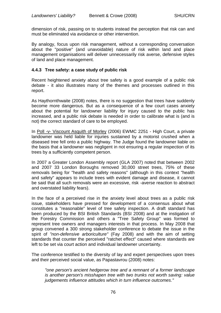dimension of risk, passing on to students instead the perception that risk can and must be eliminated via avoidance or other intervention.

By analogy, focus upon risk management, without a corresponding conversation about the "positive" (and unavoidable) nature of risk within land and place management organisations will deliver unnecessarily risk averse, defensive styles of land and place management.

## **4.4.3 Tree safety: a case study of public risk**

Recent heightened anxiety about tree safety is a good example of a public risk debate - it also illustrates many of the themes and processes outlined in this report.

As Haythornthwaite (2008) notes, there is no suggestion that trees have suddenly become more dangerous. But as a consequence of a few court cases anxiety about the potential for landowner liability for injury caused to the public has increased, and a public risk debate is needed in order to calibrate what is (and is not) the correct standard of care to be employed.

In Poll -v- Viscount Asquith of Morley (2006) EWMC 2251 - High Court, a private landowner was held liable for injuries sustained by a motorist crushed when a diseased tree fell onto a public highway. The Judge found the landowner liable on the basis that a landowner was negligent in not ensuring a regular inspection of its trees by a sufficiently competent person.

In 2007 a Greater London Assembly report (GLA 2007) noted that between 2002 and 2007 33 London Boroughs removed 30,000 street trees, 75% of these removals being for "health and safety reasons" (although in this context "health and safety" appears to include trees with evident damage and disease, it cannot be said that all such removals were an excessive, risk -averse reaction to abstract and overstated liability fears).

In the face of a perceived rise in the anxiety level about trees as a public risk issue, stakeholders have pressed for development of a consensus about what constitutes a "reasonable" level of tree safety inspection. A draft standard has been produced by the BSI British Standards (BSI 2008) and at the instigation of the Forestry Commission and others a "Tree Safety Group" was formed to represent tree owners and managers interests in that process. In May 2008 that group convened a 300 strong stakeholder conference to debate the issue in the spirit of *"non-defensive arboriculture"* (Fay 2008) and with the aim of setting standards that counter the perceived "ratchet effect" caused where standards are left to be set via court action and individual landowner uncertainty.

The conference testified to the diversity of lay and expert perspectives upon trees and their perceived social value, as Papastavrou (2008) notes:

*"one person's ancient hedgerow tree and a remnant of a former landscape is another person's misshapen tree with two trunks not worth saving: value judgements influence attitudes which in turn influence outcomes."*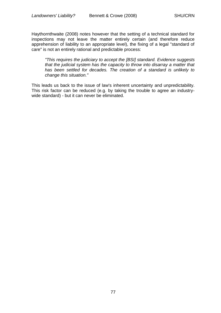Haythornthwaite (2008) notes however that the setting of a technical standard for inspections may not leave the matter entirely certain (and therefore reduce apprehension of liability to an appropriate level), the fixing of a legal "standard of care" is not an entirely rational and predictable process:

*"This requires the judiciary to accept the [BSI] standard. Evidence suggests that the judicial system has the capacity to throw into disarray a matter that has been settled for decades. The creation of a standard is unlikely to change this situation."* 

This leads us back to the issue of law's inherent uncertainty and unpredictability. This risk factor can be reduced (e.g. by taking the trouble to agree an industrywide standard) - but it can never be eliminated.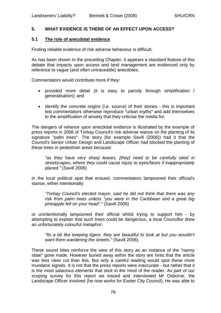## **5. WHAT EVIDENCE IS THERE OF AN EFFECT UPON ACCESS?**

## **5.1 The role of anecdotal evidence**

Finding reliable evidence of risk adverse behaviour is difficult.

As has been shown in the preceding Chapter, it appears a standard feature of this debate that impacts upon access and land management are evidenced only by reference to vague (and often untraceable) anecdotes.

Commentators would contribute more if they:

- provided more detail (it is easy to parody through simplification / generalisation); and
- identify the concrete origins (i.e. source) of their stories this is important lest commentators otherwise reproduce "urban myths" and add themselves to the amplification of anxiety that they criticise the media for.

The dangers of reliance upon anecdotal evidence is illustrated by the example of press reports in 2006 of Torbay Council's risk adverse stance on the planting of its signature "palm trees". The story (for example Savill (2006)) had it that the Council's Senior Urban Design and Landscape Officer had blocked the planting of these trees in pedestrian areas because:

*"as they have very sharp leaves, [they] need to be carefully sited in streetscapes, where they could cause injury to eyes/faces if inappropriately placed."* (Savill 2006)

In the local political spat that ensued, commentators lampooned their official's stance, either intentionally:

*"Torbay Council's elected mayor, said he did not think that there was any risk from palm trees unless "you were in the Caribbean and a great big pineapple fell on your head"."* (Savill 2006)

or unintentionally lampooned their official whilst trying to support him - by attempting to explain that such trees could be dangerous, a local Councillor drew an unfortunately colourful metaphor:

*"Its a bit like keeping tigers: they are beautiful to look at but you wouldn't want them wandering the streets."* (Savill 2006).

These sound bites reinforce the view of this story as an instance of the "nanny state" gone made. However buried away within the story are hints that the article was less clear cut than this. But only a careful reading would spot these more mundane signals. It is not that the press reports were inaccurate - but rather that it is the most salacious elements that stick in the mind of the reader. As part of our scoping survey for this report we traced and interviewed Mr Osborne, the Landscape Officer involved (he now works for Exeter City Council). He was able to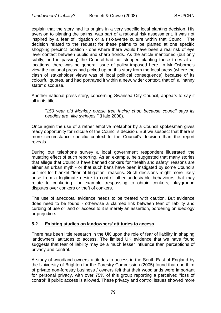explain that the story had its origins in a very specific local planting decision. His aversion to planting the palms, was part of a rational risk assessment. It was not inspired by a fear of litigation or a risk-averse culture within that Council. The decision related to the request for these palms to be planted at one specific shopping precinct location - one where there would have been a real risk of eye level contact between public and sharp fronds. As the article mentioned (but only subtly, and in passing) the Council had not stopped planting these trees at all locations, there was no general issue of policy imposed here. In Mr Osborne's view the national press had picked up on this story from the local press (where the clash of stakeholder views was of local political consequence) because of its colourful quotes, and had portrayed it within a new, wider context, that of a "nanny state" discourse.

Another national press story, concerning Swansea City Council, appears to say it all in its title -

*"150 year old Monkey puzzle tree facing chop because council says its needles are "like syringes."* (Hale 2008).

Once again the use of a rather emotive metaphor by a Council spokesman gives ready opportunity for ridicule of the Council's decision. But we suspect that there is more circumstance specific context to the Council's decision than the report reveals.

During our telephone survey a local government respondent illustrated the mutating effect of such reporting. As an example, he suggested that many stories that allege that Councils have banned conkers for "health and safety" reasons are either an urban myth - or that such bans have been instigated by some Councils but not for blanket "fear of litigation" reasons. Such decisions might more likely arise from a legitimate desire to control other undesirable behaviours that may relate to conkering: for example trespassing to obtain conkers, playground disputes over conkers or theft of conkers.

The use of anecdotal evidence needs to be treated with caution. But evidence does need to be found - otherwise a claimed link between fear of liability and curbing of use or land or access to it is merely an assertion, bordering on ideology or prejudice.

#### **5.2 Existing studies on landowners' attitudes to access**

There has been little research in the UK upon the role of fear of liability in shaping landowners' attitudes to access. The limited UK evidence that we have found suggests that fear of liability may be a much lesser influence than perceptions of privacy and control.

A study of woodland owners' attitudes to access in the South East of England by the University of Brighton for the Forestry Commission (2005) found that one third of private non-forestry business / owners felt that their woodlands were important for personal privacy, with over 75% of this group reporting a perceived "loss of control" if public access is allowed. These privacy and control issues showed more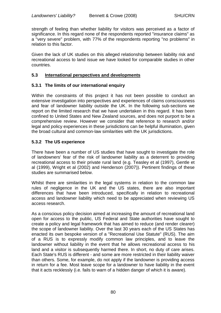strength of feeling than whether liability for visitors was perceived as a factor of significance. In this regard none of the respondents reported "insurance claims" as a "very severe" problem, with 77% of the respondents reporting "no problems" in relation to this factor.

Given the lack of UK studies on this alleged relationship between liability risk and recreational access to land issue we have looked for comparable studies in other countries.

#### **5.3 International perspectives and developments**

## **5.3.1 The limits of our international enquiry**

Within the constraints of this project it has not been possible to conduct an extensive investigation into perspectives and experiences of claims consciousness and fear of landowner liability outside the UK. In the following sub-sections we report on the limited research that we have undertaken in this regard. It has been confined to United States and New Zealand sources, and does not purport to be a comprehensive review. However we consider that reference to research and/or legal and policy experiences in these jurisdictions can be helpful illumination, given the broad cultural and common-law similarities with the UK jurisdictions.

# **5.3.2 The US experience**

There have been a number of US studies that have sought to investigate the role of landowners' fear of the risk of landowner liability as a deterrent to providing recreational access to their private rural land (e.g. Teasley et al (1997), Gentle et al (1999), Wright et al (2002) and Henderson (2007)). Pertinent findings of these studies are summarised below.

Whilst there are similarities in the legal systems in relation to the common law rules of negligence in the UK and the US states, there are also important differences that have been introduced, specifically in relation to recreational access and landowner liability which need to be appreciated when reviewing US access research.

As a conscious policy decision aimed at increasing the amount of recreational land open for access to the public, US Federal and State authorities have sought to create a policy and legal framework that has aimed to reduce (and render clearer) the scope of landowner liability. Over the last 30 years each of the US States has enacted its own bespoke version of a "Recreational Use Statute" (RUS). The aim of a RUS is to expressly modify common law principles, and to leave the landowner without liability in the event that he allows recreational access to his land and a visitor is subsequently harmed there. In short, no duty of care arises. Each State's RUS is different - and some are more restricted in their liability waiver than others. Some, for example, do not apply if the landowner is providing access in return for a fee. Most leave scope for a landowner to have liability in the event that it acts recklessly (i.e. fails to warn of a hidden danger of which it is aware).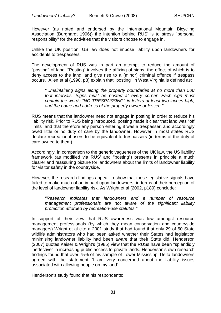However (as noted and endorsed by the International Mountain Bicycling Association (Burghardt 1996)) the intention behind RUS' is to stress "personal responsibility" for the activities that the visitors choose to engage in.

Unlike the UK position, US law does not impose liability upon landowners for accidents to trespassers.

The development of RUS was in part an attempt to reduce the amount of "posting" of land. "Posting" involves the affixing of signs, the effect of which is to deny access to the land, and give rise to a (minor) criminal offence if trespass occurs. Allen et al (1998, p3) explain that "posting" in West Virginia is defined as:

*"...maintaining signs along the property boundaries at no more than 500 foot intervals. Signs must be posted at every corner. Each sign must contain the words "NO TRESPASSING" in letters at least two inches high, and the name and address of the property owner or lessee."*

RUS means that the landowner need not engage in posting in order to reduce his liability risk. Prior to RUS being introduced, posting made it clear that land was "off limits" and that therefore any person entering it was a trespasser, and accordingly owed little or no duty of care by the landowner. However in most states RUS declare recreational users to be equivalent to trespassers (in terms of the duty of care owned to them).

Accordingly, in comparison to the generic vagueness of the UK law, the US liability framework (as modified via RUS' and "posting") presents in principle a much clearer and reassuring picture for landowners about the limits of landowner liability for visitor safety in the countryside.

However, the research findings appear to show that these legislative signals have failed to make much of an impact upon landowners, in terms of their perception of the level of landowner liability risk. As Wright et al (2002, p189) conclude:

*"Research indicates that landowners and a number of resource management professionals are not aware of the significant liability protection afforded by recreation-use statutes."*

In support of their view that RUS awareness was low amongst resource management professionals (by which they mean conservation and countryside managers) Wright et al cite a 2001 study that had found that only 29 of 50 State wildlife administrators who had been asked whether their States had legislation minimising landowner liability had been aware that their State did. Henderson (2007) quotes Kaiser & Wright's (1985) view that the RUSs have been "splendidly ineffective" in increasing public access to private lands. Henderson's own research findings found that over 75% of his sample of Lower Mississippi Delta landowners agreed with the statement "I am very concerned about the liability issues associated with allowing people on my land".

Henderson's study found that his respondents: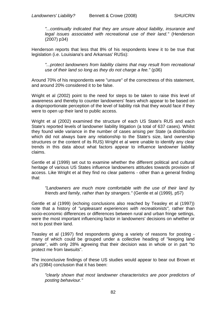*"...continually indicated that they are unsure about liability, insurance and legal issues associated with recreational use of their land."* (Henderson (2007) p34)

Henderson reports that less that 8% of his respondents knew it to be true that legislation (i.e. Louisiana's and Arkansas' RUSs):

*"...protect landowners from liability claims that may result from recreational use of their land so long as they do not charge a fee."* (p36)

Around 70% of his respondents were "unsure" of the correctness of this statement, and around 20% considered it to be false.

Wright et al (2002) point to the need for steps to be taken to raise this level of awareness and thereby to counter landowners' fears which appear to be based on a disproportionate perception of the level of liability risk that they would face if they were to open up their land to public access.

Wright et al (2002) examined the structure of each US State's RUS and each State's reported levels of landowner liability litigation (a total of 637 cases). Whilst they found wide variance in the number of cases arising per State (a distribution which did not always bare any relationship to the State's size, land ownership structures or the content of its RUS) Wright et al were unable to identify any clear trends in this data about what factors appear to influence landowner liability claims.

Gentle et al (1999) set out to examine whether the different political and cultural heritage of various US States influence landowners attitudes towards provision of access. Like Wright et al they find no clear patterns - other than a general finding that:

*"Landowners are much more comfortable with the use of their land by friends and family, rather than by strangers."* (Gentle et al (1999), p57)

Gentle et al (1999) (echoing conclusions also reached by Teasley et al (1997)) note that a history of *"unpleasant experiences with recreationists",* rather than socio-economic differences or differences between rural and urban fringe settings, were the most important influencing factor in landowners' decisions on whether or not to post their land.

Teasley et al (1997) find respondents giving a variety of reasons for posting many of which could be grouped under a collective heading of "keeping land private", with only 28% agreeing that their decision was in whole or in part "to protect me from lawsuits".

The inconclusive findings of these US studies would appear to bear out Brown et al's (1984) conclusion that it has been:

*"clearly shown that most landowner characteristics are poor predictors of posting behaviour."*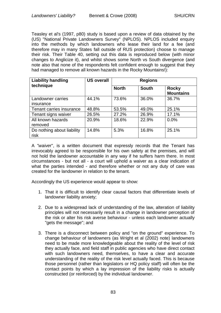Teasley et al's (1997, p80) study is based upon a review of data obtained by the (US) "National Private Landowners Survey" (NPLOS). NPLOS included enquiry into the methods by which landowners who lease their land for a fee (and therefore may in many States fall outside of RUS protection) choose to manage their risk. Their Table 40, setting out this data is reproduced below (with minor changes to Anglicize it), and whilst shows some North vs South divergence (and note also that none of the respondents felt confident enough to suggest that they had managed to remove all known hazards in the Rocky Mountains!):

| <b>Liability handling</b>  | <b>US overall</b> | <b>Regions</b> |              |                                  |  |
|----------------------------|-------------------|----------------|--------------|----------------------------------|--|
| technique                  |                   | <b>North</b>   | <b>South</b> | <b>Rocky</b><br><b>Mountains</b> |  |
| Landowner carries          | 44.1%             | 73.6%          | 36.0%        | 36.7%                            |  |
| insurance                  |                   |                |              |                                  |  |
| Tenant carries insurance   | 48.8%             | 53.5%          | 49.0%        | 25.1%                            |  |
| Tenant signs waiver        | 26.5%             | 27.2%          | 26.9%        | 17.1%                            |  |
| All known hazards          | 20.9%             | 18.6%          | 22.9%        | 0.0%                             |  |
| removed                    |                   |                |              |                                  |  |
| Do nothing about liability | 14.8%             | 5.3%           | 16.8%        | 25.1%                            |  |
| risk                       |                   |                |              |                                  |  |

A *"waive*r", is a written document that expressly records that the Tenant has irrevocably agreed to be responsible for his own safety at the premises, and will not hold the landowner accountable in any way if he suffers harm there. In most circumstances - but not all - a court will uphold a waiver as a clear indication of what the parties intended - and therefore whether or not any duty of care was created for the landowner in relation to the tenant.

Accordingly the US experience would appear to show:

- 1. That it is difficult to identify clear causal factors that differentiate levels of landowner liability anxiety;
- 2. Due to a widespread lack of understanding of the law, alteration of liability principles will not necessarily result in a change in landowner perception of the risk or alter his risk averse behaviour - unless each landowner actually "gets the message"; and
- 3. There is a disconnect between policy and "on the ground" experience. To change behaviour of landowners (as Wright et al (2002) note) landowners need to be made more knowledgeable about the reality of the level of risk they actually face, and field staff in public agencies who have direct contact with such landowners need, themselves, to have a clear and accurate understanding of the reality of the risk level actually faced. This is because those personnel (rather than legislators or HQ policy staff) will often be the contact points by which a lay impression of the liability risks is actually constructed (or reinforced) by the individual landowner.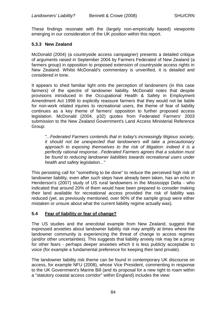These findings resonate with the (largely non-empirically based) viewpoints emerging in our consideration of the UK position within this report.

# **5.3.3 New Zealand**

McDonald (2004) (a countryside access campaigner) presents a detailed critique of arguments raised in September 2004 by Farmers Federated of New Zealand (a farmers group) in opposition to proposed extension of countryside access rights in New Zealand. Whilst McDonald's commentary is unverified, it is detailed and considered in tone.

It appears to shed familiar light onto the perception of landowners (in this case farmers) of the spectre of landowner liability. McDonald notes that despite provisions introduced in the Occupational Health & Safety in Employment Amendment Act 1998 to explicitly reassure farmers that they would not be liable for non-work related injuries to recreational users, the theme of fear of liability continues as a key theme of farmers' opposition to further proposed access legislation. McDonald (2004, p32) quotes from Federated Farmers' 2003 submission to the New Zealand Government's Land Access Ministerial Reference Group:

*"...Federated Farmers contends that in today's increasingly litigious society, it should not be unexpected that landowners will take a precautionary approach to exposing themselves to the risk of litigation: indeed it is a perfectly rational response...Federated Farmers agrees that a solution must be found to reducing landowner liabilities towards recreational users under health and safety legislation..."*

This persisting call for "something to be done" to reduce the perceived high risk of landowner liability, even after such steps have already been taken, has an echo in Henderson's (2007) study of US rural landowners in the Mississippi Delta - who indicated that around 20% of them would have been prepared to consider making their land available for recreational access provided the risk of liability was reduced (yet, as previously mentioned, over 90% of the sample group were either mistaken or unsure about what the current liability regime actually was).

#### **5.4 Fear of liability or fear of change?**

The US studies and the anecdotal example from New Zealand, suggest that expressed anxieties about landowner liability risk may amplify at times where the landowner community is experiencing the threat of change to access regimes (and/or other uncertainties). This suggests that liability anxiety risk may be a proxy for other fears - perhaps deeper anxieties which it is less publicly acceptable to voice (for example a fundamental preference for keeping their land private).

The landowner liability risk theme can be found in contemporary UK discourse on access, for example NFU (2008), whose Vice President, commenting in response to the UK Government's Marine Bill (and its proposal for a new right to roam within a "statutory coastal access corridor" within England) includes the view: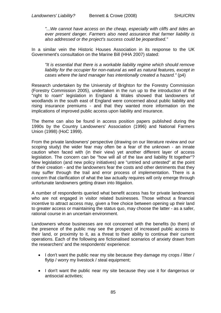*"...We cannot have access on the cheap, especially with cliffs and tides an ever present danger. Farmers also need assurance that farmer liability is also addressed or the project's success could be jeopardised."* 

In a similar vein the Historic Houses Association in its response to the UK Government's consultation on the Marine Bill (HHA 2007) stated:

*"It is essential that there is a workable liability regime which should remove liability for the occupier for non-natural as well as natural features, except in cases where the land manager has intentionally created a hazard."* (p4)

Research undertaken by the University of Brighton for the Forestry Commission (Forestry Commission 2005), undertaken in the run up to the introduction of the "right to roam" legislation in England & Wales showed that landowners of woodlands in the south east of England were concerned about public liability and rising insurance premiums - and that they wanted more information on the implications of improved public access upon liability and insurance.

The theme can also be found in access position papers published during the 1990s by the Country Landowners' Association (1996) and National Farmers Union (1998) (HoC 1999).

From the private landowners' perspective (drawing on our literature review and our scoping study) the wider fear may often be a fear of the unknown - an innate caution when faced with (in their view) yet another different layer of access legislation. The concern can be "how will all of the law and liability fit together"? New legislation (and new policy initiatives) are "untried and untested" at the point of their creation - and the landowners fear the costs and other detriments that they may suffer through the trail and error process of implementation. There is a concern that clarification of what the law actually requires will only emerge through unfortunate landowners getting drawn into litigation.

A number of respondents queried what benefit access has for private landowners who are not engaged in visitor related businesses. Those without a financial incentive to attract access may, given a free choice between opening up their land to greater access or maintaining the status quo, may choose the latter - as a safer, rational course in an uncertain environment.

Landowners whose businesses are not concerned with the benefits (to them) of the presence of the public may see the prospect of increased public access to their land, or proximity to it, as a threat to their ability to continue their current operations. Each of the following are fictionalised scenarios of anxiety drawn from the researchers' and the respondents' experience:

- I don't want the public near my site because they damage my crops / litter / flytip / worry my livestock / steal equipment;
- I don't want the public near my site because they use it for dangerous or antisocial activities;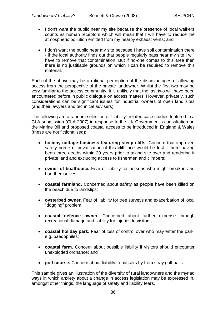- I don't want the public near my site because the presence of local walkers counts as human receptors which will mean that I will have to reduce the atmospheric pollution emitted from my nearby exhaust vents; and
- I don't want the public near my site because I have soil contamination there - if the local authority finds out that people regularly pass near my site I will have to remove that contamination. But if no-one comes to this area then there is no justifiable grounds on which I can be required to remove this material.

Each of the above may be a rational perception of the disadvantages of allowing access from the perspective of the private landowner. Whilst the first two may be very familiar to the access community, it is unlikely that the last two will have been encountered before in public dialogue on access matters. However, privately, such considerations can be significant issues for industrial owners of open land sites (and their lawyers and technical advisers).

The following are a random selection of "liability" related case studies featured in a CLA submission (CLA 2007) in response to the UK Government's consultation on the Marine Bill and proposed coastal access to be introduced in England & Wales (these are not fictionalised):

- **holiday cottage business featuring steep cliffs.** Concern that improved safety borne of privatisation of this cliff face would be lost - there having been three deaths within 20 years prior to taking site over and rendering it private land and excluding access to fishermen and climbers;
- **owner of boathouse.** Fear of liability for persons who might break-in and hurt themselves;
- **coastal farmland.** Concerned about safety as people have been killed on the beach due to landslips;
- **oysterbed owner.** Fear of liability for tree surveys and exacerbation of local "dogging" problem;
- **coastal defence owner.** Concerned about further expense through recreational damage and liability for injuries to visitors;
- **coastal holiday park.** Fear of loss of control over who may enter the park, e.g. paedophiles;
- **coastal farm.** Concern about possible liability if visitors should encounter unexploded ordnance; and
- **golf course.** Concern about liability to passers by from stray golf balls.

This sample gives an illustration of the diversity of rural landowners and the myriad ways in which anxiety about a change in access legislation may be expressed in, amongst other things, the language of safety and liability fears.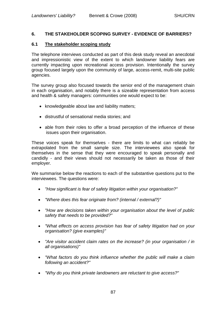## **6. THE STAKEHOLDER SCOPING SURVEY - EVIDENCE OF BARRIERS?**

#### **6.1 The stakeholder scoping study**

The telephone interviews conducted as part of this desk study reveal an anecdotal and impressionistic view of the extent to which landowner liability fears are currently impacting upon recreational access provision. Intentionally the survey group focused largely upon the community of large, access-remit, multi-site public agencies.

The survey group also focused towards the senior end of the management chain in each organisation, and notably there is a sizeable representation from access and health & safety managers: communities one would expect to be:

- knowledgeable about law and liability matters;
- distrustful of sensational media stories; and
- able from their roles to offer a broad perception of the influence of these issues upon their organisation.

These voices speak for themselves - there are limits to what can reliably be extrapolated from the small sample size. The interviewees also speak for themselves in the sense that they were encouraged to speak personally and candidly - and their views should not necessarily be taken as those of their employer.

We summarise below the reactions to each of the substantive questions put to the interviewees. The questions were:

- *"How significant is fear of safety litigation within your organisation?"*
- *"Where does this fear originate from? (internal / external?)"*
- *"How are decisions taken within your organisation about the level of public safety that needs to be provided?"*
- *"What effects on access provision has fear of safety litigation had on your organisation? (give examples)"*
- *"Are visitor accident claim rates on the increase? (in your organisation / in all organisations)"*
- *"What factors do you think influence whether the public will make a claim following an accident?"*
- *"Why do you think private landowners are reluctant to give access?"*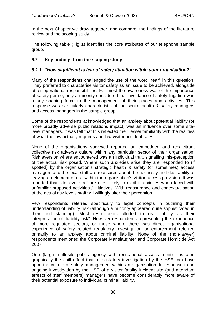In the next Chapter we draw together, and compare, the findings of the literature review and the scoping study.

The following table (Fig 1) identifies the core attributes of our telephone sample group.

# **6.2 Key findings from the scoping study**

## **6.2.1** *"How significant is fear of safety litigation within your organisation?"*

Many of the respondents challenged the use of the word "fear" in this question. They preferred to characterise visitor safety as an issue to be achieved, alongside other operational responsibilities. For most the awareness was of the importance of safety per se, only a minority considered that avoidance of safety litigation was a key shaping force to the management of their places and activities. This response was particularly characteristic of the senior health & safety managers and access managers in the sample group.

Some of the respondents acknowledged that an anxiety about potential liability (or more broadly adverse public relations impact) was an influence over some sitelevel managers. It was felt that this reflected their lesser familiarity with the realities of what the law actually requires and low visitor accident rates.

None of the organisations surveyed reported an embedded and recalcitrant collective risk adverse culture within any particular sector of their organisation. Risk aversion where encountered was an individual trait, signalling mis-perception of the actual risk posed. Where such anxieties arise they are responded to (if spotted) by the organisation's strategic health & safety (or sometimes) access managers and the local staff are reassured about the necessity and desirability of leaving an element of risk within the organisation's visitor access provision. It was reported that site level staff are most likely to exhibit anxieties when faced with unfamiliar proposed activities / initiatives. With reassurance and contextualisation of the actual risk levels staff will willingly alter their perception.

Few respondents referred specifically to legal concepts in outlining their understanding of liability risk (although a minority appeared quite sophisticated in their understanding). Most respondents alluded to civil liability as their interpretation of "liability risk". However respondents representing the experience of more regulated sectors, or those where there was direct organisational experience of safety related regulatory investigation or enforcement referred primarily to an anxiety about criminal liability. None of the (non-lawyer) respondents mentioned the Corporate Manslaughter and Corporate Homicide Act 2007.

One (large multi-site public agency with recreational access remit) illustrated graphically the chill effect that a regulatory investigation by the HSE can have upon the culture of safety management within an organisation. In response to an ongoing investigation by the HSE of a visitor fatality incident site (and attendant arrests of staff members) managers have become considerably more aware of their potential exposure to individual criminal liability.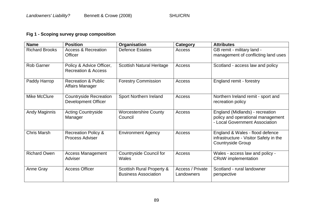# **Fig 1 - Scoping survey group composition**

| <b>Name</b>           | <b>Position</b>                                             | Organisation                                             | <b>Category</b>                | <b>Attributes</b>                                                                                      |
|-----------------------|-------------------------------------------------------------|----------------------------------------------------------|--------------------------------|--------------------------------------------------------------------------------------------------------|
| <b>Richard Brooks</b> | <b>Access &amp; Recreation</b><br><b>Officer</b>            | <b>Defence Estates</b>                                   | Access                         | GB remit - military land -<br>management of conflicting land uses                                      |
| <b>Rob Garner</b>     | Policy & Advice Officer,<br><b>Recreation &amp; Access</b>  | <b>Scottish Natural Heritage</b>                         | Access                         | Scotland - access law and policy                                                                       |
| Paddy Harrop          | <b>Recreation &amp; Public</b><br>Affairs Manager           | <b>Forestry Commission</b>                               | Access                         | England remit - forestry                                                                               |
| Mike McClure          | <b>Countryside Recreation</b><br><b>Development Officer</b> | Sport Northern Ireland                                   | Access                         | Northern Ireland remit - sport and<br>recreation policy                                                |
| <b>Andy Maginnis</b>  | <b>Acting Countryside</b><br>Manager                        | <b>Worcestershire County</b><br>Council                  | Access                         | England (Midlands) - recreation<br>policy and operational management<br>- Local Government Association |
| <b>Chris Marsh</b>    | <b>Recreation Policy &amp;</b><br><b>Process Adviser</b>    | <b>Environment Agency</b>                                | Access                         | England & Wales - flood defence<br>infrastructure - Visitor Safety in the<br><b>Countryside Group</b>  |
| <b>Richard Owen</b>   | <b>Access Management</b><br>Adviser                         | <b>Countryside Council for</b><br>Wales                  | Access                         | Wales - access law and policy -<br><b>CRoW</b> implementation                                          |
| Anne Gray             | <b>Access Officer</b>                                       | Scottish Rural Property &<br><b>Business Association</b> | Access / Private<br>Landowners | Scotland - rural landowner<br>perspective                                                              |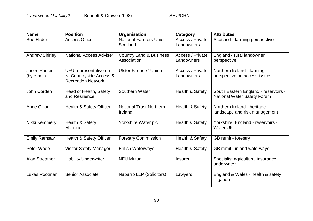| <b>Name</b>                       | <b>Position</b>                                                               | Organisation                                      | Category                       | <b>Attributes</b>                                                          |
|-----------------------------------|-------------------------------------------------------------------------------|---------------------------------------------------|--------------------------------|----------------------------------------------------------------------------|
| Sue Hilder                        | <b>Access Officer</b>                                                         | <b>National Farmers Union -</b><br>Scotland       | Access / Private<br>Landowners | Scotland - farming perspective                                             |
| <b>Andrew Shirley</b>             | <b>National Access Adviser</b>                                                | <b>Country Land &amp; Business</b><br>Association | Access / Private<br>Landowners | England - rural landowner<br>perspective                                   |
| <b>Jason Rankin</b><br>(by email) | UFU representative on<br>NI Countryside Access &<br><b>Recreation Network</b> | <b>Ulster Farmers' Union</b>                      | Access / Private<br>Landowners | Northern Ireland - farming<br>perspective on access issues                 |
| John Corden                       | Head of Health, Safety<br>and Resilience                                      | Southern Water                                    | Health & Safety                | South Eastern England - reservoirs -<br><b>National Water Safety Forum</b> |
| Anne Gillan                       | Health & Safety Officer                                                       | <b>National Trust Northern</b><br>Ireland         | Health & Safety                | Northern Ireland - heritage<br>landscape and risk management               |
| Nikki Kemmery                     | Health & Safety<br>Manager                                                    | Yorkshire Water plc                               | Health & Safety                | Yorkshire, England - reservoirs -<br>Water UK                              |
| <b>Emily Ramsay</b>               | Health & Safety Officer                                                       | <b>Forestry Commission</b>                        | Health & Safety                | GB remit - forestry                                                        |
| Peter Wade                        | <b>Visitor Safety Manager</b>                                                 | <b>British Waterways</b>                          | Health & Safety                | GB remit - inland waterways                                                |
| Alan Streather                    | <b>Liability Underwriter</b>                                                  | <b>NFU Mutual</b>                                 | <b>Insurer</b>                 | Specialist agricultural insurance<br>underwriter                           |
| Lukas Rootman                     | <b>Senior Associate</b>                                                       | Nabarro LLP (Solicitors)                          | Lawyers                        | England & Wales - health & safety<br>litigation                            |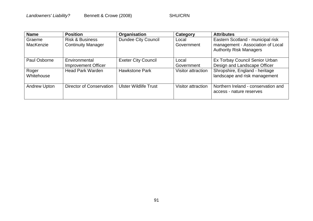| <b>Name</b>         | <b>Position</b>                                         | Organisation                 | Category            | <b>Attributes</b>                                                                                        |
|---------------------|---------------------------------------------------------|------------------------------|---------------------|----------------------------------------------------------------------------------------------------------|
| Graeme<br>MacKenzie | <b>Risk &amp; Business</b><br><b>Continuity Manager</b> | <b>Dundee City Council</b>   | Local<br>Government | Eastern Scotland - municipal risk<br>management - Association of Local<br><b>Authority Risk Managers</b> |
| Paul Osborne        | Environmental<br><b>Improvement Officer</b>             | <b>Exeter City Council</b>   | Local<br>Government | Ex Torbay Council Senior Urban<br>Design and Landscape Officer                                           |
| Roger<br>Whitehouse | <b>Head Park Warden</b>                                 | <b>Hawkstone Park</b>        | Visitor attraction  | Shropshire, England - heritage<br>landscape and risk management                                          |
| <b>Andrew Upton</b> | Director of Conservation                                | <b>Ulster Wildlife Trust</b> | Visitor attraction  | Northern Ireland - conservation and<br>access - nature reserves                                          |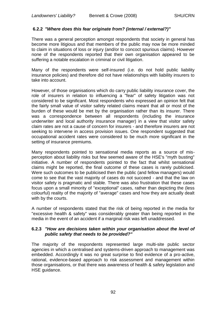# **6.2.2** *"Where does this fear originate from? (internal / external?)"*

There was a general perception amongst respondents that society in general has become more litigious and that members of the public may now be more minded to claim in situations of loss or injury (and/or to concoct spurious claims). However none of the respondents reported that their own organisation appeared to be suffering a notable escalation in criminal or civil litigation.

Many of the respondents were self-insured (i.e. do not hold public liability insurance policies) and therefore did not have relationships with liability insurers to take into account.

However, of those organisations which do carry public liability insurance cover, the role of insurers in relation to influencing a "fear" of safety litigation was not considered to be significant. Most respondents who expressed an opinion felt that the fairly small value of visitor safety related claims meant that all or most of the burden of these would be met by the organisation rather than its insurer. There was a correspondence between all respondents (including the insurance underwriter and local authority insurance manager) in a view that visitor safety claim rates are not a cause of concern for insurers - and therefore insurers are not seeking to intervene in access provision issues. One respondent suggested that occupational accident rates were considered to be much more significant in the setting of insurance premiums.

Many respondents pointed to sensational media reports as a source of misperception about liability risks but few seemed aware of the HSE's "myth busting" initiative. A number of respondents pointed to the fact that whilst sensational claims might be reported, the final outcome of these cases is rarely publicised. Were such outcomes to be publicised then the public (and fellow managers) would come to see that the vast majority of cases do not succeed - and that the law on visitor safety is pragmatic and stable. There was also frustration that these cases focus upon a small minority of "exceptional" cases, rather than depicting the (less colourful) reality of the majority of "average" cases and how they are actually dealt with by the courts.

A number of respondents stated that the risk of being reported in the media for "excessive health & safety" was considerably greater than being reported in the media in the event of an accident if a marginal risk was left unaddressed.

#### **6.2.3** *"How are decisions taken within your organisation about the level of public safety that needs to be provided?"*

The majority of the respondents represented large multi-site public sector agencies in which a centralised and systems-driven approach to management was embedded. Accordingly it was no great surprise to find evidence of a pro-active, rational, evidence-based approach to risk assessment and management within those organisations, or that there was awareness of health & safety legislation and HSE guidance.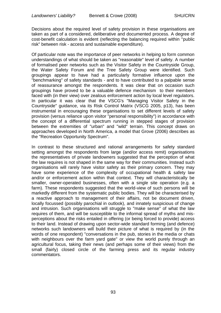Decisions about the required level of safety provision in these organisations are taken as part of a considered, deliberative and documented process. A degree of cost-benefit calculation is evident (reflecting the balancing required within "public risk" between risk - access and sustainable expenditure).

Of particular note was the importance of peer networks in helping to form common understandings of what should be taken as "reasonable" level of safety. A number of formalised peer networks such as the Visitor Safety in the Countryside Group, the Water Safety Forum and the Tree Safety Group were identified. Such groupings appear to have had a particularly formative influence upon the "benchmarking" of safety standards - and to have contributed to a palpable sense of reassurance amongst the respondents. It was clear that on occasion such groupings have proved to be a valuable defence mechanism to their members faced with (in their view) over zealous enforcement action by local level regulators. In particular it was clear that the VSCG's "Managing Visitor Safety in the Countryside" guidance, via its Risk Control Matrix (VSCG 2005, p13), has been instrumental in encouraging these organisations to set different levels of safety provision (versus reliance upon visitor "personal responsibility") in accordance with the concept of a differential spectrum running in stepped stages of provision between the extremities of "urban" and "wild" terrain. This concept draws on approaches developed in North America, a model that Grove (2006) describes as the "Recreation Opportunity Spectrum".

In contrast to these structured and rational arrangements for safety standard setting amongst the respondents from large (and/or access remit) organisations the representatives of private landowners suggested that the perception of what the law requires is not shaped in the same way for their communities. Instead such organisations will rarely have visitor safety as their primary concern. They may have some experience of the complexity of occupational health & safety law and/or or enforcement action within that context. They will characteristically be smaller, owner-operated businesses, often with a single site operation (e.g. a farm). These respondents suggested that the world-view of such persons will be markedly different from the systematic public bodies. They will be characterised by a reactive approach to management of their affairs, not be document driven, locally focussed (possibly parochial in outlook), and innately suspicious of change and intrusion. Such organisations will struggle to "make sense" of what the law requires of them, and will be susceptible to the informal spread of myths and misperceptions about the risks entailed in offering (or being forced to provide) access to their land. Instead of drawing upon sector-wide standard forming (and defence) networks such landowners will build their picture of what is required by (in the words of one respondent) "conversations in the pub, stories in the media or chats with neighbours over the farm yard gate" or view the world purely through an agricultural focus, taking their news (and perhaps some of their views) from the small (fairly) closed circle of the farming press and its regular industry commentators.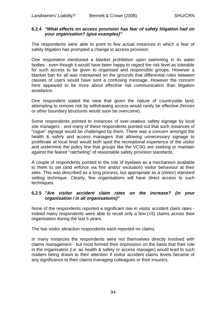## **6.2.4** *"What effects on access provision has fear of safety litigation had on your organisation? (give examples)"*

The respondents were able to point to few actual instances in which a fear of safety litigation has prompted a change to access provision.

One respondent mentioned a blanket prohibition upon swimming in its water bodies - even though it would have been happy to regard the risk level as tolerable for such access to be given to organised and responsible groups. However a blanket ban for all was maintained on the grounds that differential rules between classes of users would have sent a confusing message. However the concern here appeared to be more about effective risk communication than litigation avoidance.

One respondent stated the view that given the nature of countryside land, attempting to remove risk by withdrawing access would rarely be effective (fences or other boundary structures would soon be overcome).

Some respondents pointed to instances of over-zealous safety signage by local site managers - and many of these respondents pointed out that such instances of "rogue" signage would be challenged by them. There was a concern amongst the health & safety and access managers that allowing unnecessary signage to proliferate at local level would both spoil the recreational experience of the visitor and undermine the policy line that groups like the VCSG are seeking to maintain against the feared "ratcheting" of reasonable safety provision standards.

A couple of respondents pointed to the role of byelaws as a mechanism available to them to set (and enforce via fine and/or exclusion) visitor behaviour at their sites. This was described as a long process, but appropriate as a (visitor) standard setting technique. Clearly, few organisations will have direct access to such techniques.

## **6.2.5** *"Are visitor accident claim rates on the increase? (in your organisation / in all organisations)"*

None of the respondents reported a significant rise in visitor accident claim rates indeed many respondents were able to recall only a few (<5) claims across their organisation during the last 5 years.

The two visitor attraction respondents each reported no claims.

In many instances the respondents were not themselves directly involved with claims management - but most formed their impression on the basis that their role in the organisation (i.e. as health & safety or access manager) would lead to such matters being drawn to their attention if visitor accident claims levels became of any significance to their claims managing colleagues or their insurers.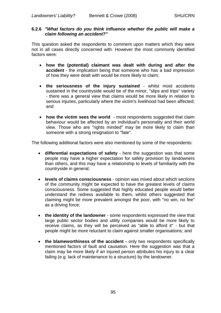#### **6.2.6** *"What factors do you think influence whether the public will make a claim following an accident?"*

This question asked the respondents to comment upon matters which they were not in all cases directly concerned with. However the most commonly identified factors were:

- **how the (potential) claimant was dealt with during and after the accident** - the implication being that someone who has a bad impression of how they were dealt with would be more likely to claim;
- the seriousness of the injury sustained whilst most accidents sustained in the countryside would be of the minor, "slips and trips" variety - there was a general view that claims would be more likely in relation to serious injuries, particularly where the victim's livelihood had been affected; and
- how the victim sees the world most respondents suggested that claim behaviour would be affected by an individual's personality and their world view. Those who are "rights minded" may be more likely to claim than someone with a strong resignation to "fate".

The following additional factors were also mentioned by some of the respondents:

- **differential expectations of safety**  here the suggestion was that some people may have a higher expectation for safety provision by landowners than others, and this may have a relationship to levels of familiarity with the countryside in general;
- **levels of claims consciousness** opinion was mixed about which sections of the community might be expected to have the greatest levels of claims consciousness. Some suggested that highly educated people would better understand the redress available to them, whilst others suggested that claiming might be more prevalent amongst the poor, with "no win, no fee" as a driving force;
- **the identity of the landowner**  some respondents expressed the view that large public sector bodies and utility companies would be more likely to receive claims, as they will be perceived as "able to afford it" - but that people might be more reluctant to claim against smaller organisations; and
- **the blameworthiness of the accident -** only two respondents specifically mentioned factors of fault and causation. Here the suggestion was that a claim may be more likely if an injured person attributes his injury to a clear failing (e.g. lack of maintenance to a structure) by the landowner.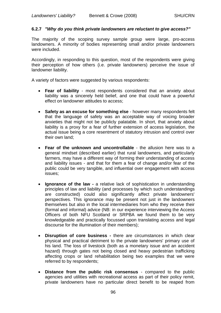## **6.2.7** *"Why do you think private landowners are reluctant to give access?"*

The majority of the scoping survey sample group were large, pro-access landowners. A minority of bodies representing small and/or private landowners were included.

Accordingly, in responding to this question, most of the respondents were giving their perception of how others (i.e. private landowners) perceive the issue of landowner liability.

A variety of factors were suggested by various respondents:

- **Fear of liability** most respondents considered that an anxiety about liability was a sincerely held belief, and one that could have a powerful effect on landowner attitudes to access;
- **Safety as an excuse for something else** however many respondents felt that the language of safety was an acceptable way of voicing broader anxieties that might not be publicly palatable. In short, that anxiety about liability is a proxy for a fear of further extension of access legislation, the actual issue being a core resentment of statutory intrusion and control over their own land;
- **Fear of the unknown and uncontrollable** the allusion here was to a general mindset (described earlier) that rural landowners, and particularly farmers, may have a different way of forming their understanding of access and liability issues - and that for them a fear of change and/or fear of the public could be very tangible, and influential over engagement with access issues;
- **Ignorance of the law -** a relative lack of sophistication in understanding principles of law and liability (and processes by which such understandings are constructed) could also significantly affect private landowners' perspectives. This ignorance may be present not just in the landowners themselves but also in the local intermediaries from who they receive their (formal and informal) advice (NB: in our experience interviewing the Access Officers of both NFU Scotland or SRPBA we found them to be very knowledgeable and practically focussed upon translating access and legal discourse for the illumination of their members);
- **Disruption of core business -** there are circumstances in which clear physical and practical detriment to the private landowners' primary use of his land. The loss of livestock (both as a monetary issue and an accident hazard) through gates not being closed and heavy pedestrian trafficking affecting crops or land rehabilitation being two examples that we were referred to by respondents;
- **Distance from the public risk consensus** compared to the public agencies and utilities with recreational access as part of their policy remit, private landowners have no particular direct benefit to be reaped from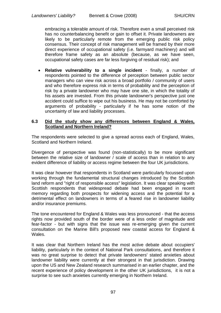embracing a tolerable amount of risk. Therefore even a small perceived risk has no counterbalancing benefit or gain to offset it. Private landowners are likely to be particularly remote from the emerging public risk policy consensus. Their concept of risk management will be framed by their more direct experience of occupational safety (i.e. farmyard machinery) and will therefore frame safety as an absolute (because, as we have seen, occupational safety cases are far less forgiving of residual risk); and

 **Relative vulnerability to a single incident** - finally, a number of respondents pointed to the difference of perception between public sector managers who can view risk across a broad portfolio / community of users and who therefore express risk in terms of probability and the perception of risk by a private landowner who may have one site, in which the totality of his assets are invested. From this private landowner's perspective just one accident could suffice to wipe out his business. He may not be comforted by arguments of probability - particularly if he has some notion of the uncertainty of law and liability processes.

#### **6.3 Did the study show any differences between England & Wales, Scotland and Northern Ireland?**

The respondents were selected to give a spread across each of England, Wales, Scotland and Northern Ireland.

Divergence of perspective was found (non-statistically) to be more significant between the relative size of landowner / scale of access than in relation to any evident difference of liability or access regime between the four UK jurisdictions.

It was clear however that respondents in Scotland were particularly focussed upon working through the fundamental structural changes introduced by the Scottish land reform and "right of responsible access" legislation. It was clear speaking with Scottish respondents that widespread debate had been engaged in recent memory regarding both prospects for widening access and the potential for a detrimental effect on landowners in terms of a feared rise in landowner liability and/or insurance premiums.

The tone encountered for England & Wales was less pronounced - that the access rights now provided south of the border were of a less order of magnitude and fear-factor - but with signs that the issue was re-emerging given the current consultation on the Marine Bill's proposed new coastal access for England & Wales.

It was clear that Northern Ireland has the most active debate about occupiers' liability, particularly in the context of National Park consultations, and therefore it was no great surprise to detect that private landowners' stated anxieties about landowner liability were currently at their strongest in that jurisdiction. Drawing upon the US and New Zealand research summarised in an earlier chapter, and the recent experience of policy development in the other UK jurisdictions, it is not a surprise to see such anxieties currently emerging in Northern Ireland.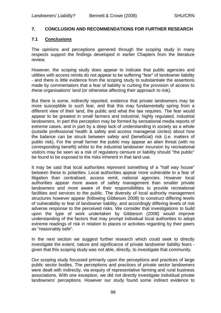#### **7. CONCLUSION AND RECOMMENDATIONS FOR FURTHER RESEARCH**

## **7.1 Conclusions**

The opinions and perceptions garnered through the scoping study in many respects support the findings developed in earlier Chapters from the literature review.

However, the scoping study does appear to indicate that public agencies and utilities with access remits do not appear to be suffering "fear" of landowner liability - and there is little evidence from the scoping study to substantiate the assertions made by commentators that a fear of liability is curbing the provision of access to *these* organisations' land (or otherwise affecting their approach to risk).

But there is some, indirectly reported, evidence that private landowners may be more susceptible to such fear, and that this may fundamentally spring from a different view of their land, the public and what the law requires. The fear would appear to be greatest in small farmers and industrial, highly regulated, industrial landowners. In part this perception may be formed by sensational media reports of extreme cases, and in part by a deep lack of understanding in society as a whole (outside professional health & safety and access managerial circles) about how the balance can be struck between safety and (beneficial) risk (i.e. matters of public risk). For the small farmer the public may appear an alien threat (with no corresponding benefit) whilst to the industrial landowner incursion by recreational visitors may be seen as a risk of regulatory censure or liability should "the public" be found to be exposed to the risks inherent in that land use.

It may be said that local authorities represent something of a "half way house" between these to polarities. Local authorities appear more vulnerable to a fear of litigation than centralised, access remit, national agencies. However local authorities appear more aware of safety management than smaller private landowners and more aware of their responsibilities to provide recreational facilities and services to the public. The diversity of local authority management structures however appear (following Gibbeson 2008) to construct differing levels of vulnerability to fear of landowner liability, and accordingly differing levels of risk adverse response to the perceived risks. We consider that investigations to build upon the type of work undertaken by Gibbeson (2008) would improve understanding of the factors that may prompt individual local authorities to adopt extreme readings of risk in relation to places or activities regarding by their peers as "reasonably safe".

In the next section we suggest further research which could seek to directly investigate the extent, nature and significance of private landowner liability fears given that this scoping study was not able, directly, to investigate that community.

Our scoping study focussed primarily upon the perceptions and practices of large public sector bodies. The perceptions and practices of private sector landowners were dealt with indirectly, via enquiry of representative farming and rural business associations. With one exception, we did not directly investigate individual private landowners' perceptions. However our study found some indirect evidence to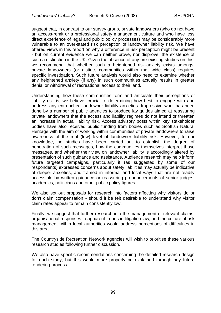suggest that, in contrast to our survey group, private landowners (who do not have an access-remit or a professional safety management culture and who have less direct experience of legal and public policy processes) may be considerably more vulnerable to an over-stated risk perception of landowner liability risk. We have offered views in this report on why a difference in risk perception might be present - but on current evidence we can neither prove, nor disprove, the existence of such a distinction in the UK. Given the absence of any pre-existing studies on this, we recommend that whether such a heightened risk-anxiety exists amongst private landowners (or distinct communities within that wide class) requires specific investigation. Such future analysis would also need to examine whether any heightened anxiety (if any) in such communities actually results in greater denial or withdrawal of recreational access to their land.

Understanding how these communities form and articulate their perceptions of liability risk is, we believe, crucial to determining how best to engage with and address any entrenched landowner liability anxieties. Impressive work has been done by a number of public agencies to produce lay guides aimed at reassuring private landowners that the access and liability regimes do not intend or threaten an increase in actual liability risk. Access advisory posts within key stakeholder bodies have also received public funding from bodies such as Scottish Natural Heritage with the aim of working within communities of private landowners to raise awareness of the real (low) level of landowner liability risk. However, to our knowledge, no studies have been carried out to establish the degree of penetration of such messages, how the communities themselves interpret those messages, and whether their view on landowner liability is accordingly altered by presentation of such guidance and assistance. Audience research may help inform future targeted campaigns, particularly if (as suggested by some of our respondents) expressed concerns about safety liabilities may actually be indicative of deeper anxieties, and framed in informal and local ways that are not readily accessible by written guidance or reassuring pronouncements of senior judges, academics, politicians and other public policy figures.

We also set out proposals for research into factors affecting why visitors do or don't claim compensation - should it be felt desirable to understand why visitor claim rates appear to remain consistently low.

Finally, we suggest that further research into the management of relevant claims, organisational responses to apparent trends in litigation law, and the culture of risk management within local authorities would address perceptions of difficulties in this area.

The Countryside Recreation Network agencies will wish to prioritise these various research studies following further discussion.

We also have specific recommendations concerning the detailed research design for each study, but this would more properly be explained through any future tendering process.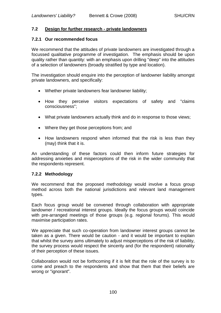## **7.2 Design for further research - private landowners**

#### **7.2.1 Our recommended focus**

We recommend that the attitudes of private landowners are investigated through a focussed qualitative programme of investigation. The emphasis should be upon quality rather than quantity: with an emphasis upon drilling "deep" into the attitudes of a selection of landowners (broadly stratified by type and location).

The investigation should enquire into the perception of landowner liability amongst private landowners, and specifically:

- Whether private landowners fear landowner liability;
- How they perceive visitors expectations of safety and "claims consciousness";
- What private landowners actually think and do in response to those views;
- Where they get those perceptions from; and
- How landowners respond when informed that the risk is less than they (may) think that it is.

An understanding of these factors could then inform future strategies for addressing anxieties and misperceptions of the risk in the wider community that the respondents represent.

#### **7.2.2 Methodology**

We recommend that the proposed methodology would involve a focus group method across both the national jurisdictions and relevant land management types.

Each focus group would be convened through collaboration with appropriate landowner / recreational interest groups. Ideally the focus groups would coincide with pre-arranged meetings of those groups (e.g. regional forums). This would maximise participation rates.

We appreciate that such co-operation from landowner interest groups cannot be taken as a given. There would be caution - and it would be important to explain that whilst the survey aims ultimately to adjust misperceptions of the risk of liability, the survey process would respect the sincerity and (for the respondent) rationality of their perception of these issues.

Collaboration would not be forthcoming if it is felt that the role of the survey is to come and preach to the respondents and show that them that their beliefs are wrong or "ignorant".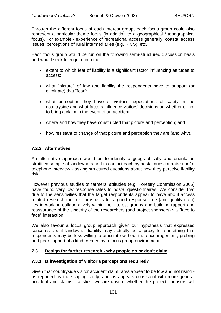Through the different focus of each interest group, each focus group could also represent a particular theme focus (in addition to a geographical / topographical focus). For example - experience of recreational access generally, coastal access issues, perceptions of rural intermediaries (e.g. RICS), etc.

Each focus group would be run on the following semi-structured discussion basis and would seek to enquire into the:

- extent to which fear of liability is a significant factor influencing attitudes to access;
- what "picture" of law and liability the respondents have to support (or eliminate) that "fear";
- what perception they have of visitor's expectations of safety in the countryside and what factors influence visitors' decisions on whether or not to bring a claim in the event of an accident;
- where and how they have constructed that picture and perception; and
- how resistant to change of that picture and perception they are (and why).

# **7.2.3 Alternatives**

An alternative approach would be to identify a geographically and orientation stratified sample of landowners and to contact each by postal questionnaire and/or telephone interview - asking structured questions about how they perceive liability risk.

However previous studies of farmers' attitudes (e.g. Forestry Commission 2005) have found very low response rates to postal questionnaires. We consider that due to the sensitivities that the target respondents appear to have about access related research the best prospects for a good response rate (and quality data) lies in working collaboratively within the interest groups and building rapport and reassurance of the sincerity of the researchers (and project sponsors) via "face to face" interaction.

We also favour a focus group approach given our hypothesis that expressed concerns about landowner liability may actually be a proxy for something that respondents may be less willing to articulate without the encouragement, probing and peer support of a kind created by a focus group environment.

# **7.3 Design for further research - why people do or don't claim**

# **7.3.1 Is investigation of visitor's perceptions required?**

Given that countryside visitor accident claim rates appear to be low and not rising as reported by the scoping study, and as appears consistent with more general accident and claims statistics, we are unsure whether the project sponsors will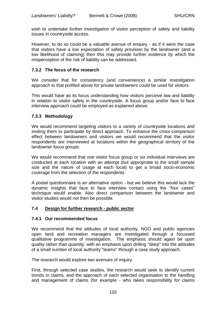wish to undertake further investigation of visitor perception of safety and liability issues in countryside access.

However, to do so could be a valuable avenue of enquiry - as if it were the case that visitors have a low expectation of safety provision by the landowner (and a low likelihood of claiming) then this may provide further evidence by which the misperception of the risk of liability can be addressed.

## **7.3.2 The focus of the research**

We consider that for consistency (and convenience) a similar investigation approach to that profiled above for private landowners could be used for visitors.

This would have as its focus understanding how visitors perceive law and liability in relation to visitor safety in the countryside. A focus group and/or face to face interview approach could be employed as explained above.

## **7.3.3 Methodology**

We would recommend targeting visitors to a variety of countryside locations and inviting them to participate by direct approach. To enhance the cross-comparison effect between landowners and visitors we would recommend that the visitor respondents are interviewed at locations within the geographical territory of the landowner focus groups.

We would recommend that one visitor focus group or six individual interviews are conducted at each location with an attempt (but appropriate to the small sample size and the nature of usage at each local) to get a broad socio-economic coverage from the selection of the respondents.

A postal questionnaire is an alternative option - but we believe this would lack the dynamic insights that face to face interview contact using the "four cases" technique would enable. Also direct comparison between the landowner and visitor studies would not then be possible.

#### **7.4 Design for further research - public sector**

#### **7.4.1 Our recommended focus**

We recommend that the attitudes of local authority, NGO and public agencies open land and recreation managers are investigated through a focussed qualitative programme of investigation. The emphasis should again be upon quality rather than quantity: with an emphasis upon drilling "deep" into the attitudes of a small number of local authority "teams" through a case study approach.

The research would explore two avenues of inquiry.

First, through selected case studies, the research would seek to identify current trends in claims, and the approach of each selected organisation to the handling and management of claims (for example - who takes responsibility for claims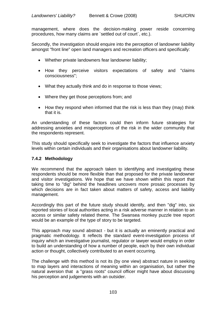management, where does the decision-making power reside concerning procedures, how many claims are `settled out of court`, etc.).

Secondly, the investigation should enquire into the perception of landowner liability amongst "front line" open land managers and recreation officers and specifically:

- Whether private landowners fear landowner liability;
- How they perceive visitors expectations of safety and "claims" consciousness";
- What they actually think and do in response to those views;
- Where they get those perceptions from; and
- How they respond when informed that the risk is less than they (may) think that it is.

An understanding of these factors could then inform future strategies for addressing anxieties and misperceptions of the risk in the wider community that the respondents represent.

This study should specifically seek to investigate the factors that influence anxiety levels within certain individuals and their organisations about landowner liability.

## **7.4.2 Methodology**

We recommend that the approach taken to identifying and investigating these respondents should be more flexible than that proposed for the private landowner and visitor investigations. We hope that we have shown within this report that taking time to "dig" behind the headlines uncovers more prosaic processes by which decisions are in fact taken about matters of safety, access and liability management.

Accordingly this part of the future study should identify, and then "dig" into, six reported stories of local authorities acting in a risk adverse manner in relation to an access or similar safety related theme. The Swansea monkey puzzle tree report would be an example of the type of story to be targeted.

This approach may sound abstract - but it is actually an eminently practical and pragmatic methodology. It reflects the standard event-investigation process of inquiry which an investigative journalist, regulator or lawyer would employ in order to build an understanding of how a number of people, each by their own individual action or thought, collectively contributed to an event occurring.

The challenge with this method is not its (by one view) abstract nature in seeking to map layers and interactions of meaning within an organisation, but rather the natural aversion that a "grass roots" council officer might have about discussing his perception and judgements with an outsider.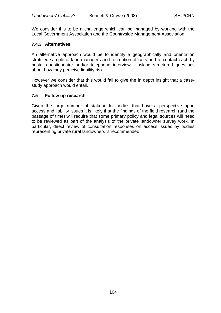We consider this to be a challenge which can be managed by working with the Local Government Association and the Countryside Management Association.

## **7.4.3 Alternatives**

An alternative approach would be to identify a geographically and orientation stratified sample of land managers and recreation officers and to contact each by postal questionnaire and/or telephone interview - asking structured questions about how they perceive liability risk.

However we consider that this would fail to give the in depth insight that a casestudy approach would entail.

## **7.5 Follow up research**

Given the large number of stakeholder bodies that have a perspective upon access and liability issues it is likely that the findings of the field research (and the passage of time) will require that some primary policy and legal sources will need to be reviewed as part of the analysis of the private landowner survey work. In particular, direct review of consultation responses on access issues by bodies representing private rural landowners is recommended.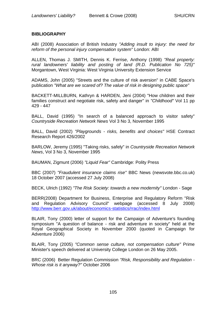# **BIBLIOGRAPHY**

ABI (2008) Association of British Industry *"Adding insult to injury: the need for reform of the personal injury compensation system"* London: ABI

ALLEN, Thomas J. SMITH, Dennis K. Ferrise, Anthony (1998) *"Real property: rural landowners' liability and posting of land (R.D. Publication No 725)"*  Morgantown, West Virginia: West Virginia University Extension Service

ADAMS, John (2005) "Streets and the culture of risk aversion" in CABE Space's publication *"What are we scared of? The value of risk in designing public space"*

BACKETT-MILLBURN, Kathryn & HARDEN, Jeni (2004) "How children and their families construct and negotiate risk, safety and danger" in *"Childhood"* Vol 11 pp 429 - 447

BALL, David (1995) "In search of a balanced approach to visitor safety" *Countryside Recreation Network News* Vol 3 No 3, November 1995

BALL, David (2002) *"Playgrounds - risks, benefits and choices"* HSE Contract Research Report 426/2002

BARLOW, Jeremy (1995) "Taking risks, safely" in *Countryside Recreation Network News*, Vol 3 No 3, November 1995

BAUMAN, Zigmunt (2006) *"Liquid Fear"* Cambridge: Polity Press

BBC (2007) *"Fraudulent insurance claims rise"* BBC News (newsvote.bbc.co.uk) 18 October 2007 (accessed 27 July 2008)

BECK, Ulrich (1992) *"The Risk Society: towards a new modernity"* London - Sage

BERR(2008) Department for Business, Enterprise and Regulatory Reform "Risk and Regulation Advisory Council" webpage (accessed 8 July 2008) <http://www.berr.gov.uk/about/economics-statistics/rrac/index.html>

BLAIR, Tony (2000) letter of support for the Campaign of Adventure's founding symposium "A question of balance - risk and adventure in society" held at the Royal Geographical Society in November 2000 (quoted in Campaign for Adventure 2006)

BLAIR, Tony (2005) *"Common sense culture, not compensation culture"* Prime Minister's speech delivered at University College London on 26 May 2005.

BRC (2006) Better Regulation Commission *"Risk, Responsibility and Regulation - Whose risk is it anyway?"* October 2006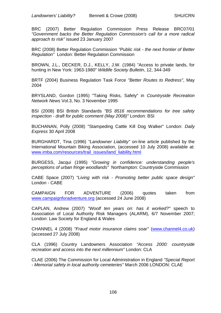BRC (2007) Better Regulation Commission Press Release BRC07/01 *"Government backs the Better Regulation Commission's call for a more radical approach to risk"* issued 23 January 2007

BRC (2008) Better Regulation Commission *"Public risk - the next frontier of Better Regulation"* London: Better Regulation Commission

BROWN, J.L., DECKER, D.J., KELLY, J.W. (1984) "Access to private lands, for hunting in New York: 1963-1980" *Wildlife Society Bulletin*, 12, 344-349

BRTF (2004) Business Regulation Task Force *"Better Routes to Redress"*, May 2004

BRYSLAND, Gordon (1995) "Taking Risks, Safely" in *Countryside Recreation Network News* Vol.3, No. 3 November 1995

BSI (2008) BSI British Standards *"BS 8516 recommendations for tree safety inspection - draft for public comment (May 2008)"* London: BSI

BUCHANAN, Polly (2008) "Stampeding Cattle Kill Dog Walker" London: *Daily Express* 30 April 2008

BURGHARDT, Tina (1996) *"Landowner Liability"* on-line article published by the International Mountain Biking Association, (accessed 10 July 2008) available at: [www.imba.com/resources/trail\\_issues/land\\_liability.html](http://www.imba.com/resources/trail_issues/land_liability.html)

BURGESS, Jacqui (1995) *"Growing in confidence: understanding people's perceptions of urban fringe woodlands"* Northampton: Countryside Commission

CABE Space (2007) *"Living with risk - Promoting better public space design"*  London - CABE

CAMPAIGN FOR ADVENTURE (2006) quotes taken from [www.campaignforadventure.org](http://www.campaignforadventure.org/) (accessed 24 June 2008)

CAPLAN, Andrew (2007) *"Woolf ten years on: has it worked?"* speech to Association of Local Authority Risk Managers (ALARM), 6/7 November 2007; London: Law Society for England & Wales

CHANNEL 4 (2008) *"Fraud motor insurance claims soar"* [\(www.channel4.co.uk\)](http://www.channel4.co.uk/) (accessed 27 July 2008)

CLA (1996) Country Landowners Association *"Access 2000: countryside recreation and access into the next millennium"* London: CLA

CLAE (2006) The Commission for Local Administration in England *"Special Report - Memorial safety in local authority cemeteries"* March 2006 LONDON: CLAE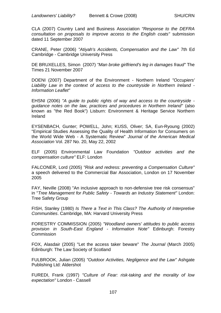CLA (2007) Country Land and Business Association *"Response to the DEFRA consultation on proposals to improve access to the English coats"* submission dated 11 September 2007

CRANE, Peter (2006) *"Atiyah's Accidents, Compensation and the Law"* 7th Ed Cambridge - Cambridge University Press

DE BRUXELLES, Simon (2007) *"Man broke girlfriend's leg in damages fraud"* The Times 21 November 2007

DOENI (2007) Department of the Environment - Northern Ireland *"Occupiers' Liability Law in the context of access to the countryside in Northern Ireland - Information Leaflet"*

EHSNI (2006) *"A guide to public rights of way and access to the countryside guidance notes on the law, practices and procedures in Northern Ireland"* (also known as "the Red Book") Lisburn: Environment & Heritage Service Northern Ireland

EYSENBACH, Gunter; POWELL, John; KUSS, Oliver; SA, Eun-Ryoung (2002) "Empirical Studies Assessing the Quality of Health Information for Consumers on the World Wide Web - A Systematic Review" *Journal of the American Medical Association* Vol. 287 No. 20, May 22, 2002

ELF (2005) Environmental Law Foundation *"Outdoor activities and the compensation culture"* ELF: London

FALCONER, Lord (2005) *"Risk and redress: preventing a Compensation Culture"* a speech delivered to the Commercial Bar Association, London on 17 November 2005

FAY, Neville (2008) "An inclusive approach to non-defensive tree risk consensus" in "*Tree Management for Public Safety - Towards an Industry Statement"* London: Tree Safety Group

FISH, Stanley (1980) *Is There a Text in This Class? The Authority of Interpretive Communities*. Cambridge, MA: Harvard University Press

FORESTRY COMMISSION (2005) *"Woodland owners' attitudes to public access provision in South-East England - Information Note"* Edinburgh: Forestry **Commission** 

FOX, Alasdair (2005) "Let the access taker beware" *The Journal* (March 2005) Edinburgh: The Law Society of Scotland

FULBROOK, Julian (2005) *"Outdoor Activities, Negligence and the Law"* Ashgate Publishing Ltd: Aldershot

FUREDI, Frank (1997) *"Culture of Fear: risk-taking and the morality of low expectation"* London - Cassell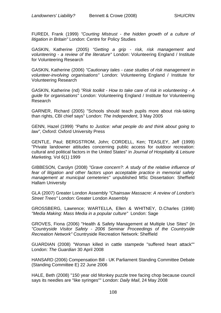FUREDI, Frank (1999) *"Courting Mistrust - the hidden growth of a culture of litigation in Britain"* London: Centre for Policy Studies

GASKIN, Katherine (2005) *"Getting a grip - risk, risk management and volunteering - a review of the literature"* London: Volunteering England / Institute for Volunteering Research

GASKIN, Katherine (2006) *"Cautionary tales - case studies of risk management in volunteer-involving organisations"* London: Volunteering England / Institute for Volunteering Research

GASKIN, Katherine (nd) *"Risk toolkit - How to take care of risk in volunteering - A guide for organisations"* London: Volunteering England / Institute for Volunteering Research

GARNER, Richard (2005) "Schools should teach pupils more about risk-taking than rights, CBI chief says" London: *The Independent*, 3 May 2005

GENN, Hazel (1999) *"Paths to Justice: what people do and think about going to law"*, Oxford: Oxford University Press

GENTLE, Paul; BERGSTROM, John; CORDELL, Ken; TEASLEY, Jeff (1999) "Private landowner attitudes concerning public access for outdoor recreation: cultural and political factors in the United States" in *Journal of Hospitality & Leisure Marketing,* Vol 6(1) 1999

GIBBESON, Carolyn (2008) *"Grave concern?: A study of the relative influence of fear of litigation and other factors upon acceptable practice in memorial safety management at municipal cemeteries"* unpublished MSc Dissertation: Sheffield Hallam University

GLA (2007) Greater London Assembly *"Chainsaw Massacre: A review of London's Street Trees"* London: Greater London Assembly

GROSSBERG, Lawrence; WARTELLA, Ellen & WHITNEY, D.Charles (1998) *"Media Making: Mass Media in a popular culture"* London: Sage

GROVES, Fiona (2006) "Health & Safety Management at Multiple Use Sites" (in *"Countryside Visitor Safety - 2006 Seminar Proceedings of the Countryside Recreation Network"* Countryside Recreation Network: Sheffield

GUARDIAN (2008) "Woman killed in cattle stampede "suffered heart attack"" London: *The Guardian* 30 April 2008

HANSARD (2006) Compensation Bill - UK Parliament Standing Committee Debate (Standing Committee E) 22 June 2006

HALE, Beth (2008) "150 year old Monkey puzzle tree facing chop because council says its needles are "like syringes"" London: *Daily Mail*, 24 May 2008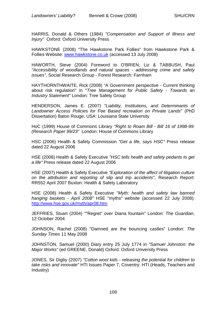HARRIS, Donald & Others (1984) *"Compensation and Support of Illness and Injury"* Oxford: Oxford University Press

HAWKSTONE (2008) "The Hawkstone Park Follies" from Hawkstone Park & Follies Website: [www.hawkstone.co.uk](http://www.hawkstone.co.uk/) (accessed 13 July 2008)

HAWORTH, Steve (2004) Foreword to O'BRIEN, Liz & TABBUSH, Paul *"Accessibility of woodlands and natural spaces - addressing crime and safety issues"*, Social Research Group - Forest Research: Farnham

HAYTHORNTHWAITE, Rick (2008) "A Government perspective - Current thinking about risk regulation" in "*Tree Management for Public Safety - Towards an Industry Statement"* London: Tree Safety Group

HENDERSON, James E. (2007) *"Liability, Institutions, and Determinants of Landowner Access Policies for Fee Based recreation on Private Lands"* (PhD Dissertation) Baton Rouge, USA: Louisiana State University

HoC (1999) House of Commons Library *"Right to Roam Bill - Bill 16 of 1998-99: (Research Paper 99/23"* London: House of Commons Library

HSC (2006) Health & Safety Commission *"Get a life, says HSC"* Press release dated 22 August 2006

HSE (2006) Health & Safety Executive *"HSC tells health and safety pedants to get a life"* Press release dated 22 August 2006

HSE (2007) Health & Safety Executive *"Exploration of the affect of litigation culture on the attribution and reporting of slip and trip accidents"*, Research Report: RR552 April 2007 Buxton: Health & Safety Laboratory

HSE (2008) Health & Safety Executive *"Myth: health and safety law banned hanging baskets - April 2008"* HSE "myths" website (accessed 22 July 2008): <http://www.hse.gov.uk/myth/apr08.htm>

JEFFRIES, Stuart (2004) ""Regret" over Diana fountain" London: *The Guardian*, 12 October 2004

JOHNSON, Rachel (2008) "Damned are the bouncing castles" London: *The Sunday Times* 11 May 2008

JOHNSTON, Samuel (2000) Diary entry 25 July 1774 in *"Samuel Johnston: the Major Works"* (ed GREENE, Donald) Oxford: Oxford University Press

JONES, Sir Digby (2007) *"Cotton wool kids - releasing the potential for children to take risks and innovate"* HTI Issues Paper 7, Coventry: HTI (Heads, Teachers and Industry)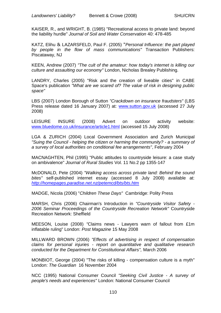KAISER, R., and WRIGHT, B. (1985) "Recreational access to private land: beyond the liability hurdle" *Journal of Soil and Water Conservation* 40: 478-485

KATZ, Elihu & LAZARSFELD, Paul F. (2005) "*Personal Influence: the part played by people in the flow of mass communications"* Transaction Publishers: Piscataway, NJ

KEEN, Andrew (2007) *"The cult of the amateur: how today's internet is killing our culture and assaulting our economy"* London, Nicholas Brealey Publishing.

LANDRY, Charles (2005) "Risk and the creation of liveable cities" in CABE Space's publication *"What are we scared of? The value of risk in designing public space"*

LBS (2007) London Borough of Sutton *"Crackdown on insurance fraudsters"* (LBS Press release dated 16 January 2007) at: [www.sutton.gov.uk](http://www.sutton.gov.uk/) (accessed 27 July 2008)

LEISURE INSURE (2008) Advert on outdoor activity website: [www.bluedome.co.uk/insurance/article1.html](http://www.bluedome.co.uk/insurance/article1.html) (accessed 15 July 2008)

LGA & ZURICH (2004) Local Government Association and Zurich Municipal *"Suing the Council - helping the citizen or harming the community? - a summary of a survey of local authorities on conditional fee arrangements"*, February 2004

MACNAGHTEN, Phil (1995) "Public attitudes to countryside leisure: a case study on ambivalence" *Journal of Rural Studies* Vol. 11 No.2 pp 1355-147

McDONALD, Pete (2004) *"Walking access across private land: Behind the sound bites"* self-published internet essay (accessed 8 July 2008) available at: *<http://homepages.paradise.net.nz/petemcd/bts/bts.htm>*

MADGE, Nicola (2006) "*Children These Days"* Cambridge: Polity Press

MARSH, Chris (2006) Chairman's Introduction in *"Countryside Visitor Safety - 2006 Seminar Proceedings of the Countryside Recreation Network"* Countryside Recreation Network: Sheffield

MEESON, Louise (2008) *"*Claims news - Lawyers warn of fallout from £1m inflatable ruling" London: *Post Magazine* 15 May 2008

MILLWARD BROWN (2006) *"Effects of advertising in respect of compensation claims for personal injuries - report on quantitative and qualitative research conducted for the Department for Constitutional Affairs",* March 2006

MONBIOT, George (2004) "The risks of killing - compensation culture is a myth" London: *The Guardian* 16 November 2004

NCC (1995) National Consumer Council *"Seeking Civil Justice - A survey of people's needs and experiences"* London: National Consumer Council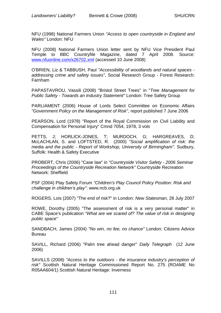NFU (1998) National Farmers Union *"Access to open countryside in England and Wales"* London: NFU

NFU (2008) National Farmers Union letter sent by NFU Vice President Paul Temple to BBC Countryfile Magazine, dated 7 April 2008. Source: [www.nfuonline.com/x26702.xml](http://www.nfuonline.com/x26702.xml) (accessed 10 June 2008)

O'BRIEN, Liz & TABBUSH, Paul *"Accessibility of woodlands and natural spaces addressing crime and safety issues"*, Social Research Group - Forest Research: Farnham

PAPASTAVROU, Vassili (2008) "Bristol Street Trees" in "*Tree Management for Public Safety - Towards an Industry Statement"* London: Tree Safety Group

PARLIAMENT (2006) House of Lords Select Committee on Economic Affairs *"Government Policy on the Management of Risk",* report published 7 June 2006

PEARSON, Lord (1978) "Report of the Royal Commission on Civil Liability and Compensation for Personal Injury" Cmnd 7054, 1978, 3 vols

PETTS, J; HORLICK-JONES, T; MURDOCH, G; HARGREAVES, D; McLACHLAN, S. and LOFTSTED, R. (2000) *"Social amplification of risk: the media and the public - Report of Workshop, University of Birmingham"*. Sudbury, Suffolk: Health & Safety Executive

PROBERT, Chris (2006) "Case law" in *"Countryside Visitor Safety - 2006 Seminar Proceedings of the Countryside Recreation Network"* Countryside Recreation Network: Sheffield

PSF (2004) Play Safety Forum *"Children's Play Council Policy Position: Risk and challenge in children"s play"*: www.ncb.org.uk

ROGERS, Lois (2007) "The end of risk?" in London: *New Statesman*, 26 July 2007

ROWE, Dorothy (2005) "The assessment of risk is a very personal matter" in CABE Space's publication *"What are we scared of? The value of risk in designing public space"*

SANDBACH, James (2004) *"No win, no fee, no chance"* London: Citizens Advice Bureau

SAVILL, Richard (2006) "Palm tree ahead danger" *Daily Telegraph* (12 June 2006)

SAVILLS (2008) *"Access to the outdoors - the insurance industry's perception of risk"* Scottish Natural Heritage Commissioned Report No. 275 (ROAME No R05AA604/1) Scottish Natural Heritage: Inverness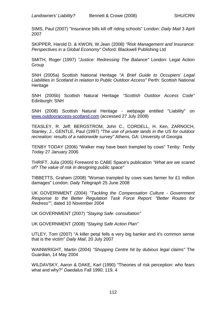SIMS, Paul (2007) "Insurance bills kill off riding schools" London: *Daily Mail* 3 April 2007

SKIPPER, Harold D. & KWON, W.Jean (2008) *"Risk Management and Insurance: Perspectives in a Global Economy"* Oxford: Blackwell Publishing Ltd

SMITH, Roger (1997) *"Justice: Redressing The Balance"* London: Legal Action **Group** 

SNH (2005a) Scottish National Heritage *"A Brief Guide to Occupiers' Legal Liabilities in Scotland in relation to Public Outdoor Access"* Perth: Scottish National **Heritage** 

SNH (2005b) Scottish Natural Heritage *"Scottish Outdoor Access Code"*  Edinburgh: SNH

SNH (2008) Scottish Natural Heritage - webpage entitled "Liability" on [www.outdooraccess-scotland.com](http://www.outdooraccess-scotland.com/) (accessed 27 July 2008)

TEASLEY, R. Jeff; BERGSTROM, John C., CORDELL, H. Ken, ZARNOCH, Stanley, J., GENTLE, Paul (1997) *"The use of private lands in the US for outdoor recreation: results of a nationwide survey"* Athens, GA: University of Georgia

TENBY TODAY (2006) "Walker may have been trampled by cows" Tenby: *Tenby Today* 27 January 2006

THRIFT, Julia (2005) Foreword to CABE Space's publication *"What are we scared of? The value of risk in designing public space"*

TIBBETTS, Graham (2008) "Woman trampled by cows sues farmer for £1 million damages" London: *Daily Telegraph* 25 June 2008

UK GOVERNMENT (2004) *"Tackling the Compensation Culture - Government Response to the Better Regulation Task Force Report: "Better Routes for Redress"",* dated 10 November 2004

UK GOVERNMENT (2007) *"Staying Safe: consultation"*

UK GOVERNMENT (2008) *"Staying Safe Action Plan"*

UTLEY, Tom (2007) "A killer petal fells a very big banker and it's common sense that is the victim" *Daily Mail*, 20 July 2007

WAINWRIGHT, Martin (2004) *"Shopping Centre hit by dubious legal claims"* The Guardian, 14 May 2004

WILDAVSKY, Aaron & DAKE, Karl (1990) "Theories of risk perception: who fears what and why?" *Daedalus* Fall 1990; 119, 4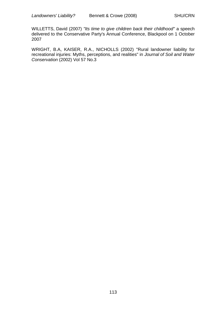WILLETTS, David (2007) *"Its time to give children back their childhood"* a speech delivered to the Conservative Party's Annual Conference, Blackpool on 1 October 2007

WRIGHT, B.A, KAISER, R.A., NICHOLLS (2002) "Rural landowner liability for recreational injuries: Myths, perceptions, and realities" in *Journal of Soil and Water Conservation* (2002) Vol 57 No.3